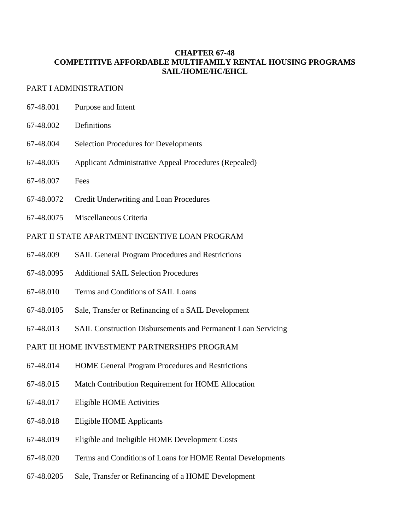# **CHAPTER 67-48 COMPETITIVE AFFORDABLE MULTIFAMILY RENTAL HOUSING PROGRAMS SAIL/HOME/HC/EHCL**

# PART I ADMINISTRATION

- 67-48.001 Purpose and Intent
- 67-48.002 Definitions
- 67-48.004 Selection Procedures for Developments
- 67-48.005 Applicant Administrative Appeal Procedures (Repealed)
- 67-48.007 Fees
- 67-48.0072 Credit Underwriting and Loan Procedures
- 67-48.0075 Miscellaneous Criteria

# PART II STATE APARTMENT INCENTIVE LOAN PROGRAM

- 67-48.009 SAIL General Program Procedures and Restrictions
- 67-48.0095 Additional SAIL Selection Procedures
- 67-48.010 Terms and Conditions of SAIL Loans
- 67-48.0105 Sale, Transfer or Refinancing of a SAIL Development
- 67-48.013 SAIL Construction Disbursements and Permanent Loan Servicing

# PART III HOME INVESTMENT PARTNERSHIPS PROGRAM

- 67-48.014 HOME General Program Procedures and Restrictions
- 67-48.015 Match Contribution Requirement for HOME Allocation
- 67-48.017 Eligible HOME Activities
- 67-48.018 Eligible HOME Applicants
- 67-48.019 Eligible and Ineligible HOME Development Costs
- 67-48.020 Terms and Conditions of Loans for HOME Rental Developments
- 67-48.0205 Sale, Transfer or Refinancing of a HOME Development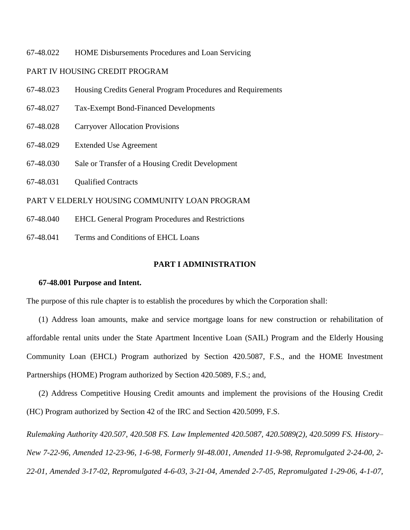67-48.022 HOME Disbursements Procedures and Loan Servicing

## PART IV HOUSING CREDIT PROGRAM

- 67-48.023 Housing Credits General Program Procedures and Requirements
- 67-48.027 Tax-Exempt Bond-Financed Developments
- 67-48.028 Carryover Allocation Provisions
- 67-48.029 Extended Use Agreement
- 67-48.030 Sale or Transfer of a Housing Credit Development
- 67-48.031 Qualified Contracts

## PART V ELDERLY HOUSING COMMUNITY LOAN PROGRAM

- 67-48.040 EHCL General Program Procedures and Restrictions
- 67-48.041 Terms and Conditions of EHCL Loans

## **PART I ADMINISTRATION**

#### **67-48.001 Purpose and Intent.**

The purpose of this rule chapter is to establish the procedures by which the Corporation shall:

(1) Address loan amounts, make and service mortgage loans for new construction or rehabilitation of affordable rental units under the State Apartment Incentive Loan (SAIL) Program and the Elderly Housing Community Loan (EHCL) Program authorized by Section 420.5087, F.S., and the HOME Investment Partnerships (HOME) Program authorized by Section 420.5089, F.S.; and,

(2) Address Competitive Housing Credit amounts and implement the provisions of the Housing Credit (HC) Program authorized by Section 42 of the IRC and Section 420.5099, F.S.

*Rulemaking Authority 420.507, 420.508 FS. Law Implemented 420.5087, 420.5089(2), 420.5099 FS. History– New 7-22-96, Amended 12-23-96, 1-6-98, Formerly 9I-48.001, Amended 11-9-98, Repromulgated 2-24-00, 2- 22-01, Amended 3-17-02, Repromulgated 4-6-03, 3-21-04, Amended 2-7-05, Repromulgated 1-29-06, 4-1-07,*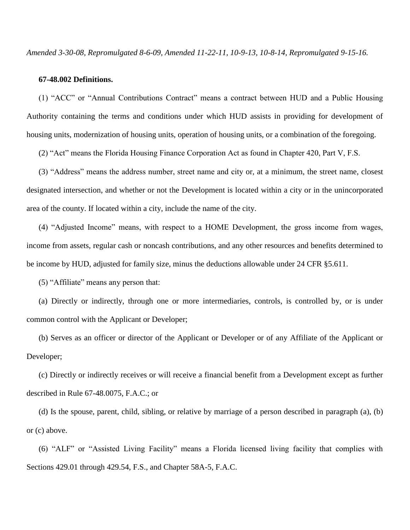*Amended 3-30-08, Repromulgated 8-6-09, Amended 11-22-11, 10-9-13, 10-8-14, Repromulgated 9-15-16.*

### **67-48.002 Definitions.**

(1) "ACC" or "Annual Contributions Contract" means a contract between HUD and a Public Housing Authority containing the terms and conditions under which HUD assists in providing for development of housing units, modernization of housing units, operation of housing units, or a combination of the foregoing.

(2) "Act" means the Florida Housing Finance Corporation Act as found in Chapter 420, Part V, F.S.

(3) "Address" means the address number, street name and city or, at a minimum, the street name, closest designated intersection, and whether or not the Development is located within a city or in the unincorporated area of the county. If located within a city, include the name of the city.

(4) "Adjusted Income" means, with respect to a HOME Development, the gross income from wages, income from assets, regular cash or noncash contributions, and any other resources and benefits determined to be income by HUD, adjusted for family size, minus the deductions allowable under 24 CFR §5.611.

(5) "Affiliate" means any person that:

(a) Directly or indirectly, through one or more intermediaries, controls, is controlled by, or is under common control with the Applicant or Developer;

(b) Serves as an officer or director of the Applicant or Developer or of any Affiliate of the Applicant or Developer;

(c) Directly or indirectly receives or will receive a financial benefit from a Development except as further described in Rule 67-48.0075, F.A.C.; or

(d) Is the spouse, parent, child, sibling, or relative by marriage of a person described in paragraph (a), (b) or (c) above.

(6) "ALF" or "Assisted Living Facility" means a Florida licensed living facility that complies with Sections 429.01 through 429.54, F.S., and Chapter 58A-5, F.A.C.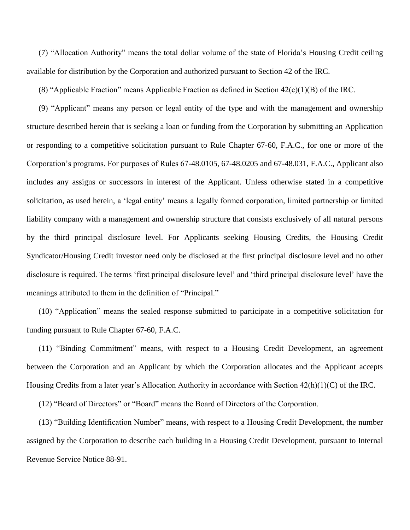(7) "Allocation Authority" means the total dollar volume of the state of Florida's Housing Credit ceiling available for distribution by the Corporation and authorized pursuant to Section 42 of the IRC.

(8) "Applicable Fraction" means Applicable Fraction as defined in Section  $42(c)(1)(B)$  of the IRC.

(9) "Applicant" means any person or legal entity of the type and with the management and ownership structure described herein that is seeking a loan or funding from the Corporation by submitting an Application or responding to a competitive solicitation pursuant to Rule Chapter 67-60, F.A.C., for one or more of the Corporation's programs. For purposes of Rules 67-48.0105, 67-48.0205 and 67-48.031, F.A.C., Applicant also includes any assigns or successors in interest of the Applicant. Unless otherwise stated in a competitive solicitation, as used herein, a 'legal entity' means a legally formed corporation, limited partnership or limited liability company with a management and ownership structure that consists exclusively of all natural persons by the third principal disclosure level. For Applicants seeking Housing Credits, the Housing Credit Syndicator/Housing Credit investor need only be disclosed at the first principal disclosure level and no other disclosure is required. The terms 'first principal disclosure level' and 'third principal disclosure level' have the meanings attributed to them in the definition of "Principal."

(10) "Application" means the sealed response submitted to participate in a competitive solicitation for funding pursuant to Rule Chapter 67-60, F.A.C.

(11) "Binding Commitment" means, with respect to a Housing Credit Development, an agreement between the Corporation and an Applicant by which the Corporation allocates and the Applicant accepts Housing Credits from a later year's Allocation Authority in accordance with Section  $42(h)(1)(C)$  of the IRC.

(12) "Board of Directors" or "Board" means the Board of Directors of the Corporation.

(13) "Building Identification Number" means, with respect to a Housing Credit Development, the number assigned by the Corporation to describe each building in a Housing Credit Development, pursuant to Internal Revenue Service Notice 88-91.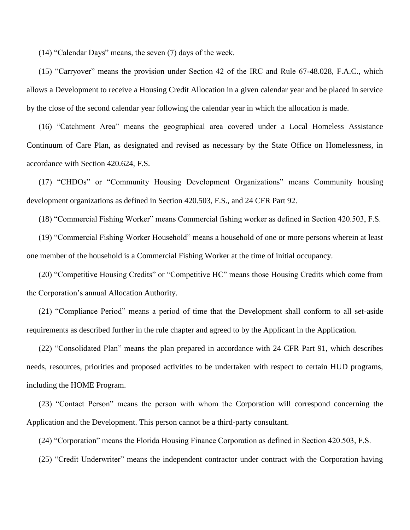(14) "Calendar Days" means, the seven (7) days of the week.

(15) "Carryover" means the provision under Section 42 of the IRC and Rule 67-48.028, F.A.C., which allows a Development to receive a Housing Credit Allocation in a given calendar year and be placed in service by the close of the second calendar year following the calendar year in which the allocation is made.

(16) "Catchment Area" means the geographical area covered under a Local Homeless Assistance Continuum of Care Plan, as designated and revised as necessary by the State Office on Homelessness, in accordance with Section 420.624, F.S.

(17) "CHDOs" or "Community Housing Development Organizations" means Community housing development organizations as defined in Section 420.503, F.S., and 24 CFR Part 92.

(18) "Commercial Fishing Worker" means Commercial fishing worker as defined in Section 420.503, F.S.

(19) "Commercial Fishing Worker Household" means a household of one or more persons wherein at least one member of the household is a Commercial Fishing Worker at the time of initial occupancy.

(20) "Competitive Housing Credits" or "Competitive HC" means those Housing Credits which come from the Corporation's annual Allocation Authority.

(21) "Compliance Period" means a period of time that the Development shall conform to all set-aside requirements as described further in the rule chapter and agreed to by the Applicant in the Application.

(22) "Consolidated Plan" means the plan prepared in accordance with 24 CFR Part 91, which describes needs, resources, priorities and proposed activities to be undertaken with respect to certain HUD programs, including the HOME Program.

(23) "Contact Person" means the person with whom the Corporation will correspond concerning the Application and the Development. This person cannot be a third-party consultant.

(24) "Corporation" means the Florida Housing Finance Corporation as defined in Section 420.503, F.S.

(25) "Credit Underwriter" means the independent contractor under contract with the Corporation having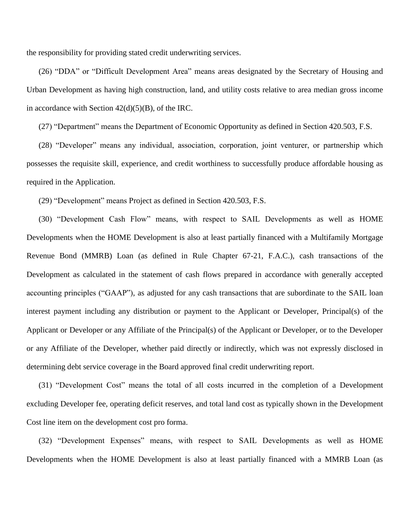the responsibility for providing stated credit underwriting services.

(26) "DDA" or "Difficult Development Area" means areas designated by the Secretary of Housing and Urban Development as having high construction, land, and utility costs relative to area median gross income in accordance with Section  $42(d)(5)(B)$ , of the IRC.

(27) "Department" means the Department of Economic Opportunity as defined in Section 420.503, F.S.

(28) "Developer" means any individual, association, corporation, joint venturer, or partnership which possesses the requisite skill, experience, and credit worthiness to successfully produce affordable housing as required in the Application.

(29) "Development" means Project as defined in Section 420.503, F.S.

(30) "Development Cash Flow" means, with respect to SAIL Developments as well as HOME Developments when the HOME Development is also at least partially financed with a Multifamily Mortgage Revenue Bond (MMRB) Loan (as defined in Rule Chapter 67-21, F.A.C.), cash transactions of the Development as calculated in the statement of cash flows prepared in accordance with generally accepted accounting principles ("GAAP"), as adjusted for any cash transactions that are subordinate to the SAIL loan interest payment including any distribution or payment to the Applicant or Developer, Principal(s) of the Applicant or Developer or any Affiliate of the Principal(s) of the Applicant or Developer, or to the Developer or any Affiliate of the Developer, whether paid directly or indirectly, which was not expressly disclosed in determining debt service coverage in the Board approved final credit underwriting report.

(31) "Development Cost" means the total of all costs incurred in the completion of a Development excluding Developer fee, operating deficit reserves, and total land cost as typically shown in the Development Cost line item on the development cost pro forma.

(32) "Development Expenses" means, with respect to SAIL Developments as well as HOME Developments when the HOME Development is also at least partially financed with a MMRB Loan (as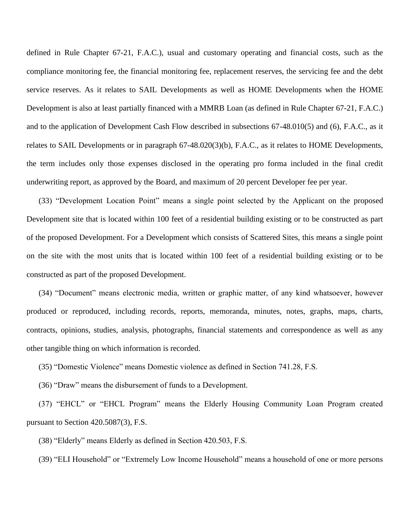defined in Rule Chapter 67-21, F.A.C.), usual and customary operating and financial costs, such as the compliance monitoring fee, the financial monitoring fee, replacement reserves, the servicing fee and the debt service reserves. As it relates to SAIL Developments as well as HOME Developments when the HOME Development is also at least partially financed with a MMRB Loan (as defined in Rule Chapter 67-21, F.A.C.) and to the application of Development Cash Flow described in subsections 67-48.010(5) and (6), F.A.C., as it relates to SAIL Developments or in paragraph 67-48.020(3)(b), F.A.C., as it relates to HOME Developments, the term includes only those expenses disclosed in the operating pro forma included in the final credit underwriting report, as approved by the Board, and maximum of 20 percent Developer fee per year.

(33) "Development Location Point" means a single point selected by the Applicant on the proposed Development site that is located within 100 feet of a residential building existing or to be constructed as part of the proposed Development. For a Development which consists of Scattered Sites, this means a single point on the site with the most units that is located within 100 feet of a residential building existing or to be constructed as part of the proposed Development.

(34) "Document" means electronic media, written or graphic matter, of any kind whatsoever, however produced or reproduced, including records, reports, memoranda, minutes, notes, graphs, maps, charts, contracts, opinions, studies, analysis, photographs, financial statements and correspondence as well as any other tangible thing on which information is recorded.

(35) "Domestic Violence" means Domestic violence as defined in Section 741.28, F.S.

(36) "Draw" means the disbursement of funds to a Development.

(37) "EHCL" or "EHCL Program" means the Elderly Housing Community Loan Program created pursuant to Section 420.5087(3), F.S.

(38) "Elderly" means Elderly as defined in Section 420.503, F.S.

(39) "ELI Household" or "Extremely Low Income Household" means a household of one or more persons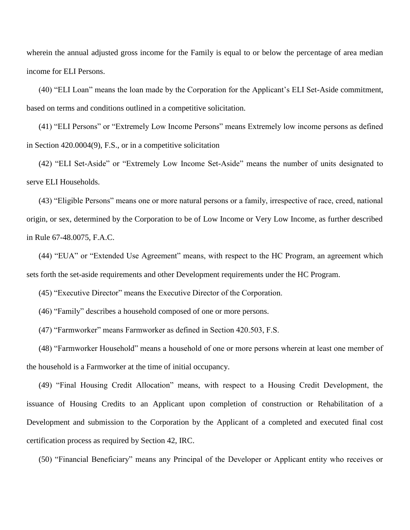wherein the annual adjusted gross income for the Family is equal to or below the percentage of area median income for ELI Persons.

(40) "ELI Loan" means the loan made by the Corporation for the Applicant's ELI Set-Aside commitment, based on terms and conditions outlined in a competitive solicitation.

(41) "ELI Persons" or "Extremely Low Income Persons" means Extremely low income persons as defined in Section 420.0004(9), F.S., or in a competitive solicitation

(42) "ELI Set-Aside" or "Extremely Low Income Set-Aside" means the number of units designated to serve ELI Households.

(43) "Eligible Persons" means one or more natural persons or a family, irrespective of race, creed, national origin, or sex, determined by the Corporation to be of Low Income or Very Low Income, as further described in Rule 67-48.0075, F.A.C.

(44) "EUA" or "Extended Use Agreement" means, with respect to the HC Program, an agreement which sets forth the set-aside requirements and other Development requirements under the HC Program.

(45) "Executive Director" means the Executive Director of the Corporation.

(46) "Family" describes a household composed of one or more persons.

(47) "Farmworker" means Farmworker as defined in Section 420.503, F.S.

(48) "Farmworker Household" means a household of one or more persons wherein at least one member of the household is a Farmworker at the time of initial occupancy.

(49) "Final Housing Credit Allocation" means, with respect to a Housing Credit Development, the issuance of Housing Credits to an Applicant upon completion of construction or Rehabilitation of a Development and submission to the Corporation by the Applicant of a completed and executed final cost certification process as required by Section 42, IRC.

(50) "Financial Beneficiary" means any Principal of the Developer or Applicant entity who receives or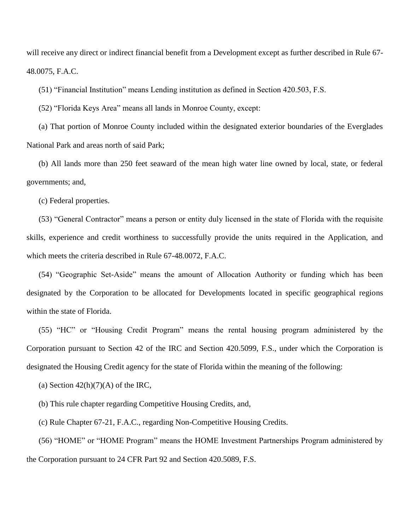will receive any direct or indirect financial benefit from a Development except as further described in Rule 67- 48.0075, F.A.C.

(51) "Financial Institution" means Lending institution as defined in Section 420.503, F.S.

(52) "Florida Keys Area" means all lands in Monroe County, except:

(a) That portion of Monroe County included within the designated exterior boundaries of the Everglades National Park and areas north of said Park;

(b) All lands more than 250 feet seaward of the mean high water line owned by local, state, or federal governments; and,

(c) Federal properties.

(53) "General Contractor" means a person or entity duly licensed in the state of Florida with the requisite skills, experience and credit worthiness to successfully provide the units required in the Application, and which meets the criteria described in Rule 67-48.0072, F.A.C.

(54) "Geographic Set-Aside" means the amount of Allocation Authority or funding which has been designated by the Corporation to be allocated for Developments located in specific geographical regions within the state of Florida.

(55) "HC" or "Housing Credit Program" means the rental housing program administered by the Corporation pursuant to Section 42 of the IRC and Section 420.5099, F.S., under which the Corporation is designated the Housing Credit agency for the state of Florida within the meaning of the following:

(a) Section  $42(h)(7)(A)$  of the IRC,

(b) This rule chapter regarding Competitive Housing Credits, and,

(c) Rule Chapter 67-21, F.A.C., regarding Non-Competitive Housing Credits.

(56) "HOME" or "HOME Program" means the HOME Investment Partnerships Program administered by the Corporation pursuant to 24 CFR Part 92 and Section 420.5089, F.S.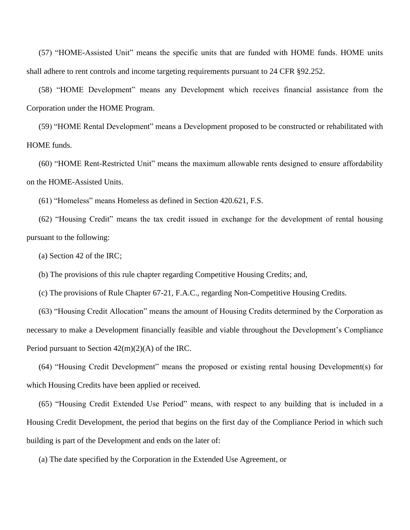(57) "HOME-Assisted Unit" means the specific units that are funded with HOME funds. HOME units shall adhere to rent controls and income targeting requirements pursuant to 24 CFR §92.252.

(58) "HOME Development" means any Development which receives financial assistance from the Corporation under the HOME Program.

(59) "HOME Rental Development" means a Development proposed to be constructed or rehabilitated with HOME funds.

(60) "HOME Rent-Restricted Unit" means the maximum allowable rents designed to ensure affordability on the HOME-Assisted Units.

(61) "Homeless" means Homeless as defined in Section 420.621, F.S.

(62) "Housing Credit" means the tax credit issued in exchange for the development of rental housing pursuant to the following:

(a) Section 42 of the IRC;

(b) The provisions of this rule chapter regarding Competitive Housing Credits; and,

(c) The provisions of Rule Chapter 67-21, F.A.C., regarding Non-Competitive Housing Credits.

(63) "Housing Credit Allocation" means the amount of Housing Credits determined by the Corporation as necessary to make a Development financially feasible and viable throughout the Development's Compliance Period pursuant to Section 42(m)(2)(A) of the IRC.

(64) "Housing Credit Development" means the proposed or existing rental housing Development(s) for which Housing Credits have been applied or received.

(65) "Housing Credit Extended Use Period" means, with respect to any building that is included in a Housing Credit Development, the period that begins on the first day of the Compliance Period in which such building is part of the Development and ends on the later of:

(a) The date specified by the Corporation in the Extended Use Agreement, or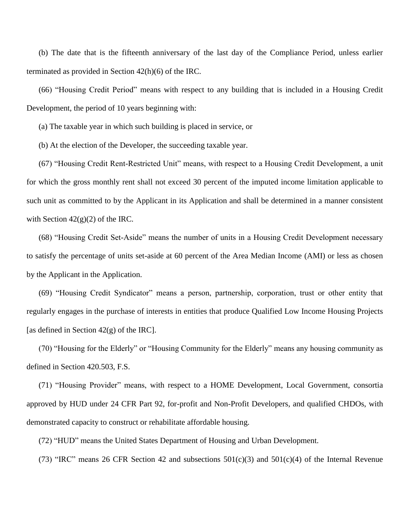(b) The date that is the fifteenth anniversary of the last day of the Compliance Period, unless earlier terminated as provided in Section 42(h)(6) of the IRC.

(66) "Housing Credit Period" means with respect to any building that is included in a Housing Credit Development, the period of 10 years beginning with:

(a) The taxable year in which such building is placed in service, or

(b) At the election of the Developer, the succeeding taxable year.

(67) "Housing Credit Rent-Restricted Unit" means, with respect to a Housing Credit Development, a unit for which the gross monthly rent shall not exceed 30 percent of the imputed income limitation applicable to such unit as committed to by the Applicant in its Application and shall be determined in a manner consistent with Section  $42(g)(2)$  of the IRC.

(68) "Housing Credit Set-Aside" means the number of units in a Housing Credit Development necessary to satisfy the percentage of units set-aside at 60 percent of the Area Median Income (AMI) or less as chosen by the Applicant in the Application.

(69) "Housing Credit Syndicator" means a person, partnership, corporation, trust or other entity that regularly engages in the purchase of interests in entities that produce Qualified Low Income Housing Projects [as defined in Section  $42(g)$  of the IRC].

(70) "Housing for the Elderly" or "Housing Community for the Elderly" means any housing community as defined in Section 420.503, F.S.

(71) "Housing Provider" means, with respect to a HOME Development, Local Government, consortia approved by HUD under 24 CFR Part 92, for-profit and Non-Profit Developers, and qualified CHDOs, with demonstrated capacity to construct or rehabilitate affordable housing.

(72) "HUD" means the United States Department of Housing and Urban Development.

(73) "IRC" means 26 CFR Section 42 and subsections  $501(c)(3)$  and  $501(c)(4)$  of the Internal Revenue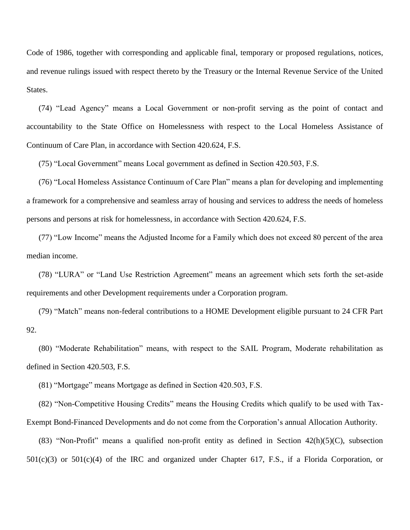Code of 1986, together with corresponding and applicable final, temporary or proposed regulations, notices, and revenue rulings issued with respect thereto by the Treasury or the Internal Revenue Service of the United States.

(74) "Lead Agency" means a Local Government or non-profit serving as the point of contact and accountability to the State Office on Homelessness with respect to the Local Homeless Assistance of Continuum of Care Plan, in accordance with Section 420.624, F.S.

(75) "Local Government" means Local government as defined in Section 420.503, F.S.

(76) "Local Homeless Assistance Continuum of Care Plan" means a plan for developing and implementing a framework for a comprehensive and seamless array of housing and services to address the needs of homeless persons and persons at risk for homelessness, in accordance with Section 420.624, F.S.

(77) "Low Income" means the Adjusted Income for a Family which does not exceed 80 percent of the area median income.

(78) "LURA" or "Land Use Restriction Agreement" means an agreement which sets forth the set-aside requirements and other Development requirements under a Corporation program.

(79) "Match" means non-federal contributions to a HOME Development eligible pursuant to 24 CFR Part 92.

(80) "Moderate Rehabilitation" means, with respect to the SAIL Program, Moderate rehabilitation as defined in Section 420.503, F.S.

(81) "Mortgage" means Mortgage as defined in Section 420.503, F.S.

(82) "Non-Competitive Housing Credits" means the Housing Credits which qualify to be used with Tax-Exempt Bond-Financed Developments and do not come from the Corporation's annual Allocation Authority.

(83) "Non-Profit" means a qualified non-profit entity as defined in Section  $42(h)(5)(C)$ , subsection 501(c)(3) or 501(c)(4) of the IRC and organized under Chapter 617, F.S., if a Florida Corporation, or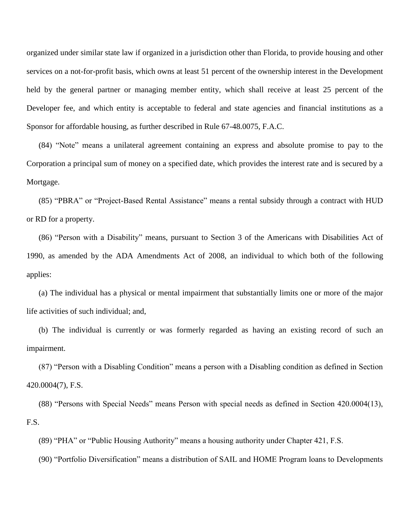organized under similar state law if organized in a jurisdiction other than Florida, to provide housing and other services on a not-for-profit basis, which owns at least 51 percent of the ownership interest in the Development held by the general partner or managing member entity, which shall receive at least 25 percent of the Developer fee, and which entity is acceptable to federal and state agencies and financial institutions as a Sponsor for affordable housing, as further described in Rule 67-48.0075, F.A.C.

(84) "Note" means a unilateral agreement containing an express and absolute promise to pay to the Corporation a principal sum of money on a specified date, which provides the interest rate and is secured by a Mortgage.

(85) "PBRA" or "Project-Based Rental Assistance" means a rental subsidy through a contract with HUD or RD for a property.

(86) "Person with a Disability" means, pursuant to Section 3 of the Americans with Disabilities Act of 1990, as amended by the ADA Amendments Act of 2008, an individual to which both of the following applies:

(a) The individual has a physical or mental impairment that substantially limits one or more of the major life activities of such individual; and,

(b) The individual is currently or was formerly regarded as having an existing record of such an impairment.

(87) "Person with a Disabling Condition" means a person with a Disabling condition as defined in Section 420.0004(7), F.S.

(88) "Persons with Special Needs" means Person with special needs as defined in Section 420.0004(13), F.S.

(89) "PHA" or "Public Housing Authority" means a housing authority under Chapter 421, F.S.

(90) "Portfolio Diversification" means a distribution of SAIL and HOME Program loans to Developments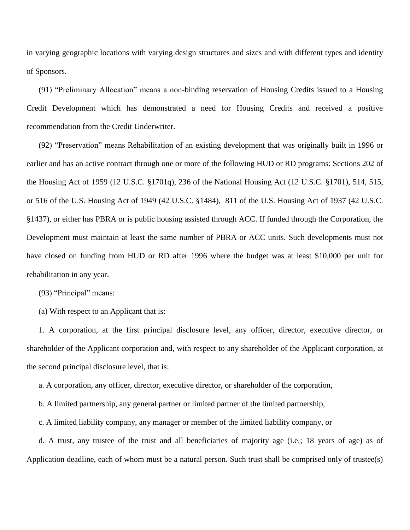in varying geographic locations with varying design structures and sizes and with different types and identity of Sponsors.

(91) "Preliminary Allocation" means a non-binding reservation of Housing Credits issued to a Housing Credit Development which has demonstrated a need for Housing Credits and received a positive recommendation from the Credit Underwriter.

(92) "Preservation" means Rehabilitation of an existing development that was originally built in 1996 or earlier and has an active contract through one or more of the following HUD or RD programs: Sections 202 of the Housing Act of 1959 (12 U.S.C. §1701q), 236 of the National Housing Act (12 U.S.C. §1701), 514, 515, or 516 of the U.S. Housing Act of 1949 (42 U.S.C. §1484), 811 of the U.S. Housing Act of 1937 (42 U.S.C. §1437), or either has PBRA or is public housing assisted through ACC. If funded through the Corporation, the Development must maintain at least the same number of PBRA or ACC units. Such developments must not have closed on funding from HUD or RD after 1996 where the budget was at least \$10,000 per unit for rehabilitation in any year.

(93) "Principal" means:

(a) With respect to an Applicant that is:

1. A corporation, at the first principal disclosure level, any officer, director, executive director, or shareholder of the Applicant corporation and, with respect to any shareholder of the Applicant corporation, at the second principal disclosure level, that is:

a. A corporation, any officer, director, executive director, or shareholder of the corporation,

b. A limited partnership, any general partner or limited partner of the limited partnership,

c. A limited liability company, any manager or member of the limited liability company, or

d. A trust, any trustee of the trust and all beneficiaries of majority age (i.e.; 18 years of age) as of Application deadline, each of whom must be a natural person. Such trust shall be comprised only of trustee(s)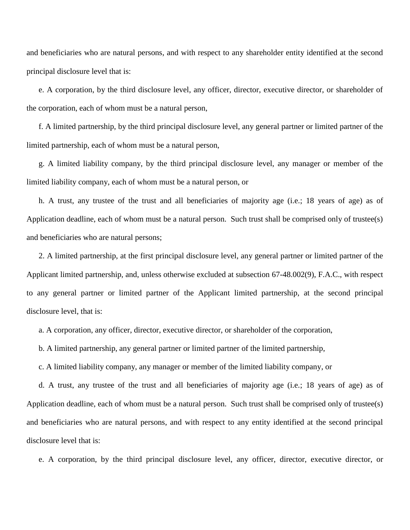and beneficiaries who are natural persons, and with respect to any shareholder entity identified at the second principal disclosure level that is:

e. A corporation, by the third disclosure level, any officer, director, executive director, or shareholder of the corporation, each of whom must be a natural person,

f. A limited partnership, by the third principal disclosure level, any general partner or limited partner of the limited partnership, each of whom must be a natural person,

g. A limited liability company, by the third principal disclosure level, any manager or member of the limited liability company, each of whom must be a natural person, or

h. A trust, any trustee of the trust and all beneficiaries of majority age (i.e.; 18 years of age) as of Application deadline, each of whom must be a natural person. Such trust shall be comprised only of trustee(s) and beneficiaries who are natural persons;

2. A limited partnership, at the first principal disclosure level, any general partner or limited partner of the Applicant limited partnership, and, unless otherwise excluded at subsection 67-48.002(9), F.A.C., with respect to any general partner or limited partner of the Applicant limited partnership, at the second principal disclosure level, that is:

a. A corporation, any officer, director, executive director, or shareholder of the corporation,

b. A limited partnership, any general partner or limited partner of the limited partnership,

c. A limited liability company, any manager or member of the limited liability company, or

d. A trust, any trustee of the trust and all beneficiaries of majority age (i.e.; 18 years of age) as of Application deadline, each of whom must be a natural person. Such trust shall be comprised only of trustee(s) and beneficiaries who are natural persons, and with respect to any entity identified at the second principal disclosure level that is:

e. A corporation, by the third principal disclosure level, any officer, director, executive director, or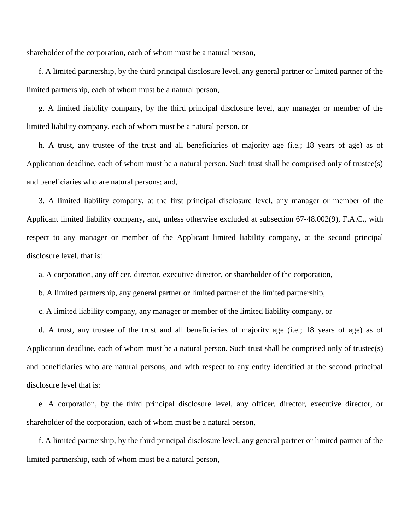shareholder of the corporation, each of whom must be a natural person,

f. A limited partnership, by the third principal disclosure level, any general partner or limited partner of the limited partnership, each of whom must be a natural person,

g. A limited liability company, by the third principal disclosure level, any manager or member of the limited liability company, each of whom must be a natural person, or

h. A trust, any trustee of the trust and all beneficiaries of majority age (i.e.; 18 years of age) as of Application deadline, each of whom must be a natural person. Such trust shall be comprised only of trustee(s) and beneficiaries who are natural persons; and,

3. A limited liability company, at the first principal disclosure level, any manager or member of the Applicant limited liability company, and, unless otherwise excluded at subsection 67-48.002(9), F.A.C., with respect to any manager or member of the Applicant limited liability company, at the second principal disclosure level, that is:

a. A corporation, any officer, director, executive director, or shareholder of the corporation,

b. A limited partnership, any general partner or limited partner of the limited partnership,

c. A limited liability company, any manager or member of the limited liability company, or

d. A trust, any trustee of the trust and all beneficiaries of majority age (i.e.; 18 years of age) as of Application deadline, each of whom must be a natural person. Such trust shall be comprised only of trustee(s) and beneficiaries who are natural persons, and with respect to any entity identified at the second principal disclosure level that is:

e. A corporation, by the third principal disclosure level, any officer, director, executive director, or shareholder of the corporation, each of whom must be a natural person,

f. A limited partnership, by the third principal disclosure level, any general partner or limited partner of the limited partnership, each of whom must be a natural person,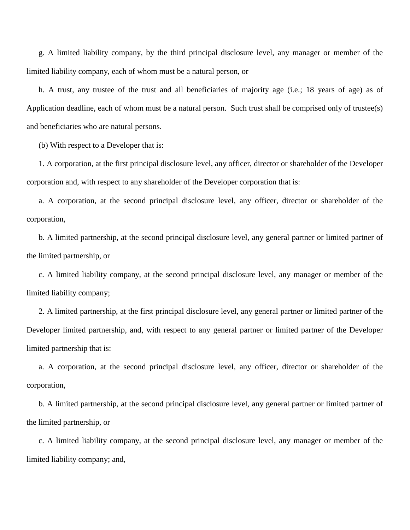g. A limited liability company, by the third principal disclosure level, any manager or member of the limited liability company, each of whom must be a natural person, or

h. A trust, any trustee of the trust and all beneficiaries of majority age (i.e.; 18 years of age) as of Application deadline, each of whom must be a natural person. Such trust shall be comprised only of trustee(s) and beneficiaries who are natural persons.

(b) With respect to a Developer that is:

1. A corporation, at the first principal disclosure level, any officer, director or shareholder of the Developer corporation and, with respect to any shareholder of the Developer corporation that is:

a. A corporation, at the second principal disclosure level, any officer, director or shareholder of the corporation,

b. A limited partnership, at the second principal disclosure level, any general partner or limited partner of the limited partnership, or

c. A limited liability company, at the second principal disclosure level, any manager or member of the limited liability company;

2. A limited partnership, at the first principal disclosure level, any general partner or limited partner of the Developer limited partnership, and, with respect to any general partner or limited partner of the Developer limited partnership that is:

a. A corporation, at the second principal disclosure level, any officer, director or shareholder of the corporation,

b. A limited partnership, at the second principal disclosure level, any general partner or limited partner of the limited partnership, or

c. A limited liability company, at the second principal disclosure level, any manager or member of the limited liability company; and,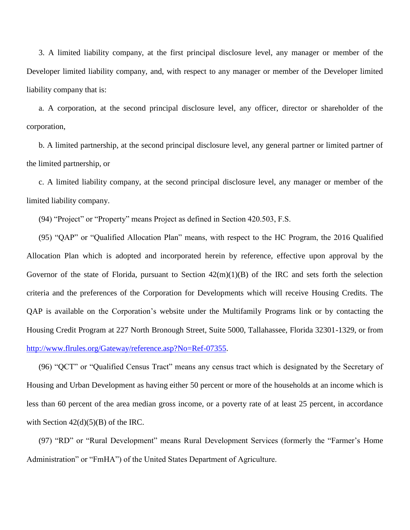3. A limited liability company, at the first principal disclosure level, any manager or member of the Developer limited liability company, and, with respect to any manager or member of the Developer limited liability company that is:

a. A corporation, at the second principal disclosure level, any officer, director or shareholder of the corporation,

b. A limited partnership, at the second principal disclosure level, any general partner or limited partner of the limited partnership, or

c. A limited liability company, at the second principal disclosure level, any manager or member of the limited liability company.

(94) "Project" or "Property" means Project as defined in Section 420.503, F.S.

(95) "QAP" or "Qualified Allocation Plan" means, with respect to the HC Program, the 2016 Qualified Allocation Plan which is adopted and incorporated herein by reference, effective upon approval by the Governor of the state of Florida, pursuant to Section  $42(m)(1)(B)$  of the IRC and sets forth the selection criteria and the preferences of the Corporation for Developments which will receive Housing Credits. The QAP is available on the Corporation's website under the Multifamily Programs link or by contacting the Housing Credit Program at 227 North Bronough Street, Suite 5000, Tallahassee, Florida 32301-1329, or from [http://www.flrules.org/Gateway/reference.asp?No=Ref-07355.](http://www.flrules.org/Gateway/reference.asp?No=Ref-07355)

(96) "QCT" or "Qualified Census Tract" means any census tract which is designated by the Secretary of Housing and Urban Development as having either 50 percent or more of the households at an income which is less than 60 percent of the area median gross income, or a poverty rate of at least 25 percent, in accordance with Section  $42(d)(5)(B)$  of the IRC.

(97) "RD" or "Rural Development" means Rural Development Services (formerly the "Farmer's Home Administration" or "FmHA") of the United States Department of Agriculture.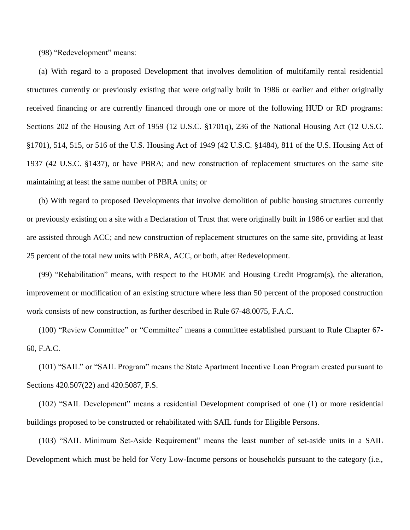(98) "Redevelopment" means:

(a) With regard to a proposed Development that involves demolition of multifamily rental residential structures currently or previously existing that were originally built in 1986 or earlier and either originally received financing or are currently financed through one or more of the following HUD or RD programs: Sections 202 of the Housing Act of 1959 (12 U.S.C. §1701q), 236 of the National Housing Act (12 U.S.C. §1701), 514, 515, or 516 of the U.S. Housing Act of 1949 (42 U.S.C. §1484), 811 of the U.S. Housing Act of 1937 (42 U.S.C. §1437), or have PBRA; and new construction of replacement structures on the same site maintaining at least the same number of PBRA units; or

(b) With regard to proposed Developments that involve demolition of public housing structures currently or previously existing on a site with a Declaration of Trust that were originally built in 1986 or earlier and that are assisted through ACC; and new construction of replacement structures on the same site, providing at least 25 percent of the total new units with PBRA, ACC, or both, after Redevelopment.

(99) "Rehabilitation" means, with respect to the HOME and Housing Credit Program(s), the alteration, improvement or modification of an existing structure where less than 50 percent of the proposed construction work consists of new construction, as further described in Rule 67-48.0075, F.A.C.

(100) "Review Committee" or "Committee" means a committee established pursuant to Rule Chapter 67- 60, F.A.C.

(101) "SAIL" or "SAIL Program" means the State Apartment Incentive Loan Program created pursuant to Sections 420.507(22) and 420.5087, F.S.

(102) "SAIL Development" means a residential Development comprised of one (1) or more residential buildings proposed to be constructed or rehabilitated with SAIL funds for Eligible Persons.

(103) "SAIL Minimum Set-Aside Requirement" means the least number of set-aside units in a SAIL Development which must be held for Very Low-Income persons or households pursuant to the category (i.e.,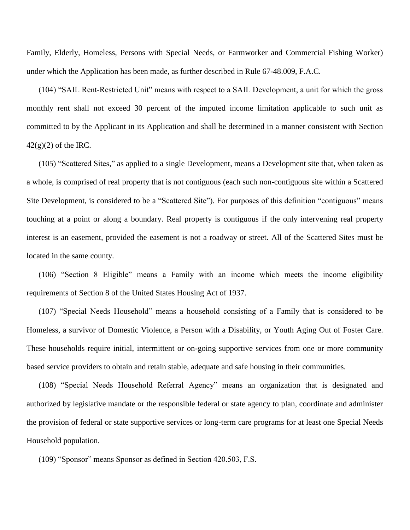Family, Elderly, Homeless, Persons with Special Needs, or Farmworker and Commercial Fishing Worker) under which the Application has been made, as further described in Rule 67-48.009, F.A.C.

(104) "SAIL Rent-Restricted Unit" means with respect to a SAIL Development, a unit for which the gross monthly rent shall not exceed 30 percent of the imputed income limitation applicable to such unit as committed to by the Applicant in its Application and shall be determined in a manner consistent with Section  $42(g)(2)$  of the IRC.

(105) "Scattered Sites," as applied to a single Development, means a Development site that, when taken as a whole, is comprised of real property that is not contiguous (each such non-contiguous site within a Scattered Site Development, is considered to be a "Scattered Site"). For purposes of this definition "contiguous" means touching at a point or along a boundary. Real property is contiguous if the only intervening real property interest is an easement, provided the easement is not a roadway or street. All of the Scattered Sites must be located in the same county.

(106) "Section 8 Eligible" means a Family with an income which meets the income eligibility requirements of Section 8 of the United States Housing Act of 1937.

(107) "Special Needs Household" means a household consisting of a Family that is considered to be Homeless, a survivor of Domestic Violence, a Person with a Disability, or Youth Aging Out of Foster Care. These households require initial, intermittent or on-going supportive services from one or more community based service providers to obtain and retain stable, adequate and safe housing in their communities.

(108) "Special Needs Household Referral Agency" means an organization that is designated and authorized by legislative mandate or the responsible federal or state agency to plan, coordinate and administer the provision of federal or state supportive services or long-term care programs for at least one Special Needs Household population.

(109) "Sponsor" means Sponsor as defined in Section 420.503, F.S.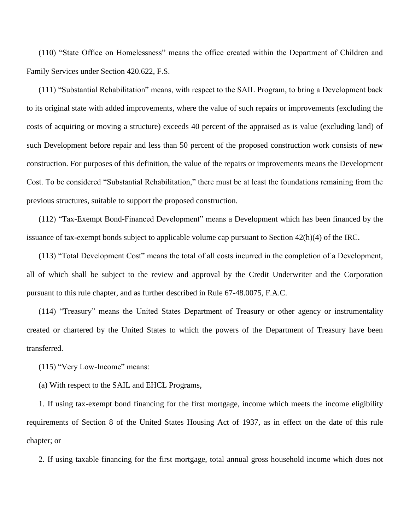(110) "State Office on Homelessness" means the office created within the Department of Children and Family Services under Section 420.622, F.S.

(111) "Substantial Rehabilitation" means, with respect to the SAIL Program, to bring a Development back to its original state with added improvements, where the value of such repairs or improvements (excluding the costs of acquiring or moving a structure) exceeds 40 percent of the appraised as is value (excluding land) of such Development before repair and less than 50 percent of the proposed construction work consists of new construction. For purposes of this definition, the value of the repairs or improvements means the Development Cost. To be considered "Substantial Rehabilitation," there must be at least the foundations remaining from the previous structures, suitable to support the proposed construction.

(112) "Tax-Exempt Bond-Financed Development" means a Development which has been financed by the issuance of tax-exempt bonds subject to applicable volume cap pursuant to Section 42(h)(4) of the IRC.

(113) "Total Development Cost" means the total of all costs incurred in the completion of a Development, all of which shall be subject to the review and approval by the Credit Underwriter and the Corporation pursuant to this rule chapter, and as further described in Rule 67-48.0075, F.A.C.

(114) "Treasury" means the United States Department of Treasury or other agency or instrumentality created or chartered by the United States to which the powers of the Department of Treasury have been transferred.

(115) "Very Low-Income" means:

(a) With respect to the SAIL and EHCL Programs,

1. If using tax-exempt bond financing for the first mortgage, income which meets the income eligibility requirements of Section 8 of the United States Housing Act of 1937, as in effect on the date of this rule chapter; or

2. If using taxable financing for the first mortgage, total annual gross household income which does not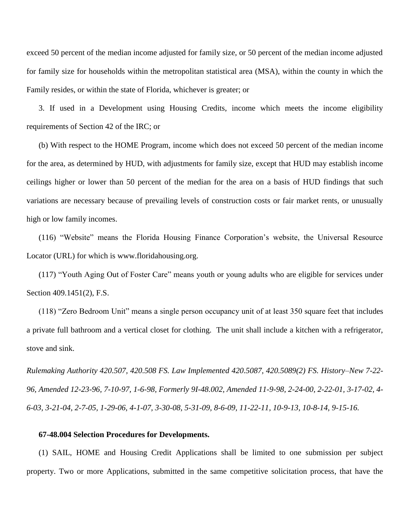exceed 50 percent of the median income adjusted for family size, or 50 percent of the median income adjusted for family size for households within the metropolitan statistical area (MSA), within the county in which the Family resides, or within the state of Florida, whichever is greater; or

3. If used in a Development using Housing Credits, income which meets the income eligibility requirements of Section 42 of the IRC; or

(b) With respect to the HOME Program, income which does not exceed 50 percent of the median income for the area, as determined by HUD, with adjustments for family size, except that HUD may establish income ceilings higher or lower than 50 percent of the median for the area on a basis of HUD findings that such variations are necessary because of prevailing levels of construction costs or fair market rents, or unusually high or low family incomes.

(116) "Website" means the Florida Housing Finance Corporation's website, the Universal Resource Locator (URL) for which is www.floridahousing.org.

(117) "Youth Aging Out of Foster Care" means youth or young adults who are eligible for services under Section 409.1451(2), F.S.

(118) "Zero Bedroom Unit" means a single person occupancy unit of at least 350 square feet that includes a private full bathroom and a vertical closet for clothing. The unit shall include a kitchen with a refrigerator, stove and sink.

*Rulemaking Authority 420.507, 420.508 FS. Law Implemented 420.5087, 420.5089(2) FS. History–New 7-22- 96, Amended 12-23-96, 7-10-97, 1-6-98, Formerly 9I-48.002, Amended 11-9-98, 2-24-00, 2-22-01, 3-17-02, 4- 6-03, 3-21-04, 2-7-05, 1-29-06, 4-1-07, 3-30-08, 5-31-09, 8-6-09, 11-22-11, 10-9-13, 10-8-14, 9-15-16.*

### **67-48.004 Selection Procedures for Developments.**

(1) SAIL, HOME and Housing Credit Applications shall be limited to one submission per subject property. Two or more Applications, submitted in the same competitive solicitation process, that have the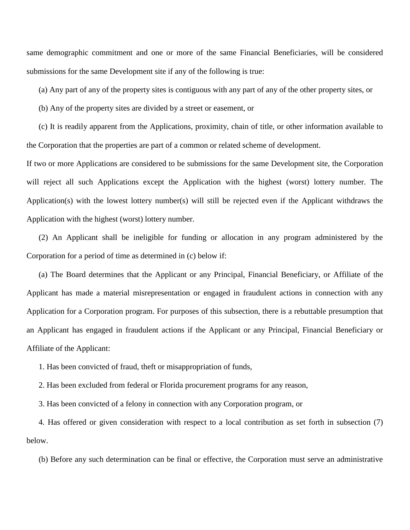same demographic commitment and one or more of the same Financial Beneficiaries, will be considered submissions for the same Development site if any of the following is true:

(a) Any part of any of the property sites is contiguous with any part of any of the other property sites, or

(b) Any of the property sites are divided by a street or easement, or

(c) It is readily apparent from the Applications, proximity, chain of title, or other information available to the Corporation that the properties are part of a common or related scheme of development.

If two or more Applications are considered to be submissions for the same Development site, the Corporation will reject all such Applications except the Application with the highest (worst) lottery number. The Application(s) with the lowest lottery number(s) will still be rejected even if the Applicant withdraws the Application with the highest (worst) lottery number.

(2) An Applicant shall be ineligible for funding or allocation in any program administered by the Corporation for a period of time as determined in (c) below if:

(a) The Board determines that the Applicant or any Principal, Financial Beneficiary, or Affiliate of the Applicant has made a material misrepresentation or engaged in fraudulent actions in connection with any Application for a Corporation program. For purposes of this subsection, there is a rebuttable presumption that an Applicant has engaged in fraudulent actions if the Applicant or any Principal, Financial Beneficiary or Affiliate of the Applicant:

1. Has been convicted of fraud, theft or misappropriation of funds,

2. Has been excluded from federal or Florida procurement programs for any reason,

3. Has been convicted of a felony in connection with any Corporation program, or

4. Has offered or given consideration with respect to a local contribution as set forth in subsection (7) below.

(b) Before any such determination can be final or effective, the Corporation must serve an administrative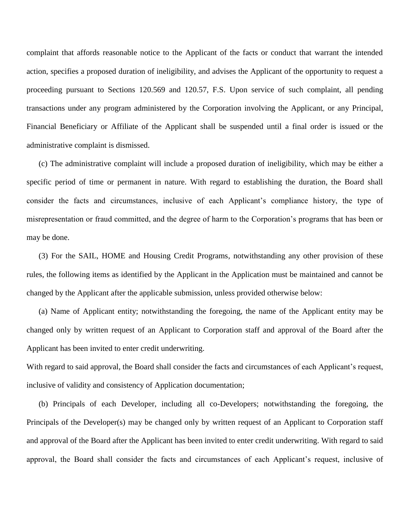complaint that affords reasonable notice to the Applicant of the facts or conduct that warrant the intended action, specifies a proposed duration of ineligibility, and advises the Applicant of the opportunity to request a proceeding pursuant to Sections 120.569 and 120.57, F.S. Upon service of such complaint, all pending transactions under any program administered by the Corporation involving the Applicant, or any Principal, Financial Beneficiary or Affiliate of the Applicant shall be suspended until a final order is issued or the administrative complaint is dismissed.

(c) The administrative complaint will include a proposed duration of ineligibility, which may be either a specific period of time or permanent in nature. With regard to establishing the duration, the Board shall consider the facts and circumstances, inclusive of each Applicant's compliance history, the type of misrepresentation or fraud committed, and the degree of harm to the Corporation's programs that has been or may be done.

(3) For the SAIL, HOME and Housing Credit Programs, notwithstanding any other provision of these rules, the following items as identified by the Applicant in the Application must be maintained and cannot be changed by the Applicant after the applicable submission, unless provided otherwise below:

(a) Name of Applicant entity; notwithstanding the foregoing, the name of the Applicant entity may be changed only by written request of an Applicant to Corporation staff and approval of the Board after the Applicant has been invited to enter credit underwriting.

With regard to said approval, the Board shall consider the facts and circumstances of each Applicant's request, inclusive of validity and consistency of Application documentation;

(b) Principals of each Developer, including all co-Developers; notwithstanding the foregoing, the Principals of the Developer(s) may be changed only by written request of an Applicant to Corporation staff and approval of the Board after the Applicant has been invited to enter credit underwriting. With regard to said approval, the Board shall consider the facts and circumstances of each Applicant's request, inclusive of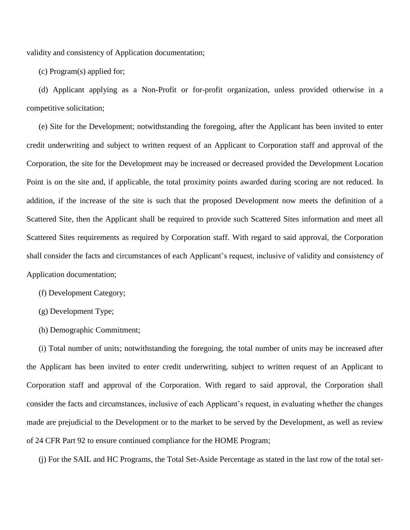validity and consistency of Application documentation;

(c) Program(s) applied for;

(d) Applicant applying as a Non-Profit or for-profit organization, unless provided otherwise in a competitive solicitation;

(e) Site for the Development; notwithstanding the foregoing, after the Applicant has been invited to enter credit underwriting and subject to written request of an Applicant to Corporation staff and approval of the Corporation, the site for the Development may be increased or decreased provided the Development Location Point is on the site and, if applicable, the total proximity points awarded during scoring are not reduced. In addition, if the increase of the site is such that the proposed Development now meets the definition of a Scattered Site, then the Applicant shall be required to provide such Scattered Sites information and meet all Scattered Sites requirements as required by Corporation staff. With regard to said approval, the Corporation shall consider the facts and circumstances of each Applicant's request, inclusive of validity and consistency of Application documentation;

- (f) Development Category;
- (g) Development Type;
- (h) Demographic Commitment;

(i) Total number of units; notwithstanding the foregoing, the total number of units may be increased after the Applicant has been invited to enter credit underwriting, subject to written request of an Applicant to Corporation staff and approval of the Corporation. With regard to said approval, the Corporation shall consider the facts and circumstances, inclusive of each Applicant's request, in evaluating whether the changes made are prejudicial to the Development or to the market to be served by the Development, as well as review of 24 CFR Part 92 to ensure continued compliance for the HOME Program;

(j) For the SAIL and HC Programs, the Total Set-Aside Percentage as stated in the last row of the total set-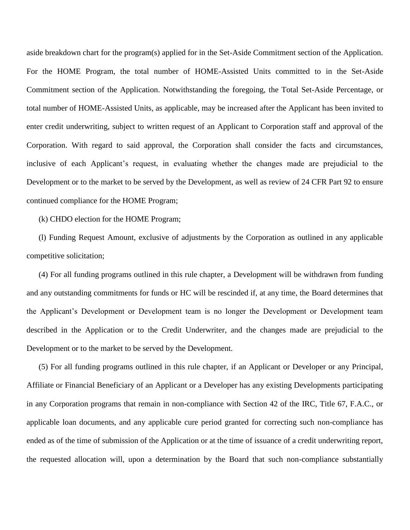aside breakdown chart for the program(s) applied for in the Set-Aside Commitment section of the Application. For the HOME Program, the total number of HOME-Assisted Units committed to in the Set-Aside Commitment section of the Application. Notwithstanding the foregoing, the Total Set-Aside Percentage, or total number of HOME-Assisted Units, as applicable, may be increased after the Applicant has been invited to enter credit underwriting, subject to written request of an Applicant to Corporation staff and approval of the Corporation. With regard to said approval, the Corporation shall consider the facts and circumstances, inclusive of each Applicant's request, in evaluating whether the changes made are prejudicial to the Development or to the market to be served by the Development, as well as review of 24 CFR Part 92 to ensure continued compliance for the HOME Program;

(k) CHDO election for the HOME Program;

(l) Funding Request Amount, exclusive of adjustments by the Corporation as outlined in any applicable competitive solicitation;

(4) For all funding programs outlined in this rule chapter, a Development will be withdrawn from funding and any outstanding commitments for funds or HC will be rescinded if, at any time, the Board determines that the Applicant's Development or Development team is no longer the Development or Development team described in the Application or to the Credit Underwriter, and the changes made are prejudicial to the Development or to the market to be served by the Development.

(5) For all funding programs outlined in this rule chapter, if an Applicant or Developer or any Principal, Affiliate or Financial Beneficiary of an Applicant or a Developer has any existing Developments participating in any Corporation programs that remain in non-compliance with Section 42 of the IRC, Title 67, F.A.C., or applicable loan documents, and any applicable cure period granted for correcting such non-compliance has ended as of the time of submission of the Application or at the time of issuance of a credit underwriting report, the requested allocation will, upon a determination by the Board that such non-compliance substantially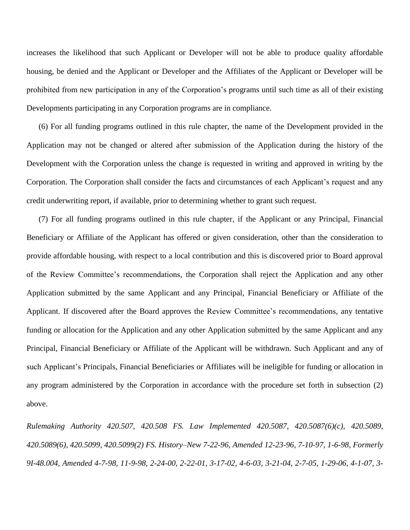increases the likelihood that such Applicant or Developer will not be able to produce quality affordable housing, be denied and the Applicant or Developer and the Affiliates of the Applicant or Developer will be prohibited from new participation in any of the Corporation's programs until such time as all of their existing Developments participating in any Corporation programs are in compliance.

(6) For all funding programs outlined in this rule chapter, the name of the Development provided in the Application may not be changed or altered after submission of the Application during the history of the Development with the Corporation unless the change is requested in writing and approved in writing by the Corporation. The Corporation shall consider the facts and circumstances of each Applicant's request and any credit underwriting report, if available, prior to determining whether to grant such request.

(7) For all funding programs outlined in this rule chapter, if the Applicant or any Principal, Financial Beneficiary or Affiliate of the Applicant has offered or given consideration, other than the consideration to provide affordable housing, with respect to a local contribution and this is discovered prior to Board approval of the Review Committee's recommendations, the Corporation shall reject the Application and any other Application submitted by the same Applicant and any Principal, Financial Beneficiary or Affiliate of the Applicant. If discovered after the Board approves the Review Committee's recommendations, any tentative funding or allocation for the Application and any other Application submitted by the same Applicant and any Principal, Financial Beneficiary or Affiliate of the Applicant will be withdrawn. Such Applicant and any of such Applicant's Principals, Financial Beneficiaries or Affiliates will be ineligible for funding or allocation in any program administered by the Corporation in accordance with the procedure set forth in subsection (2) above.

*Rulemaking Authority 420.507, 420.508 FS. Law Implemented 420.5087, 420.5087(6)(c), 420.5089, 420.5089(6), 420.5099, 420.5099(2) FS. History–New 7-22-96, Amended 12-23-96, 7-10-97, 1-6-98, Formerly 9I-48.004, Amended 4-7-98, 11-9-98, 2-24-00, 2-22-01, 3-17-02, 4-6-03, 3-21-04, 2-7-05, 1-29-06, 4-1-07, 3-*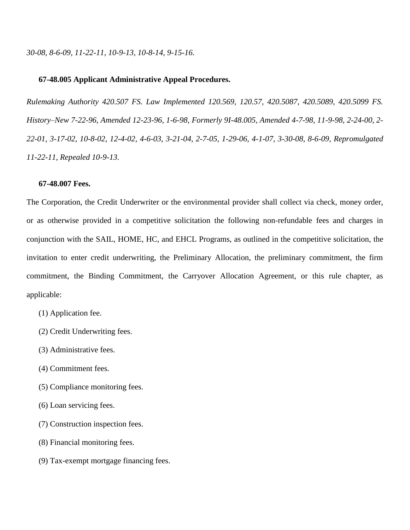### **67-48.005 Applicant Administrative Appeal Procedures.**

*Rulemaking Authority 420.507 FS. Law Implemented 120.569, 120.57, 420.5087, 420.5089, 420.5099 FS. History–New 7-22-96, Amended 12-23-96, 1-6-98, Formerly 9I-48.005, Amended 4-7-98, 11-9-98, 2-24-00, 2- 22-01, 3-17-02, 10-8-02, 12-4-02, 4-6-03, 3-21-04, 2-7-05, 1-29-06, 4-1-07, 3-30-08, 8-6-09, Repromulgated 11-22-11, Repealed 10-9-13.*

### **67-48.007 Fees.**

The Corporation, the Credit Underwriter or the environmental provider shall collect via check, money order, or as otherwise provided in a competitive solicitation the following non-refundable fees and charges in conjunction with the SAIL, HOME, HC, and EHCL Programs, as outlined in the competitive solicitation, the invitation to enter credit underwriting, the Preliminary Allocation, the preliminary commitment, the firm commitment, the Binding Commitment, the Carryover Allocation Agreement, or this rule chapter, as applicable:

- (1) Application fee.
- (2) Credit Underwriting fees.
- (3) Administrative fees.
- (4) Commitment fees.
- (5) Compliance monitoring fees.
- (6) Loan servicing fees.
- (7) Construction inspection fees.
- (8) Financial monitoring fees.
- (9) Tax-exempt mortgage financing fees.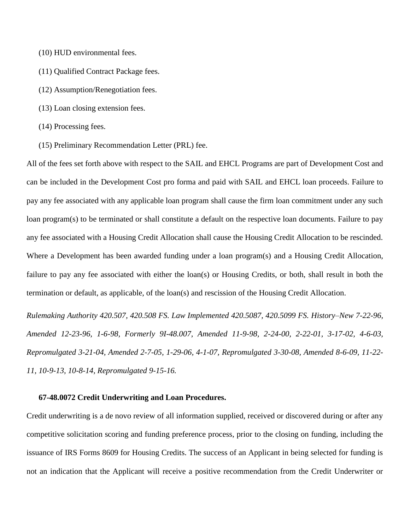- (10) HUD environmental fees.
- (11) Qualified Contract Package fees.
- (12) Assumption/Renegotiation fees.
- (13) Loan closing extension fees.
- (14) Processing fees.
- (15) Preliminary Recommendation Letter (PRL) fee.

All of the fees set forth above with respect to the SAIL and EHCL Programs are part of Development Cost and can be included in the Development Cost pro forma and paid with SAIL and EHCL loan proceeds. Failure to pay any fee associated with any applicable loan program shall cause the firm loan commitment under any such loan program(s) to be terminated or shall constitute a default on the respective loan documents. Failure to pay any fee associated with a Housing Credit Allocation shall cause the Housing Credit Allocation to be rescinded. Where a Development has been awarded funding under a loan program(s) and a Housing Credit Allocation, failure to pay any fee associated with either the loan(s) or Housing Credits, or both, shall result in both the termination or default, as applicable, of the loan(s) and rescission of the Housing Credit Allocation.

*Rulemaking Authority 420.507, 420.508 FS. Law Implemented 420.5087, 420.5099 FS. History–New 7-22-96, Amended 12-23-96, 1-6-98, Formerly 9I-48.007, Amended 11-9-98, 2-24-00, 2-22-01, 3-17-02, 4-6-03, Repromulgated 3-21-04, Amended 2-7-05, 1-29-06, 4-1-07, Repromulgated 3-30-08, Amended 8-6-09, 11-22- 11, 10-9-13, 10-8-14, Repromulgated 9-15-16.*

## **67-48.0072 Credit Underwriting and Loan Procedures.**

Credit underwriting is a de novo review of all information supplied, received or discovered during or after any competitive solicitation scoring and funding preference process, prior to the closing on funding, including the issuance of IRS Forms 8609 for Housing Credits. The success of an Applicant in being selected for funding is not an indication that the Applicant will receive a positive recommendation from the Credit Underwriter or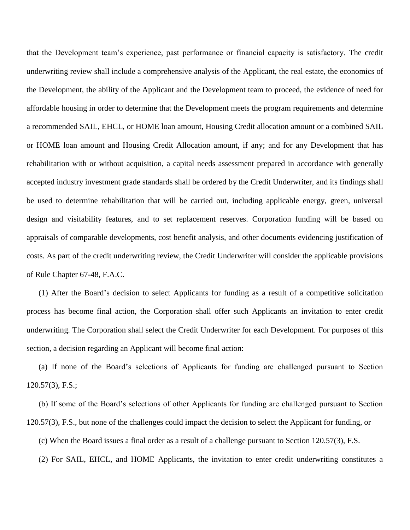that the Development team's experience, past performance or financial capacity is satisfactory. The credit underwriting review shall include a comprehensive analysis of the Applicant, the real estate, the economics of the Development, the ability of the Applicant and the Development team to proceed, the evidence of need for affordable housing in order to determine that the Development meets the program requirements and determine a recommended SAIL, EHCL, or HOME loan amount, Housing Credit allocation amount or a combined SAIL or HOME loan amount and Housing Credit Allocation amount, if any; and for any Development that has rehabilitation with or without acquisition, a capital needs assessment prepared in accordance with generally accepted industry investment grade standards shall be ordered by the Credit Underwriter, and its findings shall be used to determine rehabilitation that will be carried out, including applicable energy, green, universal design and visitability features, and to set replacement reserves. Corporation funding will be based on appraisals of comparable developments, cost benefit analysis, and other documents evidencing justification of costs. As part of the credit underwriting review, the Credit Underwriter will consider the applicable provisions of Rule Chapter 67-48, F.A.C.

(1) After the Board's decision to select Applicants for funding as a result of a competitive solicitation process has become final action, the Corporation shall offer such Applicants an invitation to enter credit underwriting. The Corporation shall select the Credit Underwriter for each Development. For purposes of this section, a decision regarding an Applicant will become final action:

(a) If none of the Board's selections of Applicants for funding are challenged pursuant to Section 120.57(3), F.S.;

(b) If some of the Board's selections of other Applicants for funding are challenged pursuant to Section 120.57(3), F.S., but none of the challenges could impact the decision to select the Applicant for funding, or

(c) When the Board issues a final order as a result of a challenge pursuant to Section 120.57(3), F.S.

(2) For SAIL, EHCL, and HOME Applicants, the invitation to enter credit underwriting constitutes a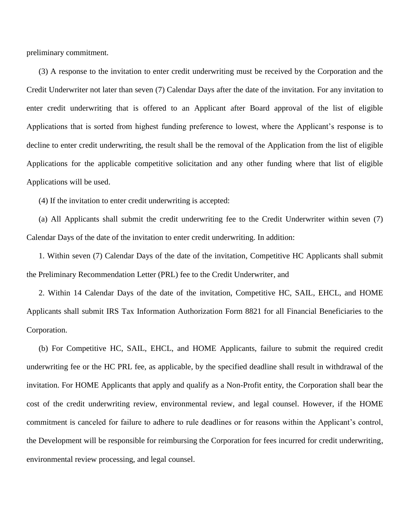preliminary commitment.

(3) A response to the invitation to enter credit underwriting must be received by the Corporation and the Credit Underwriter not later than seven (7) Calendar Days after the date of the invitation. For any invitation to enter credit underwriting that is offered to an Applicant after Board approval of the list of eligible Applications that is sorted from highest funding preference to lowest, where the Applicant's response is to decline to enter credit underwriting, the result shall be the removal of the Application from the list of eligible Applications for the applicable competitive solicitation and any other funding where that list of eligible Applications will be used.

(4) If the invitation to enter credit underwriting is accepted:

(a) All Applicants shall submit the credit underwriting fee to the Credit Underwriter within seven (7) Calendar Days of the date of the invitation to enter credit underwriting. In addition:

1. Within seven (7) Calendar Days of the date of the invitation, Competitive HC Applicants shall submit the Preliminary Recommendation Letter (PRL) fee to the Credit Underwriter, and

2. Within 14 Calendar Days of the date of the invitation, Competitive HC, SAIL, EHCL, and HOME Applicants shall submit IRS Tax Information Authorization Form 8821 for all Financial Beneficiaries to the Corporation.

(b) For Competitive HC, SAIL, EHCL, and HOME Applicants, failure to submit the required credit underwriting fee or the HC PRL fee, as applicable, by the specified deadline shall result in withdrawal of the invitation. For HOME Applicants that apply and qualify as a Non-Profit entity, the Corporation shall bear the cost of the credit underwriting review, environmental review, and legal counsel. However, if the HOME commitment is canceled for failure to adhere to rule deadlines or for reasons within the Applicant's control, the Development will be responsible for reimbursing the Corporation for fees incurred for credit underwriting, environmental review processing, and legal counsel.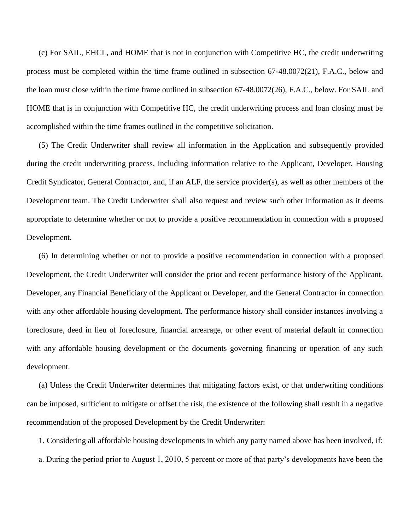(c) For SAIL, EHCL, and HOME that is not in conjunction with Competitive HC, the credit underwriting process must be completed within the time frame outlined in subsection 67-48.0072(21), F.A.C., below and the loan must close within the time frame outlined in subsection 67-48.0072(26), F.A.C., below. For SAIL and HOME that is in conjunction with Competitive HC, the credit underwriting process and loan closing must be accomplished within the time frames outlined in the competitive solicitation.

(5) The Credit Underwriter shall review all information in the Application and subsequently provided during the credit underwriting process, including information relative to the Applicant, Developer, Housing Credit Syndicator, General Contractor, and, if an ALF, the service provider(s), as well as other members of the Development team. The Credit Underwriter shall also request and review such other information as it deems appropriate to determine whether or not to provide a positive recommendation in connection with a proposed Development.

(6) In determining whether or not to provide a positive recommendation in connection with a proposed Development, the Credit Underwriter will consider the prior and recent performance history of the Applicant, Developer, any Financial Beneficiary of the Applicant or Developer, and the General Contractor in connection with any other affordable housing development. The performance history shall consider instances involving a foreclosure, deed in lieu of foreclosure, financial arrearage, or other event of material default in connection with any affordable housing development or the documents governing financing or operation of any such development.

(a) Unless the Credit Underwriter determines that mitigating factors exist, or that underwriting conditions can be imposed, sufficient to mitigate or offset the risk, the existence of the following shall result in a negative recommendation of the proposed Development by the Credit Underwriter:

1. Considering all affordable housing developments in which any party named above has been involved, if: a. During the period prior to August 1, 2010, 5 percent or more of that party's developments have been the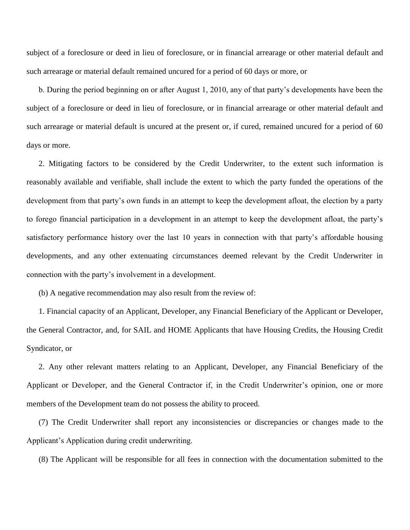subject of a foreclosure or deed in lieu of foreclosure, or in financial arrearage or other material default and such arrearage or material default remained uncured for a period of 60 days or more, or

b. During the period beginning on or after August 1, 2010, any of that party's developments have been the subject of a foreclosure or deed in lieu of foreclosure, or in financial arrearage or other material default and such arrearage or material default is uncured at the present or, if cured, remained uncured for a period of 60 days or more.

2. Mitigating factors to be considered by the Credit Underwriter, to the extent such information is reasonably available and verifiable, shall include the extent to which the party funded the operations of the development from that party's own funds in an attempt to keep the development afloat, the election by a party to forego financial participation in a development in an attempt to keep the development afloat, the party's satisfactory performance history over the last 10 years in connection with that party's affordable housing developments, and any other extenuating circumstances deemed relevant by the Credit Underwriter in connection with the party's involvement in a development.

(b) A negative recommendation may also result from the review of:

1. Financial capacity of an Applicant, Developer, any Financial Beneficiary of the Applicant or Developer, the General Contractor, and, for SAIL and HOME Applicants that have Housing Credits, the Housing Credit Syndicator, or

2. Any other relevant matters relating to an Applicant, Developer, any Financial Beneficiary of the Applicant or Developer, and the General Contractor if, in the Credit Underwriter's opinion, one or more members of the Development team do not possess the ability to proceed.

(7) The Credit Underwriter shall report any inconsistencies or discrepancies or changes made to the Applicant's Application during credit underwriting.

(8) The Applicant will be responsible for all fees in connection with the documentation submitted to the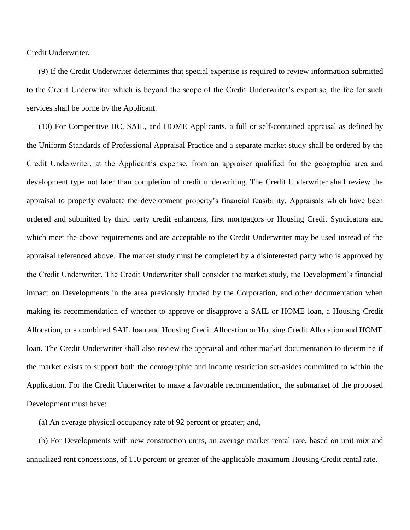Credit Underwriter.

(9) If the Credit Underwriter determines that special expertise is required to review information submitted to the Credit Underwriter which is beyond the scope of the Credit Underwriter's expertise, the fee for such services shall be borne by the Applicant.

(10) For Competitive HC, SAIL, and HOME Applicants, a full or self-contained appraisal as defined by the Uniform Standards of Professional Appraisal Practice and a separate market study shall be ordered by the Credit Underwriter, at the Applicant's expense, from an appraiser qualified for the geographic area and development type not later than completion of credit underwriting. The Credit Underwriter shall review the appraisal to properly evaluate the development property's financial feasibility. Appraisals which have been ordered and submitted by third party credit enhancers, first mortgagors or Housing Credit Syndicators and which meet the above requirements and are acceptable to the Credit Underwriter may be used instead of the appraisal referenced above. The market study must be completed by a disinterested party who is approved by the Credit Underwriter. The Credit Underwriter shall consider the market study, the Development's financial impact on Developments in the area previously funded by the Corporation, and other documentation when making its recommendation of whether to approve or disapprove a SAIL or HOME loan, a Housing Credit Allocation, or a combined SAIL loan and Housing Credit Allocation or Housing Credit Allocation and HOME loan. The Credit Underwriter shall also review the appraisal and other market documentation to determine if the market exists to support both the demographic and income restriction set-asides committed to within the Application. For the Credit Underwriter to make a favorable recommendation, the submarket of the proposed Development must have:

(a) An average physical occupancy rate of 92 percent or greater; and,

(b) For Developments with new construction units, an average market rental rate, based on unit mix and annualized rent concessions, of 110 percent or greater of the applicable maximum Housing Credit rental rate.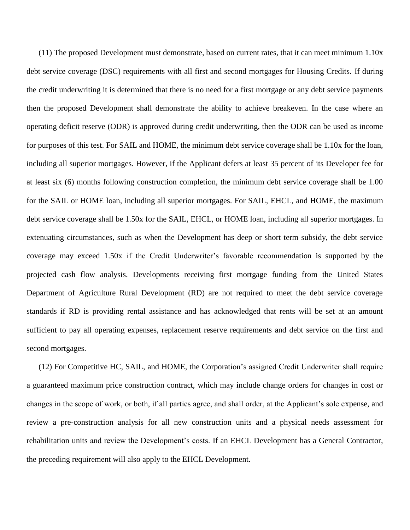(11) The proposed Development must demonstrate, based on current rates, that it can meet minimum 1.10x debt service coverage (DSC) requirements with all first and second mortgages for Housing Credits. If during the credit underwriting it is determined that there is no need for a first mortgage or any debt service payments then the proposed Development shall demonstrate the ability to achieve breakeven. In the case where an operating deficit reserve (ODR) is approved during credit underwriting, then the ODR can be used as income for purposes of this test. For SAIL and HOME, the minimum debt service coverage shall be 1.10x for the loan, including all superior mortgages. However, if the Applicant defers at least 35 percent of its Developer fee for at least six (6) months following construction completion, the minimum debt service coverage shall be 1.00 for the SAIL or HOME loan, including all superior mortgages. For SAIL, EHCL, and HOME, the maximum debt service coverage shall be 1.50x for the SAIL, EHCL, or HOME loan, including all superior mortgages. In extenuating circumstances, such as when the Development has deep or short term subsidy, the debt service coverage may exceed 1.50x if the Credit Underwriter's favorable recommendation is supported by the projected cash flow analysis. Developments receiving first mortgage funding from the United States Department of Agriculture Rural Development (RD) are not required to meet the debt service coverage standards if RD is providing rental assistance and has acknowledged that rents will be set at an amount sufficient to pay all operating expenses, replacement reserve requirements and debt service on the first and second mortgages.

(12) For Competitive HC, SAIL, and HOME, the Corporation's assigned Credit Underwriter shall require a guaranteed maximum price construction contract, which may include change orders for changes in cost or changes in the scope of work, or both, if all parties agree, and shall order, at the Applicant's sole expense, and review a pre-construction analysis for all new construction units and a physical needs assessment for rehabilitation units and review the Development's costs. If an EHCL Development has a General Contractor, the preceding requirement will also apply to the EHCL Development.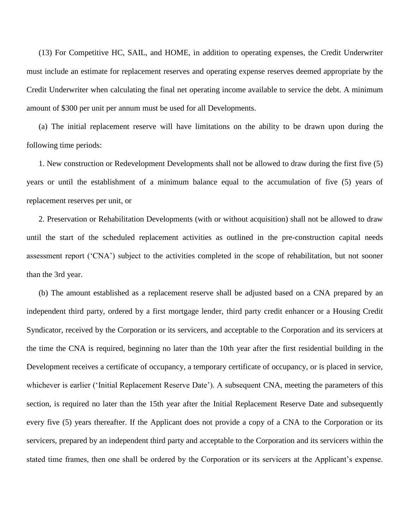(13) For Competitive HC, SAIL, and HOME, in addition to operating expenses, the Credit Underwriter must include an estimate for replacement reserves and operating expense reserves deemed appropriate by the Credit Underwriter when calculating the final net operating income available to service the debt. A minimum amount of \$300 per unit per annum must be used for all Developments.

(a) The initial replacement reserve will have limitations on the ability to be drawn upon during the following time periods:

1. New construction or Redevelopment Developments shall not be allowed to draw during the first five (5) years or until the establishment of a minimum balance equal to the accumulation of five (5) years of replacement reserves per unit, or

2. Preservation or Rehabilitation Developments (with or without acquisition) shall not be allowed to draw until the start of the scheduled replacement activities as outlined in the pre-construction capital needs assessment report ('CNA') subject to the activities completed in the scope of rehabilitation, but not sooner than the 3rd year.

(b) The amount established as a replacement reserve shall be adjusted based on a CNA prepared by an independent third party, ordered by a first mortgage lender, third party credit enhancer or a Housing Credit Syndicator, received by the Corporation or its servicers, and acceptable to the Corporation and its servicers at the time the CNA is required, beginning no later than the 10th year after the first residential building in the Development receives a certificate of occupancy, a temporary certificate of occupancy, or is placed in service, whichever is earlier ('Initial Replacement Reserve Date'). A subsequent CNA, meeting the parameters of this section, is required no later than the 15th year after the Initial Replacement Reserve Date and subsequently every five (5) years thereafter. If the Applicant does not provide a copy of a CNA to the Corporation or its servicers, prepared by an independent third party and acceptable to the Corporation and its servicers within the stated time frames, then one shall be ordered by the Corporation or its servicers at the Applicant's expense.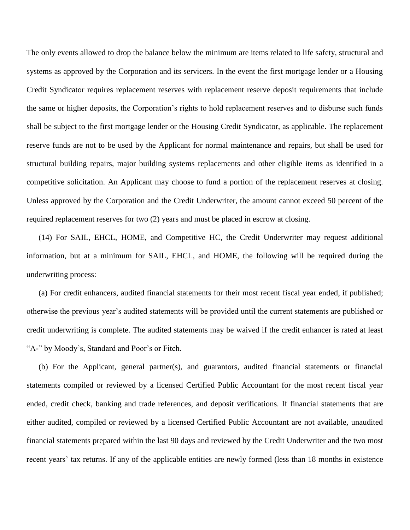The only events allowed to drop the balance below the minimum are items related to life safety, structural and systems as approved by the Corporation and its servicers. In the event the first mortgage lender or a Housing Credit Syndicator requires replacement reserves with replacement reserve deposit requirements that include the same or higher deposits, the Corporation's rights to hold replacement reserves and to disburse such funds shall be subject to the first mortgage lender or the Housing Credit Syndicator, as applicable. The replacement reserve funds are not to be used by the Applicant for normal maintenance and repairs, but shall be used for structural building repairs, major building systems replacements and other eligible items as identified in a competitive solicitation. An Applicant may choose to fund a portion of the replacement reserves at closing. Unless approved by the Corporation and the Credit Underwriter, the amount cannot exceed 50 percent of the required replacement reserves for two (2) years and must be placed in escrow at closing.

(14) For SAIL, EHCL, HOME, and Competitive HC, the Credit Underwriter may request additional information, but at a minimum for SAIL, EHCL, and HOME, the following will be required during the underwriting process:

(a) For credit enhancers, audited financial statements for their most recent fiscal year ended, if published; otherwise the previous year's audited statements will be provided until the current statements are published or credit underwriting is complete. The audited statements may be waived if the credit enhancer is rated at least "A-" by Moody's, Standard and Poor's or Fitch.

(b) For the Applicant, general partner(s), and guarantors, audited financial statements or financial statements compiled or reviewed by a licensed Certified Public Accountant for the most recent fiscal year ended, credit check, banking and trade references, and deposit verifications. If financial statements that are either audited, compiled or reviewed by a licensed Certified Public Accountant are not available, unaudited financial statements prepared within the last 90 days and reviewed by the Credit Underwriter and the two most recent years' tax returns. If any of the applicable entities are newly formed (less than 18 months in existence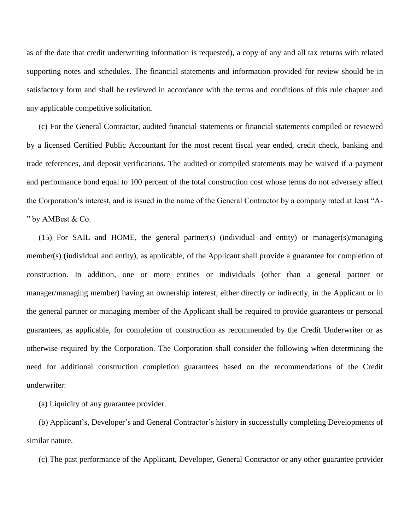as of the date that credit underwriting information is requested), a copy of any and all tax returns with related supporting notes and schedules. The financial statements and information provided for review should be in satisfactory form and shall be reviewed in accordance with the terms and conditions of this rule chapter and any applicable competitive solicitation.

(c) For the General Contractor, audited financial statements or financial statements compiled or reviewed by a licensed Certified Public Accountant for the most recent fiscal year ended, credit check, banking and trade references, and deposit verifications. The audited or compiled statements may be waived if a payment and performance bond equal to 100 percent of the total construction cost whose terms do not adversely affect the Corporation's interest, and is issued in the name of the General Contractor by a company rated at least "A- " by AMBest & Co.

(15) For SAIL and HOME, the general partner(s) (individual and entity) or manager(s)/managing member(s) (individual and entity), as applicable, of the Applicant shall provide a guarantee for completion of construction. In addition, one or more entities or individuals (other than a general partner or manager/managing member) having an ownership interest, either directly or indirectly, in the Applicant or in the general partner or managing member of the Applicant shall be required to provide guarantees or personal guarantees, as applicable, for completion of construction as recommended by the Credit Underwriter or as otherwise required by the Corporation. The Corporation shall consider the following when determining the need for additional construction completion guarantees based on the recommendations of the Credit underwriter:

(a) Liquidity of any guarantee provider.

(b) Applicant's, Developer's and General Contractor's history in successfully completing Developments of similar nature.

(c) The past performance of the Applicant, Developer, General Contractor or any other guarantee provider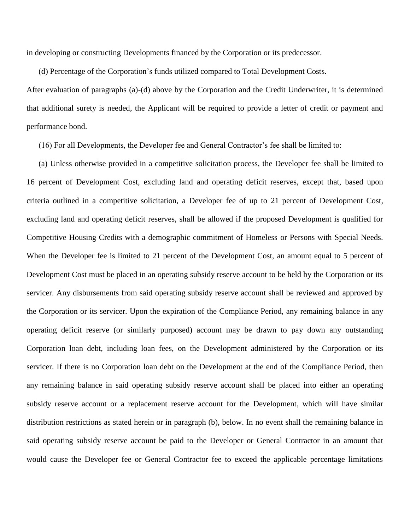in developing or constructing Developments financed by the Corporation or its predecessor.

(d) Percentage of the Corporation's funds utilized compared to Total Development Costs.

After evaluation of paragraphs (a)-(d) above by the Corporation and the Credit Underwriter, it is determined that additional surety is needed, the Applicant will be required to provide a letter of credit or payment and performance bond.

(16) For all Developments, the Developer fee and General Contractor's fee shall be limited to:

(a) Unless otherwise provided in a competitive solicitation process, the Developer fee shall be limited to 16 percent of Development Cost, excluding land and operating deficit reserves, except that, based upon criteria outlined in a competitive solicitation, a Developer fee of up to 21 percent of Development Cost, excluding land and operating deficit reserves, shall be allowed if the proposed Development is qualified for Competitive Housing Credits with a demographic commitment of Homeless or Persons with Special Needs. When the Developer fee is limited to 21 percent of the Development Cost, an amount equal to 5 percent of Development Cost must be placed in an operating subsidy reserve account to be held by the Corporation or its servicer. Any disbursements from said operating subsidy reserve account shall be reviewed and approved by the Corporation or its servicer. Upon the expiration of the Compliance Period, any remaining balance in any operating deficit reserve (or similarly purposed) account may be drawn to pay down any outstanding Corporation loan debt, including loan fees, on the Development administered by the Corporation or its servicer. If there is no Corporation loan debt on the Development at the end of the Compliance Period, then any remaining balance in said operating subsidy reserve account shall be placed into either an operating subsidy reserve account or a replacement reserve account for the Development, which will have similar distribution restrictions as stated herein or in paragraph (b), below. In no event shall the remaining balance in said operating subsidy reserve account be paid to the Developer or General Contractor in an amount that would cause the Developer fee or General Contractor fee to exceed the applicable percentage limitations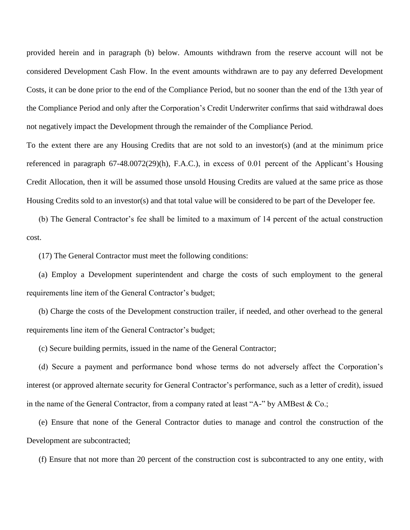provided herein and in paragraph (b) below. Amounts withdrawn from the reserve account will not be considered Development Cash Flow. In the event amounts withdrawn are to pay any deferred Development Costs, it can be done prior to the end of the Compliance Period, but no sooner than the end of the 13th year of the Compliance Period and only after the Corporation's Credit Underwriter confirms that said withdrawal does not negatively impact the Development through the remainder of the Compliance Period.

To the extent there are any Housing Credits that are not sold to an investor(s) (and at the minimum price referenced in paragraph 67-48.0072(29)(h), F.A.C.), in excess of 0.01 percent of the Applicant's Housing Credit Allocation, then it will be assumed those unsold Housing Credits are valued at the same price as those Housing Credits sold to an investor(s) and that total value will be considered to be part of the Developer fee.

(b) The General Contractor's fee shall be limited to a maximum of 14 percent of the actual construction cost.

(17) The General Contractor must meet the following conditions:

(a) Employ a Development superintendent and charge the costs of such employment to the general requirements line item of the General Contractor's budget;

(b) Charge the costs of the Development construction trailer, if needed, and other overhead to the general requirements line item of the General Contractor's budget;

(c) Secure building permits, issued in the name of the General Contractor;

(d) Secure a payment and performance bond whose terms do not adversely affect the Corporation's interest (or approved alternate security for General Contractor's performance, such as a letter of credit), issued in the name of the General Contractor, from a company rated at least "A-" by AMBest & Co.;

(e) Ensure that none of the General Contractor duties to manage and control the construction of the Development are subcontracted;

(f) Ensure that not more than 20 percent of the construction cost is subcontracted to any one entity, with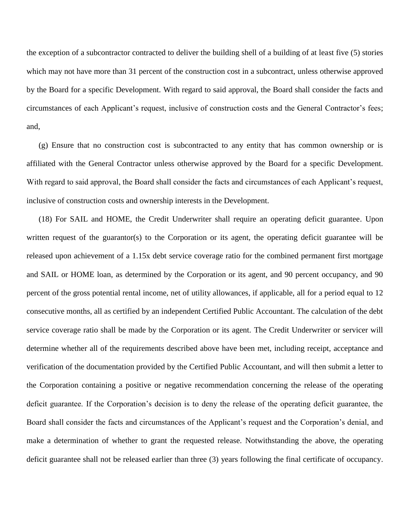the exception of a subcontractor contracted to deliver the building shell of a building of at least five (5) stories which may not have more than 31 percent of the construction cost in a subcontract, unless otherwise approved by the Board for a specific Development. With regard to said approval, the Board shall consider the facts and circumstances of each Applicant's request, inclusive of construction costs and the General Contractor's fees; and,

(g) Ensure that no construction cost is subcontracted to any entity that has common ownership or is affiliated with the General Contractor unless otherwise approved by the Board for a specific Development. With regard to said approval, the Board shall consider the facts and circumstances of each Applicant's request, inclusive of construction costs and ownership interests in the Development.

(18) For SAIL and HOME, the Credit Underwriter shall require an operating deficit guarantee. Upon written request of the guarantor(s) to the Corporation or its agent, the operating deficit guarantee will be released upon achievement of a 1.15x debt service coverage ratio for the combined permanent first mortgage and SAIL or HOME loan, as determined by the Corporation or its agent, and 90 percent occupancy, and 90 percent of the gross potential rental income, net of utility allowances, if applicable, all for a period equal to 12 consecutive months, all as certified by an independent Certified Public Accountant. The calculation of the debt service coverage ratio shall be made by the Corporation or its agent. The Credit Underwriter or servicer will determine whether all of the requirements described above have been met, including receipt, acceptance and verification of the documentation provided by the Certified Public Accountant, and will then submit a letter to the Corporation containing a positive or negative recommendation concerning the release of the operating deficit guarantee. If the Corporation's decision is to deny the release of the operating deficit guarantee, the Board shall consider the facts and circumstances of the Applicant's request and the Corporation's denial, and make a determination of whether to grant the requested release. Notwithstanding the above, the operating deficit guarantee shall not be released earlier than three (3) years following the final certificate of occupancy.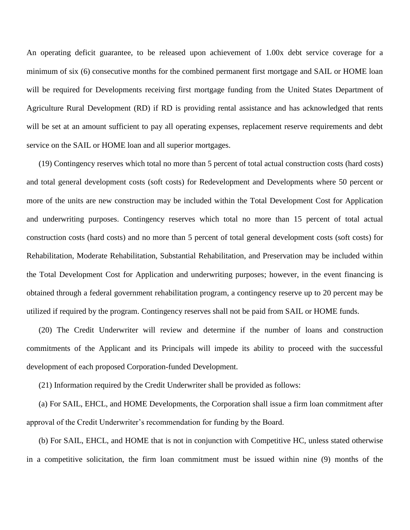An operating deficit guarantee, to be released upon achievement of 1.00x debt service coverage for a minimum of six (6) consecutive months for the combined permanent first mortgage and SAIL or HOME loan will be required for Developments receiving first mortgage funding from the United States Department of Agriculture Rural Development (RD) if RD is providing rental assistance and has acknowledged that rents will be set at an amount sufficient to pay all operating expenses, replacement reserve requirements and debt service on the SAIL or HOME loan and all superior mortgages.

(19) Contingency reserves which total no more than 5 percent of total actual construction costs (hard costs) and total general development costs (soft costs) for Redevelopment and Developments where 50 percent or more of the units are new construction may be included within the Total Development Cost for Application and underwriting purposes. Contingency reserves which total no more than 15 percent of total actual construction costs (hard costs) and no more than 5 percent of total general development costs (soft costs) for Rehabilitation, Moderate Rehabilitation, Substantial Rehabilitation, and Preservation may be included within the Total Development Cost for Application and underwriting purposes; however, in the event financing is obtained through a federal government rehabilitation program, a contingency reserve up to 20 percent may be utilized if required by the program. Contingency reserves shall not be paid from SAIL or HOME funds.

(20) The Credit Underwriter will review and determine if the number of loans and construction commitments of the Applicant and its Principals will impede its ability to proceed with the successful development of each proposed Corporation-funded Development.

(21) Information required by the Credit Underwriter shall be provided as follows:

(a) For SAIL, EHCL, and HOME Developments, the Corporation shall issue a firm loan commitment after approval of the Credit Underwriter's recommendation for funding by the Board.

(b) For SAIL, EHCL, and HOME that is not in conjunction with Competitive HC, unless stated otherwise in a competitive solicitation, the firm loan commitment must be issued within nine (9) months of the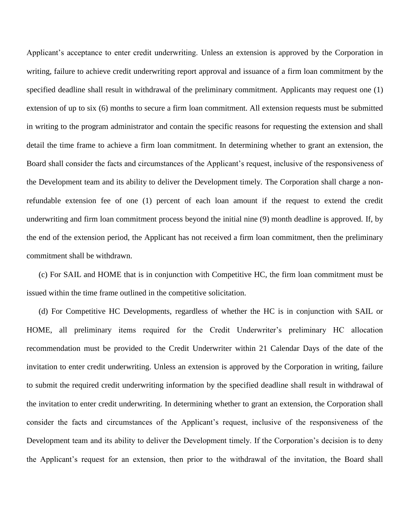Applicant's acceptance to enter credit underwriting. Unless an extension is approved by the Corporation in writing, failure to achieve credit underwriting report approval and issuance of a firm loan commitment by the specified deadline shall result in withdrawal of the preliminary commitment. Applicants may request one (1) extension of up to six (6) months to secure a firm loan commitment. All extension requests must be submitted in writing to the program administrator and contain the specific reasons for requesting the extension and shall detail the time frame to achieve a firm loan commitment. In determining whether to grant an extension, the Board shall consider the facts and circumstances of the Applicant's request, inclusive of the responsiveness of the Development team and its ability to deliver the Development timely. The Corporation shall charge a nonrefundable extension fee of one (1) percent of each loan amount if the request to extend the credit underwriting and firm loan commitment process beyond the initial nine (9) month deadline is approved. If, by the end of the extension period, the Applicant has not received a firm loan commitment, then the preliminary commitment shall be withdrawn.

(c) For SAIL and HOME that is in conjunction with Competitive HC, the firm loan commitment must be issued within the time frame outlined in the competitive solicitation.

(d) For Competitive HC Developments, regardless of whether the HC is in conjunction with SAIL or HOME, all preliminary items required for the Credit Underwriter's preliminary HC allocation recommendation must be provided to the Credit Underwriter within 21 Calendar Days of the date of the invitation to enter credit underwriting. Unless an extension is approved by the Corporation in writing, failure to submit the required credit underwriting information by the specified deadline shall result in withdrawal of the invitation to enter credit underwriting. In determining whether to grant an extension, the Corporation shall consider the facts and circumstances of the Applicant's request, inclusive of the responsiveness of the Development team and its ability to deliver the Development timely. If the Corporation's decision is to deny the Applicant's request for an extension, then prior to the withdrawal of the invitation, the Board shall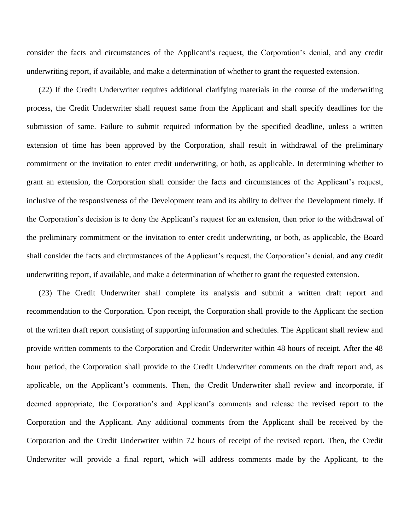consider the facts and circumstances of the Applicant's request, the Corporation's denial, and any credit underwriting report, if available, and make a determination of whether to grant the requested extension.

(22) If the Credit Underwriter requires additional clarifying materials in the course of the underwriting process, the Credit Underwriter shall request same from the Applicant and shall specify deadlines for the submission of same. Failure to submit required information by the specified deadline, unless a written extension of time has been approved by the Corporation, shall result in withdrawal of the preliminary commitment or the invitation to enter credit underwriting, or both, as applicable. In determining whether to grant an extension, the Corporation shall consider the facts and circumstances of the Applicant's request, inclusive of the responsiveness of the Development team and its ability to deliver the Development timely. If the Corporation's decision is to deny the Applicant's request for an extension, then prior to the withdrawal of the preliminary commitment or the invitation to enter credit underwriting, or both, as applicable, the Board shall consider the facts and circumstances of the Applicant's request, the Corporation's denial, and any credit underwriting report, if available, and make a determination of whether to grant the requested extension.

(23) The Credit Underwriter shall complete its analysis and submit a written draft report and recommendation to the Corporation. Upon receipt, the Corporation shall provide to the Applicant the section of the written draft report consisting of supporting information and schedules. The Applicant shall review and provide written comments to the Corporation and Credit Underwriter within 48 hours of receipt. After the 48 hour period, the Corporation shall provide to the Credit Underwriter comments on the draft report and, as applicable, on the Applicant's comments. Then, the Credit Underwriter shall review and incorporate, if deemed appropriate, the Corporation's and Applicant's comments and release the revised report to the Corporation and the Applicant. Any additional comments from the Applicant shall be received by the Corporation and the Credit Underwriter within 72 hours of receipt of the revised report. Then, the Credit Underwriter will provide a final report, which will address comments made by the Applicant, to the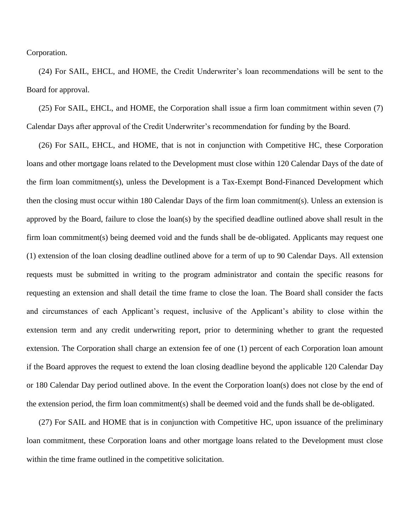Corporation.

(24) For SAIL, EHCL, and HOME, the Credit Underwriter's loan recommendations will be sent to the Board for approval.

(25) For SAIL, EHCL, and HOME, the Corporation shall issue a firm loan commitment within seven (7) Calendar Days after approval of the Credit Underwriter's recommendation for funding by the Board.

(26) For SAIL, EHCL, and HOME, that is not in conjunction with Competitive HC, these Corporation loans and other mortgage loans related to the Development must close within 120 Calendar Days of the date of the firm loan commitment(s), unless the Development is a Tax-Exempt Bond-Financed Development which then the closing must occur within 180 Calendar Days of the firm loan commitment(s). Unless an extension is approved by the Board, failure to close the loan(s) by the specified deadline outlined above shall result in the firm loan commitment(s) being deemed void and the funds shall be de-obligated. Applicants may request one (1) extension of the loan closing deadline outlined above for a term of up to 90 Calendar Days. All extension requests must be submitted in writing to the program administrator and contain the specific reasons for requesting an extension and shall detail the time frame to close the loan. The Board shall consider the facts and circumstances of each Applicant's request, inclusive of the Applicant's ability to close within the extension term and any credit underwriting report, prior to determining whether to grant the requested extension. The Corporation shall charge an extension fee of one (1) percent of each Corporation loan amount if the Board approves the request to extend the loan closing deadline beyond the applicable 120 Calendar Day or 180 Calendar Day period outlined above. In the event the Corporation loan(s) does not close by the end of the extension period, the firm loan commitment(s) shall be deemed void and the funds shall be de-obligated.

(27) For SAIL and HOME that is in conjunction with Competitive HC, upon issuance of the preliminary loan commitment, these Corporation loans and other mortgage loans related to the Development must close within the time frame outlined in the competitive solicitation.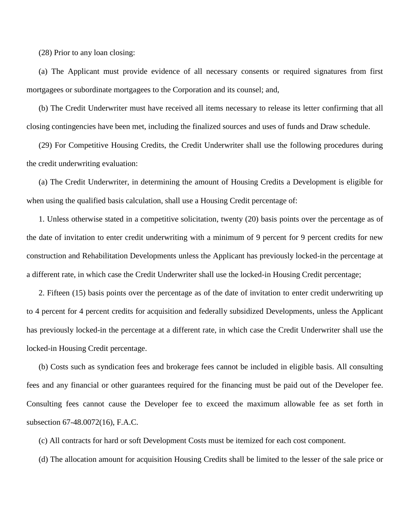(28) Prior to any loan closing:

(a) The Applicant must provide evidence of all necessary consents or required signatures from first mortgagees or subordinate mortgagees to the Corporation and its counsel; and,

(b) The Credit Underwriter must have received all items necessary to release its letter confirming that all closing contingencies have been met, including the finalized sources and uses of funds and Draw schedule.

(29) For Competitive Housing Credits, the Credit Underwriter shall use the following procedures during the credit underwriting evaluation:

(a) The Credit Underwriter, in determining the amount of Housing Credits a Development is eligible for when using the qualified basis calculation, shall use a Housing Credit percentage of:

1. Unless otherwise stated in a competitive solicitation, twenty (20) basis points over the percentage as of the date of invitation to enter credit underwriting with a minimum of 9 percent for 9 percent credits for new construction and Rehabilitation Developments unless the Applicant has previously locked-in the percentage at a different rate, in which case the Credit Underwriter shall use the locked-in Housing Credit percentage;

2. Fifteen (15) basis points over the percentage as of the date of invitation to enter credit underwriting up to 4 percent for 4 percent credits for acquisition and federally subsidized Developments, unless the Applicant has previously locked-in the percentage at a different rate, in which case the Credit Underwriter shall use the locked-in Housing Credit percentage.

(b) Costs such as syndication fees and brokerage fees cannot be included in eligible basis. All consulting fees and any financial or other guarantees required for the financing must be paid out of the Developer fee. Consulting fees cannot cause the Developer fee to exceed the maximum allowable fee as set forth in subsection 67-48.0072(16), F.A.C.

(c) All contracts for hard or soft Development Costs must be itemized for each cost component.

(d) The allocation amount for acquisition Housing Credits shall be limited to the lesser of the sale price or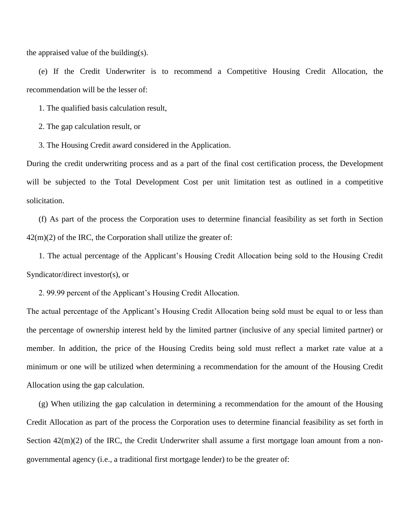the appraised value of the building(s).

(e) If the Credit Underwriter is to recommend a Competitive Housing Credit Allocation, the recommendation will be the lesser of:

1. The qualified basis calculation result,

2. The gap calculation result, or

3. The Housing Credit award considered in the Application.

During the credit underwriting process and as a part of the final cost certification process, the Development will be subjected to the Total Development Cost per unit limitation test as outlined in a competitive solicitation.

(f) As part of the process the Corporation uses to determine financial feasibility as set forth in Section  $42(m)(2)$  of the IRC, the Corporation shall utilize the greater of:

1. The actual percentage of the Applicant's Housing Credit Allocation being sold to the Housing Credit Syndicator/direct investor(s), or

2. 99.99 percent of the Applicant's Housing Credit Allocation.

The actual percentage of the Applicant's Housing Credit Allocation being sold must be equal to or less than the percentage of ownership interest held by the limited partner (inclusive of any special limited partner) or member. In addition, the price of the Housing Credits being sold must reflect a market rate value at a minimum or one will be utilized when determining a recommendation for the amount of the Housing Credit Allocation using the gap calculation.

(g) When utilizing the gap calculation in determining a recommendation for the amount of the Housing Credit Allocation as part of the process the Corporation uses to determine financial feasibility as set forth in Section  $42(m)(2)$  of the IRC, the Credit Underwriter shall assume a first mortgage loan amount from a nongovernmental agency (i.e., a traditional first mortgage lender) to be the greater of: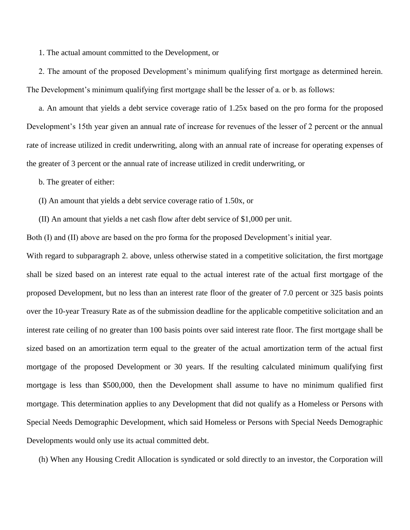1. The actual amount committed to the Development, or

2. The amount of the proposed Development's minimum qualifying first mortgage as determined herein. The Development's minimum qualifying first mortgage shall be the lesser of a. or b. as follows:

a. An amount that yields a debt service coverage ratio of 1.25x based on the pro forma for the proposed Development's 15th year given an annual rate of increase for revenues of the lesser of 2 percent or the annual rate of increase utilized in credit underwriting, along with an annual rate of increase for operating expenses of the greater of 3 percent or the annual rate of increase utilized in credit underwriting, or

b. The greater of either:

(I) An amount that yields a debt service coverage ratio of 1.50x, or

(II) An amount that yields a net cash flow after debt service of \$1,000 per unit.

Both (I) and (II) above are based on the pro forma for the proposed Development's initial year.

With regard to subparagraph 2. above, unless otherwise stated in a competitive solicitation, the first mortgage shall be sized based on an interest rate equal to the actual interest rate of the actual first mortgage of the proposed Development, but no less than an interest rate floor of the greater of 7.0 percent or 325 basis points over the 10-year Treasury Rate as of the submission deadline for the applicable competitive solicitation and an interest rate ceiling of no greater than 100 basis points over said interest rate floor. The first mortgage shall be sized based on an amortization term equal to the greater of the actual amortization term of the actual first mortgage of the proposed Development or 30 years. If the resulting calculated minimum qualifying first mortgage is less than \$500,000, then the Development shall assume to have no minimum qualified first mortgage. This determination applies to any Development that did not qualify as a Homeless or Persons with Special Needs Demographic Development, which said Homeless or Persons with Special Needs Demographic Developments would only use its actual committed debt.

(h) When any Housing Credit Allocation is syndicated or sold directly to an investor, the Corporation will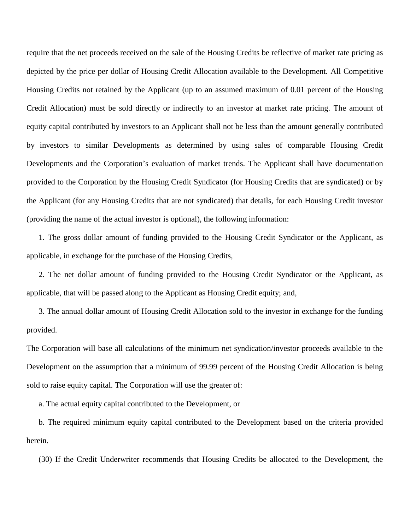require that the net proceeds received on the sale of the Housing Credits be reflective of market rate pricing as depicted by the price per dollar of Housing Credit Allocation available to the Development. All Competitive Housing Credits not retained by the Applicant (up to an assumed maximum of 0.01 percent of the Housing Credit Allocation) must be sold directly or indirectly to an investor at market rate pricing. The amount of equity capital contributed by investors to an Applicant shall not be less than the amount generally contributed by investors to similar Developments as determined by using sales of comparable Housing Credit Developments and the Corporation's evaluation of market trends. The Applicant shall have documentation provided to the Corporation by the Housing Credit Syndicator (for Housing Credits that are syndicated) or by the Applicant (for any Housing Credits that are not syndicated) that details, for each Housing Credit investor (providing the name of the actual investor is optional), the following information:

1. The gross dollar amount of funding provided to the Housing Credit Syndicator or the Applicant, as applicable, in exchange for the purchase of the Housing Credits,

2. The net dollar amount of funding provided to the Housing Credit Syndicator or the Applicant, as applicable, that will be passed along to the Applicant as Housing Credit equity; and,

3. The annual dollar amount of Housing Credit Allocation sold to the investor in exchange for the funding provided.

The Corporation will base all calculations of the minimum net syndication/investor proceeds available to the Development on the assumption that a minimum of 99.99 percent of the Housing Credit Allocation is being sold to raise equity capital. The Corporation will use the greater of:

a. The actual equity capital contributed to the Development, or

b. The required minimum equity capital contributed to the Development based on the criteria provided herein.

(30) If the Credit Underwriter recommends that Housing Credits be allocated to the Development, the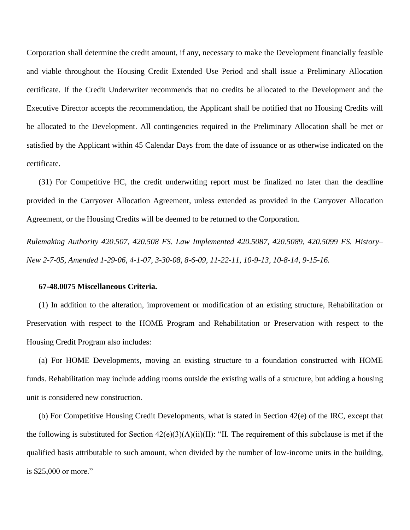Corporation shall determine the credit amount, if any, necessary to make the Development financially feasible and viable throughout the Housing Credit Extended Use Period and shall issue a Preliminary Allocation certificate. If the Credit Underwriter recommends that no credits be allocated to the Development and the Executive Director accepts the recommendation, the Applicant shall be notified that no Housing Credits will be allocated to the Development. All contingencies required in the Preliminary Allocation shall be met or satisfied by the Applicant within 45 Calendar Days from the date of issuance or as otherwise indicated on the certificate.

(31) For Competitive HC, the credit underwriting report must be finalized no later than the deadline provided in the Carryover Allocation Agreement, unless extended as provided in the Carryover Allocation Agreement, or the Housing Credits will be deemed to be returned to the Corporation.

*Rulemaking Authority 420.507, 420.508 FS. Law Implemented 420.5087, 420.5089, 420.5099 FS. History– New 2-7-05, Amended 1-29-06, 4-1-07, 3-30-08, 8-6-09, 11-22-11, 10-9-13, 10-8-14, 9-15-16.*

#### **67-48.0075 Miscellaneous Criteria.**

(1) In addition to the alteration, improvement or modification of an existing structure, Rehabilitation or Preservation with respect to the HOME Program and Rehabilitation or Preservation with respect to the Housing Credit Program also includes:

(a) For HOME Developments, moving an existing structure to a foundation constructed with HOME funds. Rehabilitation may include adding rooms outside the existing walls of a structure, but adding a housing unit is considered new construction.

(b) For Competitive Housing Credit Developments, what is stated in Section 42(e) of the IRC, except that the following is substituted for Section  $42(e)(3)(A)(ii)(II)$ : "II. The requirement of this subclause is met if the qualified basis attributable to such amount, when divided by the number of low-income units in the building, is \$25,000 or more."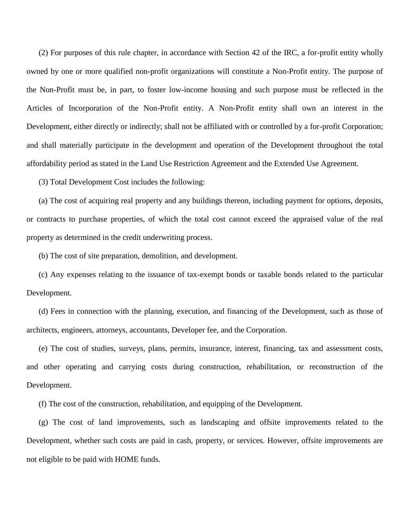(2) For purposes of this rule chapter, in accordance with Section 42 of the IRC, a for-profit entity wholly owned by one or more qualified non-profit organizations will constitute a Non-Profit entity. The purpose of the Non-Profit must be, in part, to foster low-income housing and such purpose must be reflected in the Articles of Incorporation of the Non-Profit entity. A Non-Profit entity shall own an interest in the Development, either directly or indirectly; shall not be affiliated with or controlled by a for-profit Corporation; and shall materially participate in the development and operation of the Development throughout the total affordability period as stated in the Land Use Restriction Agreement and the Extended Use Agreement.

(3) Total Development Cost includes the following:

(a) The cost of acquiring real property and any buildings thereon, including payment for options, deposits, or contracts to purchase properties, of which the total cost cannot exceed the appraised value of the real property as determined in the credit underwriting process.

(b) The cost of site preparation, demolition, and development.

(c) Any expenses relating to the issuance of tax-exempt bonds or taxable bonds related to the particular Development.

(d) Fees in connection with the planning, execution, and financing of the Development, such as those of architects, engineers, attorneys, accountants, Developer fee, and the Corporation.

(e) The cost of studies, surveys, plans, permits, insurance, interest, financing, tax and assessment costs, and other operating and carrying costs during construction, rehabilitation, or reconstruction of the Development.

(f) The cost of the construction, rehabilitation, and equipping of the Development.

(g) The cost of land improvements, such as landscaping and offsite improvements related to the Development, whether such costs are paid in cash, property, or services. However, offsite improvements are not eligible to be paid with HOME funds.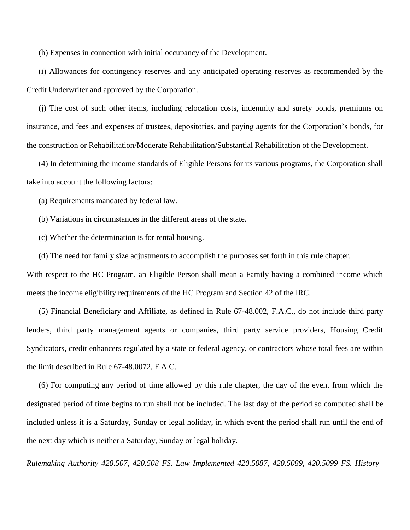(h) Expenses in connection with initial occupancy of the Development.

(i) Allowances for contingency reserves and any anticipated operating reserves as recommended by the Credit Underwriter and approved by the Corporation.

(j) The cost of such other items, including relocation costs, indemnity and surety bonds, premiums on insurance, and fees and expenses of trustees, depositories, and paying agents for the Corporation's bonds, for the construction or Rehabilitation/Moderate Rehabilitation/Substantial Rehabilitation of the Development.

(4) In determining the income standards of Eligible Persons for its various programs, the Corporation shall take into account the following factors:

(a) Requirements mandated by federal law.

(b) Variations in circumstances in the different areas of the state.

(c) Whether the determination is for rental housing.

(d) The need for family size adjustments to accomplish the purposes set forth in this rule chapter.

With respect to the HC Program, an Eligible Person shall mean a Family having a combined income which meets the income eligibility requirements of the HC Program and Section 42 of the IRC.

(5) Financial Beneficiary and Affiliate, as defined in Rule 67-48.002, F.A.C., do not include third party lenders, third party management agents or companies, third party service providers, Housing Credit Syndicators, credit enhancers regulated by a state or federal agency, or contractors whose total fees are within the limit described in Rule 67-48.0072, F.A.C.

(6) For computing any period of time allowed by this rule chapter, the day of the event from which the designated period of time begins to run shall not be included. The last day of the period so computed shall be included unless it is a Saturday, Sunday or legal holiday, in which event the period shall run until the end of the next day which is neither a Saturday, Sunday or legal holiday.

*Rulemaking Authority 420.507, 420.508 FS. Law Implemented 420.5087, 420.5089, 420.5099 FS. History–*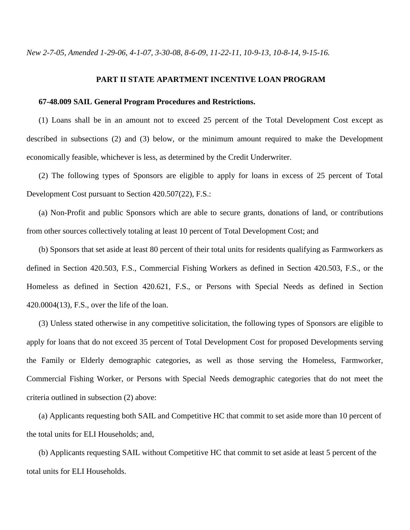*New 2-7-05, Amended 1-29-06, 4-1-07, 3-30-08, 8-6-09, 11-22-11, 10-9-13, 10-8-14, 9-15-16.*

## **PART II STATE APARTMENT INCENTIVE LOAN PROGRAM**

## **67-48.009 SAIL General Program Procedures and Restrictions.**

(1) Loans shall be in an amount not to exceed 25 percent of the Total Development Cost except as described in subsections (2) and (3) below, or the minimum amount required to make the Development economically feasible, whichever is less, as determined by the Credit Underwriter.

(2) The following types of Sponsors are eligible to apply for loans in excess of 25 percent of Total Development Cost pursuant to Section 420.507(22), F.S.:

(a) Non-Profit and public Sponsors which are able to secure grants, donations of land, or contributions from other sources collectively totaling at least 10 percent of Total Development Cost; and

(b) Sponsors that set aside at least 80 percent of their total units for residents qualifying as Farmworkers as defined in Section 420.503, F.S., Commercial Fishing Workers as defined in Section 420.503, F.S., or the Homeless as defined in Section 420.621, F.S., or Persons with Special Needs as defined in Section 420.0004(13), F.S., over the life of the loan.

(3) Unless stated otherwise in any competitive solicitation, the following types of Sponsors are eligible to apply for loans that do not exceed 35 percent of Total Development Cost for proposed Developments serving the Family or Elderly demographic categories, as well as those serving the Homeless, Farmworker, Commercial Fishing Worker, or Persons with Special Needs demographic categories that do not meet the criteria outlined in subsection (2) above:

(a) Applicants requesting both SAIL and Competitive HC that commit to set aside more than 10 percent of the total units for ELI Households; and,

(b) Applicants requesting SAIL without Competitive HC that commit to set aside at least 5 percent of the total units for ELI Households.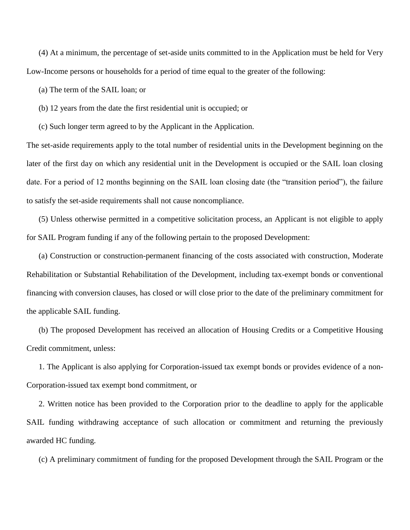(4) At a minimum, the percentage of set-aside units committed to in the Application must be held for Very Low-Income persons or households for a period of time equal to the greater of the following:

(a) The term of the SAIL loan; or

(b) 12 years from the date the first residential unit is occupied; or

(c) Such longer term agreed to by the Applicant in the Application.

The set-aside requirements apply to the total number of residential units in the Development beginning on the later of the first day on which any residential unit in the Development is occupied or the SAIL loan closing date. For a period of 12 months beginning on the SAIL loan closing date (the "transition period"), the failure to satisfy the set-aside requirements shall not cause noncompliance.

(5) Unless otherwise permitted in a competitive solicitation process, an Applicant is not eligible to apply for SAIL Program funding if any of the following pertain to the proposed Development:

(a) Construction or construction-permanent financing of the costs associated with construction, Moderate Rehabilitation or Substantial Rehabilitation of the Development, including tax-exempt bonds or conventional financing with conversion clauses, has closed or will close prior to the date of the preliminary commitment for the applicable SAIL funding.

(b) The proposed Development has received an allocation of Housing Credits or a Competitive Housing Credit commitment, unless:

1. The Applicant is also applying for Corporation-issued tax exempt bonds or provides evidence of a non-Corporation-issued tax exempt bond commitment, or

2. Written notice has been provided to the Corporation prior to the deadline to apply for the applicable SAIL funding withdrawing acceptance of such allocation or commitment and returning the previously awarded HC funding.

(c) A preliminary commitment of funding for the proposed Development through the SAIL Program or the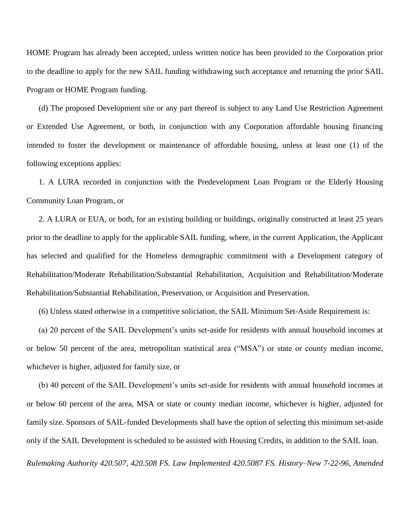HOME Program has already been accepted, unless written notice has been provided to the Corporation prior to the deadline to apply for the new SAIL funding withdrawing such acceptance and returning the prior SAIL Program or HOME Program funding.

(d) The proposed Development site or any part thereof is subject to any Land Use Restriction Agreement or Extended Use Agreement, or both, in conjunction with any Corporation affordable housing financing intended to foster the development or maintenance of affordable housing, unless at least one (1) of the following exceptions applies:

1. A LURA recorded in conjunction with the Predevelopment Loan Program or the Elderly Housing Community Loan Program, or

2. A LURA or EUA, or both, for an existing building or buildings, originally constructed at least 25 years prior to the deadline to apply for the applicable SAIL funding, where, in the current Application, the Applicant has selected and qualified for the Homeless demographic commitment with a Development category of Rehabilitation/Moderate Rehabilitation/Substantial Rehabilitation, Acquisition and Rehabilitation/Moderate Rehabilitation/Substantial Rehabilitation, Preservation, or Acquisition and Preservation.

(6) Unless stated otherwise in a competitive soliciation, the SAIL Minimum Set-Aside Requirement is:

(a) 20 percent of the SAIL Development's units set-aside for residents with annual household incomes at or below 50 percent of the area, metropolitan statistical area ("MSA") or state or county median income, whichever is higher, adjusted for family size, or

(b) 40 percent of the SAIL Development's units set-aside for residents with annual household incomes at or below 60 percent of the area, MSA or state or county median income, whichever is higher, adjusted for family size. Sponsors of SAIL-funded Developments shall have the option of selecting this minimum set-aside only if the SAIL Development is scheduled to be assisted with Housing Credits, in addition to the SAIL loan.

*Rulemaking Authority 420.507, 420.508 FS. Law Implemented 420.5087 FS. History–New 7-22-96, Amended*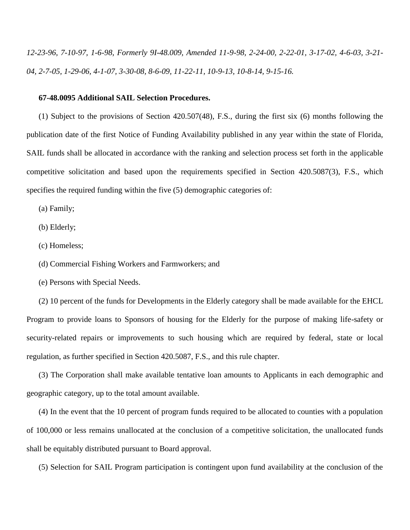*12-23-96, 7-10-97, 1-6-98, Formerly 9I-48.009, Amended 11-9-98, 2-24-00, 2-22-01, 3-17-02, 4-6-03, 3-21- 04, 2-7-05, 1-29-06, 4-1-07, 3-30-08, 8-6-09, 11-22-11, 10-9-13, 10-8-14, 9-15-16.*

#### **67-48.0095 Additional SAIL Selection Procedures.**

(1) Subject to the provisions of Section 420.507(48), F.S., during the first six (6) months following the publication date of the first Notice of Funding Availability published in any year within the state of Florida, SAIL funds shall be allocated in accordance with the ranking and selection process set forth in the applicable competitive solicitation and based upon the requirements specified in Section 420.5087(3), F.S., which specifies the required funding within the five (5) demographic categories of:

(a) Family;

(b) Elderly;

(c) Homeless;

(d) Commercial Fishing Workers and Farmworkers; and

(e) Persons with Special Needs.

(2) 10 percent of the funds for Developments in the Elderly category shall be made available for the EHCL Program to provide loans to Sponsors of housing for the Elderly for the purpose of making life-safety or security-related repairs or improvements to such housing which are required by federal, state or local regulation, as further specified in Section 420.5087, F.S., and this rule chapter.

(3) The Corporation shall make available tentative loan amounts to Applicants in each demographic and geographic category, up to the total amount available.

(4) In the event that the 10 percent of program funds required to be allocated to counties with a population of 100,000 or less remains unallocated at the conclusion of a competitive solicitation, the unallocated funds shall be equitably distributed pursuant to Board approval.

(5) Selection for SAIL Program participation is contingent upon fund availability at the conclusion of the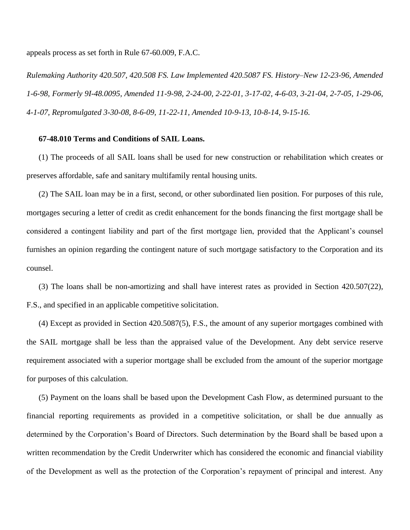appeals process as set forth in Rule 67-60.009, F.A.C.

*Rulemaking Authority 420.507, 420.508 FS. Law Implemented 420.5087 FS. History–New 12-23-96, Amended 1-6-98, Formerly 9I-48.0095, Amended 11-9-98, 2-24-00, 2-22-01, 3-17-02, 4-6-03, 3-21-04, 2-7-05, 1-29-06, 4-1-07, Repromulgated 3-30-08, 8-6-09, 11-22-11, Amended 10-9-13, 10-8-14, 9-15-16.*

## **67-48.010 Terms and Conditions of SAIL Loans.**

(1) The proceeds of all SAIL loans shall be used for new construction or rehabilitation which creates or preserves affordable, safe and sanitary multifamily rental housing units.

(2) The SAIL loan may be in a first, second, or other subordinated lien position. For purposes of this rule, mortgages securing a letter of credit as credit enhancement for the bonds financing the first mortgage shall be considered a contingent liability and part of the first mortgage lien, provided that the Applicant's counsel furnishes an opinion regarding the contingent nature of such mortgage satisfactory to the Corporation and its counsel.

(3) The loans shall be non-amortizing and shall have interest rates as provided in Section 420.507(22), F.S., and specified in an applicable competitive solicitation.

(4) Except as provided in Section 420.5087(5), F.S., the amount of any superior mortgages combined with the SAIL mortgage shall be less than the appraised value of the Development. Any debt service reserve requirement associated with a superior mortgage shall be excluded from the amount of the superior mortgage for purposes of this calculation.

(5) Payment on the loans shall be based upon the Development Cash Flow, as determined pursuant to the financial reporting requirements as provided in a competitive solicitation, or shall be due annually as determined by the Corporation's Board of Directors. Such determination by the Board shall be based upon a written recommendation by the Credit Underwriter which has considered the economic and financial viability of the Development as well as the protection of the Corporation's repayment of principal and interest. Any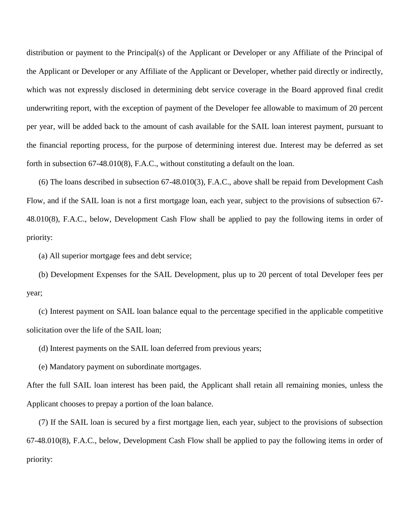distribution or payment to the Principal(s) of the Applicant or Developer or any Affiliate of the Principal of the Applicant or Developer or any Affiliate of the Applicant or Developer, whether paid directly or indirectly, which was not expressly disclosed in determining debt service coverage in the Board approved final credit underwriting report, with the exception of payment of the Developer fee allowable to maximum of 20 percent per year, will be added back to the amount of cash available for the SAIL loan interest payment, pursuant to the financial reporting process, for the purpose of determining interest due. Interest may be deferred as set forth in subsection 67-48.010(8), F.A.C., without constituting a default on the loan.

(6) The loans described in subsection 67-48.010(3), F.A.C., above shall be repaid from Development Cash Flow, and if the SAIL loan is not a first mortgage loan, each year, subject to the provisions of subsection 67- 48.010(8), F.A.C., below, Development Cash Flow shall be applied to pay the following items in order of priority:

(a) All superior mortgage fees and debt service;

(b) Development Expenses for the SAIL Development, plus up to 20 percent of total Developer fees per year;

(c) Interest payment on SAIL loan balance equal to the percentage specified in the applicable competitive solicitation over the life of the SAIL loan;

(d) Interest payments on the SAIL loan deferred from previous years;

(e) Mandatory payment on subordinate mortgages.

After the full SAIL loan interest has been paid, the Applicant shall retain all remaining monies, unless the Applicant chooses to prepay a portion of the loan balance.

(7) If the SAIL loan is secured by a first mortgage lien, each year, subject to the provisions of subsection 67-48.010(8), F.A.C., below, Development Cash Flow shall be applied to pay the following items in order of priority: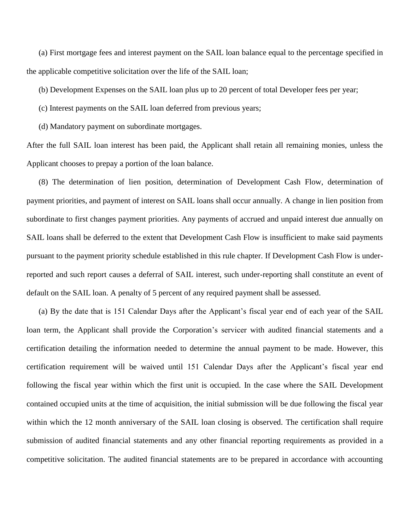(a) First mortgage fees and interest payment on the SAIL loan balance equal to the percentage specified in the applicable competitive solicitation over the life of the SAIL loan;

(b) Development Expenses on the SAIL loan plus up to 20 percent of total Developer fees per year;

- (c) Interest payments on the SAIL loan deferred from previous years;
- (d) Mandatory payment on subordinate mortgages.

After the full SAIL loan interest has been paid, the Applicant shall retain all remaining monies, unless the Applicant chooses to prepay a portion of the loan balance.

(8) The determination of lien position, determination of Development Cash Flow, determination of payment priorities, and payment of interest on SAIL loans shall occur annually. A change in lien position from subordinate to first changes payment priorities. Any payments of accrued and unpaid interest due annually on SAIL loans shall be deferred to the extent that Development Cash Flow is insufficient to make said payments pursuant to the payment priority schedule established in this rule chapter. If Development Cash Flow is underreported and such report causes a deferral of SAIL interest, such under-reporting shall constitute an event of default on the SAIL loan. A penalty of 5 percent of any required payment shall be assessed.

(a) By the date that is 151 Calendar Days after the Applicant's fiscal year end of each year of the SAIL loan term, the Applicant shall provide the Corporation's servicer with audited financial statements and a certification detailing the information needed to determine the annual payment to be made. However, this certification requirement will be waived until 151 Calendar Days after the Applicant's fiscal year end following the fiscal year within which the first unit is occupied. In the case where the SAIL Development contained occupied units at the time of acquisition, the initial submission will be due following the fiscal year within which the 12 month anniversary of the SAIL loan closing is observed. The certification shall require submission of audited financial statements and any other financial reporting requirements as provided in a competitive solicitation. The audited financial statements are to be prepared in accordance with accounting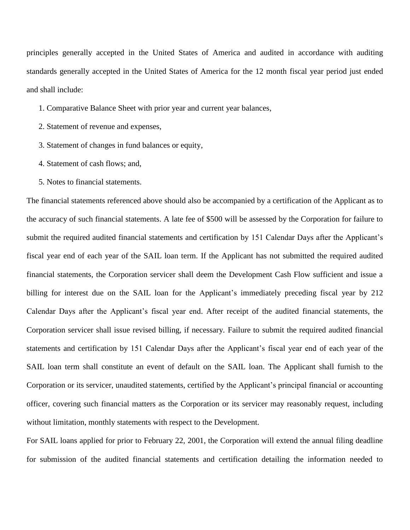principles generally accepted in the United States of America and audited in accordance with auditing standards generally accepted in the United States of America for the 12 month fiscal year period just ended and shall include:

- 1. Comparative Balance Sheet with prior year and current year balances,
- 2. Statement of revenue and expenses,
- 3. Statement of changes in fund balances or equity,
- 4. Statement of cash flows; and,
- 5. Notes to financial statements.

The financial statements referenced above should also be accompanied by a certification of the Applicant as to the accuracy of such financial statements. A late fee of \$500 will be assessed by the Corporation for failure to submit the required audited financial statements and certification by 151 Calendar Days after the Applicant's fiscal year end of each year of the SAIL loan term. If the Applicant has not submitted the required audited financial statements, the Corporation servicer shall deem the Development Cash Flow sufficient and issue a billing for interest due on the SAIL loan for the Applicant's immediately preceding fiscal year by 212 Calendar Days after the Applicant's fiscal year end. After receipt of the audited financial statements, the Corporation servicer shall issue revised billing, if necessary. Failure to submit the required audited financial statements and certification by 151 Calendar Days after the Applicant's fiscal year end of each year of the SAIL loan term shall constitute an event of default on the SAIL loan. The Applicant shall furnish to the Corporation or its servicer, unaudited statements, certified by the Applicant's principal financial or accounting officer, covering such financial matters as the Corporation or its servicer may reasonably request, including without limitation, monthly statements with respect to the Development.

For SAIL loans applied for prior to February 22, 2001, the Corporation will extend the annual filing deadline for submission of the audited financial statements and certification detailing the information needed to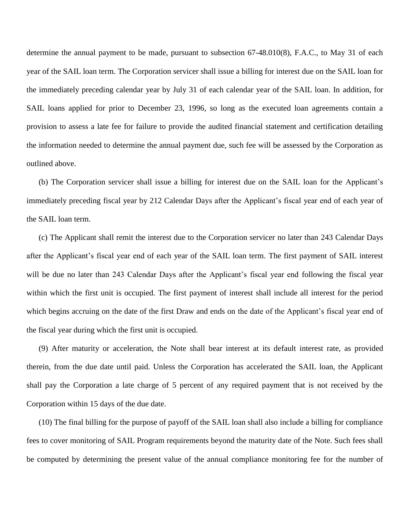determine the annual payment to be made, pursuant to subsection 67-48.010(8), F.A.C., to May 31 of each year of the SAIL loan term. The Corporation servicer shall issue a billing for interest due on the SAIL loan for the immediately preceding calendar year by July 31 of each calendar year of the SAIL loan. In addition, for SAIL loans applied for prior to December 23, 1996, so long as the executed loan agreements contain a provision to assess a late fee for failure to provide the audited financial statement and certification detailing the information needed to determine the annual payment due, such fee will be assessed by the Corporation as outlined above.

(b) The Corporation servicer shall issue a billing for interest due on the SAIL loan for the Applicant's immediately preceding fiscal year by 212 Calendar Days after the Applicant's fiscal year end of each year of the SAIL loan term.

(c) The Applicant shall remit the interest due to the Corporation servicer no later than 243 Calendar Days after the Applicant's fiscal year end of each year of the SAIL loan term. The first payment of SAIL interest will be due no later than 243 Calendar Days after the Applicant's fiscal year end following the fiscal year within which the first unit is occupied. The first payment of interest shall include all interest for the period which begins accruing on the date of the first Draw and ends on the date of the Applicant's fiscal year end of the fiscal year during which the first unit is occupied.

(9) After maturity or acceleration, the Note shall bear interest at its default interest rate, as provided therein, from the due date until paid. Unless the Corporation has accelerated the SAIL loan, the Applicant shall pay the Corporation a late charge of 5 percent of any required payment that is not received by the Corporation within 15 days of the due date.

(10) The final billing for the purpose of payoff of the SAIL loan shall also include a billing for compliance fees to cover monitoring of SAIL Program requirements beyond the maturity date of the Note. Such fees shall be computed by determining the present value of the annual compliance monitoring fee for the number of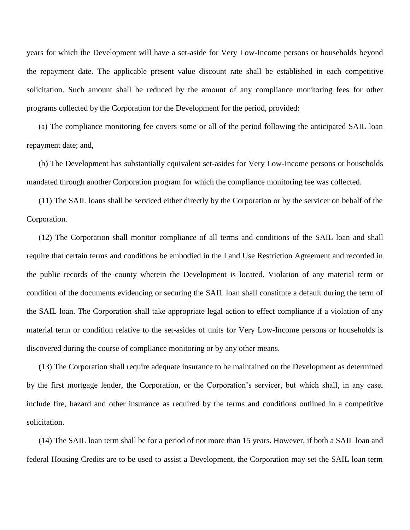years for which the Development will have a set-aside for Very Low-Income persons or households beyond the repayment date. The applicable present value discount rate shall be established in each competitive solicitation. Such amount shall be reduced by the amount of any compliance monitoring fees for other programs collected by the Corporation for the Development for the period, provided:

(a) The compliance monitoring fee covers some or all of the period following the anticipated SAIL loan repayment date; and,

(b) The Development has substantially equivalent set-asides for Very Low-Income persons or households mandated through another Corporation program for which the compliance monitoring fee was collected.

(11) The SAIL loans shall be serviced either directly by the Corporation or by the servicer on behalf of the Corporation.

(12) The Corporation shall monitor compliance of all terms and conditions of the SAIL loan and shall require that certain terms and conditions be embodied in the Land Use Restriction Agreement and recorded in the public records of the county wherein the Development is located. Violation of any material term or condition of the documents evidencing or securing the SAIL loan shall constitute a default during the term of the SAIL loan. The Corporation shall take appropriate legal action to effect compliance if a violation of any material term or condition relative to the set-asides of units for Very Low-Income persons or households is discovered during the course of compliance monitoring or by any other means.

(13) The Corporation shall require adequate insurance to be maintained on the Development as determined by the first mortgage lender, the Corporation, or the Corporation's servicer, but which shall, in any case, include fire, hazard and other insurance as required by the terms and conditions outlined in a competitive solicitation.

(14) The SAIL loan term shall be for a period of not more than 15 years. However, if both a SAIL loan and federal Housing Credits are to be used to assist a Development, the Corporation may set the SAIL loan term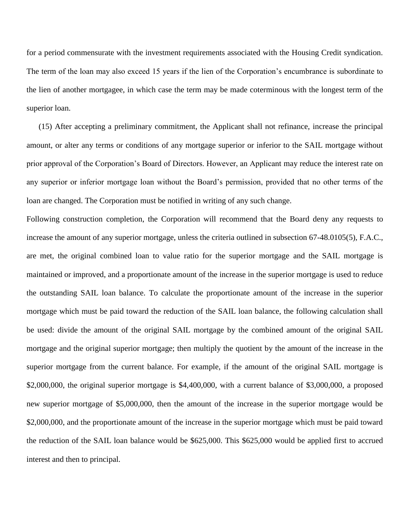for a period commensurate with the investment requirements associated with the Housing Credit syndication. The term of the loan may also exceed 15 years if the lien of the Corporation's encumbrance is subordinate to the lien of another mortgagee, in which case the term may be made coterminous with the longest term of the superior loan.

(15) After accepting a preliminary commitment, the Applicant shall not refinance, increase the principal amount, or alter any terms or conditions of any mortgage superior or inferior to the SAIL mortgage without prior approval of the Corporation's Board of Directors. However, an Applicant may reduce the interest rate on any superior or inferior mortgage loan without the Board's permission, provided that no other terms of the loan are changed. The Corporation must be notified in writing of any such change.

Following construction completion, the Corporation will recommend that the Board deny any requests to increase the amount of any superior mortgage, unless the criteria outlined in subsection 67-48.0105(5), F.A.C., are met, the original combined loan to value ratio for the superior mortgage and the SAIL mortgage is maintained or improved, and a proportionate amount of the increase in the superior mortgage is used to reduce the outstanding SAIL loan balance. To calculate the proportionate amount of the increase in the superior mortgage which must be paid toward the reduction of the SAIL loan balance, the following calculation shall be used: divide the amount of the original SAIL mortgage by the combined amount of the original SAIL mortgage and the original superior mortgage; then multiply the quotient by the amount of the increase in the superior mortgage from the current balance. For example, if the amount of the original SAIL mortgage is \$2,000,000, the original superior mortgage is \$4,400,000, with a current balance of \$3,000,000, a proposed new superior mortgage of \$5,000,000, then the amount of the increase in the superior mortgage would be \$2,000,000, and the proportionate amount of the increase in the superior mortgage which must be paid toward the reduction of the SAIL loan balance would be \$625,000. This \$625,000 would be applied first to accrued interest and then to principal.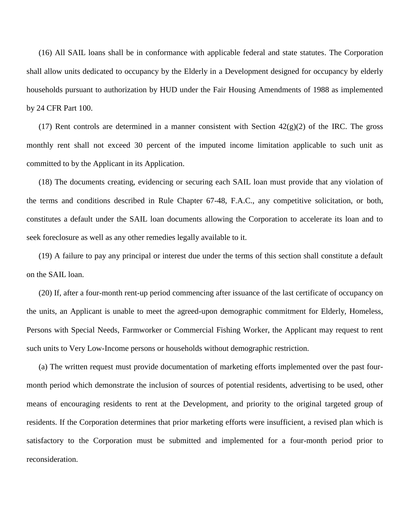(16) All SAIL loans shall be in conformance with applicable federal and state statutes. The Corporation shall allow units dedicated to occupancy by the Elderly in a Development designed for occupancy by elderly households pursuant to authorization by HUD under the Fair Housing Amendments of 1988 as implemented by 24 CFR Part 100.

(17) Rent controls are determined in a manner consistent with Section  $42(g)(2)$  of the IRC. The gross monthly rent shall not exceed 30 percent of the imputed income limitation applicable to such unit as committed to by the Applicant in its Application.

(18) The documents creating, evidencing or securing each SAIL loan must provide that any violation of the terms and conditions described in Rule Chapter 67-48, F.A.C., any competitive solicitation, or both, constitutes a default under the SAIL loan documents allowing the Corporation to accelerate its loan and to seek foreclosure as well as any other remedies legally available to it.

(19) A failure to pay any principal or interest due under the terms of this section shall constitute a default on the SAIL loan.

(20) If, after a four-month rent-up period commencing after issuance of the last certificate of occupancy on the units, an Applicant is unable to meet the agreed-upon demographic commitment for Elderly, Homeless, Persons with Special Needs, Farmworker or Commercial Fishing Worker, the Applicant may request to rent such units to Very Low-Income persons or households without demographic restriction.

(a) The written request must provide documentation of marketing efforts implemented over the past fourmonth period which demonstrate the inclusion of sources of potential residents, advertising to be used, other means of encouraging residents to rent at the Development, and priority to the original targeted group of residents. If the Corporation determines that prior marketing efforts were insufficient, a revised plan which is satisfactory to the Corporation must be submitted and implemented for a four-month period prior to reconsideration.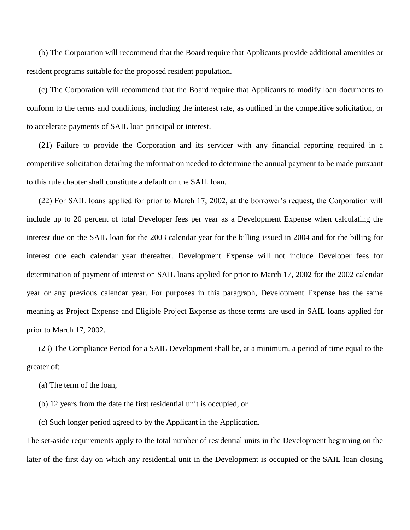(b) The Corporation will recommend that the Board require that Applicants provide additional amenities or resident programs suitable for the proposed resident population.

(c) The Corporation will recommend that the Board require that Applicants to modify loan documents to conform to the terms and conditions, including the interest rate, as outlined in the competitive solicitation, or to accelerate payments of SAIL loan principal or interest.

(21) Failure to provide the Corporation and its servicer with any financial reporting required in a competitive solicitation detailing the information needed to determine the annual payment to be made pursuant to this rule chapter shall constitute a default on the SAIL loan.

(22) For SAIL loans applied for prior to March 17, 2002, at the borrower's request, the Corporation will include up to 20 percent of total Developer fees per year as a Development Expense when calculating the interest due on the SAIL loan for the 2003 calendar year for the billing issued in 2004 and for the billing for interest due each calendar year thereafter. Development Expense will not include Developer fees for determination of payment of interest on SAIL loans applied for prior to March 17, 2002 for the 2002 calendar year or any previous calendar year. For purposes in this paragraph, Development Expense has the same meaning as Project Expense and Eligible Project Expense as those terms are used in SAIL loans applied for prior to March 17, 2002.

(23) The Compliance Period for a SAIL Development shall be, at a minimum, a period of time equal to the greater of:

- (a) The term of the loan,
- (b) 12 years from the date the first residential unit is occupied, or
- (c) Such longer period agreed to by the Applicant in the Application.

The set-aside requirements apply to the total number of residential units in the Development beginning on the later of the first day on which any residential unit in the Development is occupied or the SAIL loan closing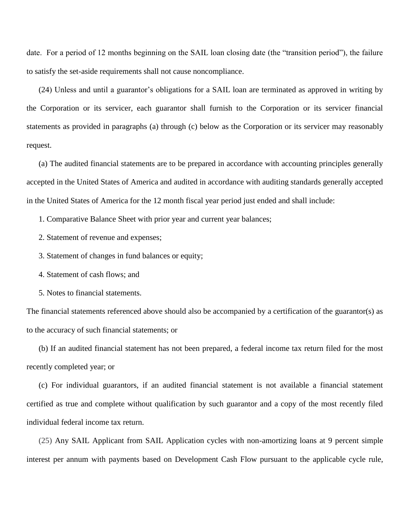date. For a period of 12 months beginning on the SAIL loan closing date (the "transition period"), the failure to satisfy the set-aside requirements shall not cause noncompliance.

(24) Unless and until a guarantor's obligations for a SAIL loan are terminated as approved in writing by the Corporation or its servicer, each guarantor shall furnish to the Corporation or its servicer financial statements as provided in paragraphs (a) through (c) below as the Corporation or its servicer may reasonably request.

(a) The audited financial statements are to be prepared in accordance with accounting principles generally accepted in the United States of America and audited in accordance with auditing standards generally accepted in the United States of America for the 12 month fiscal year period just ended and shall include:

1. Comparative Balance Sheet with prior year and current year balances;

2. Statement of revenue and expenses;

3. Statement of changes in fund balances or equity;

4. Statement of cash flows; and

5. Notes to financial statements.

The financial statements referenced above should also be accompanied by a certification of the guarantor(s) as to the accuracy of such financial statements; or

(b) If an audited financial statement has not been prepared, a federal income tax return filed for the most recently completed year; or

(c) For individual guarantors, if an audited financial statement is not available a financial statement certified as true and complete without qualification by such guarantor and a copy of the most recently filed individual federal income tax return.

(25) Any SAIL Applicant from SAIL Application cycles with non-amortizing loans at 9 percent simple interest per annum with payments based on Development Cash Flow pursuant to the applicable cycle rule,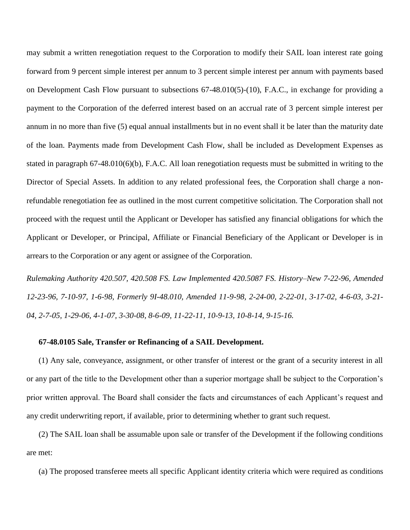may submit a written renegotiation request to the Corporation to modify their SAIL loan interest rate going forward from 9 percent simple interest per annum to 3 percent simple interest per annum with payments based on Development Cash Flow pursuant to subsections 67-48.010(5)-(10), F.A.C., in exchange for providing a payment to the Corporation of the deferred interest based on an accrual rate of 3 percent simple interest per annum in no more than five (5) equal annual installments but in no event shall it be later than the maturity date of the loan. Payments made from Development Cash Flow, shall be included as Development Expenses as stated in paragraph 67-48.010(6)(b), F.A.C. All loan renegotiation requests must be submitted in writing to the Director of Special Assets. In addition to any related professional fees, the Corporation shall charge a nonrefundable renegotiation fee as outlined in the most current competitive solicitation. The Corporation shall not proceed with the request until the Applicant or Developer has satisfied any financial obligations for which the Applicant or Developer, or Principal, Affiliate or Financial Beneficiary of the Applicant or Developer is in arrears to the Corporation or any agent or assignee of the Corporation.

*Rulemaking Authority 420.507, 420.508 FS. Law Implemented 420.5087 FS. History–New 7-22-96, Amended 12-23-96, 7-10-97, 1-6-98, Formerly 9I-48.010, Amended 11-9-98, 2-24-00, 2-22-01, 3-17-02, 4-6-03, 3-21- 04, 2-7-05, 1-29-06, 4-1-07, 3-30-08, 8-6-09, 11-22-11, 10-9-13, 10-8-14, 9-15-16.*

#### **67-48.0105 Sale, Transfer or Refinancing of a SAIL Development.**

(1) Any sale, conveyance, assignment, or other transfer of interest or the grant of a security interest in all or any part of the title to the Development other than a superior mortgage shall be subject to the Corporation's prior written approval. The Board shall consider the facts and circumstances of each Applicant's request and any credit underwriting report, if available, prior to determining whether to grant such request.

(2) The SAIL loan shall be assumable upon sale or transfer of the Development if the following conditions are met:

(a) The proposed transferee meets all specific Applicant identity criteria which were required as conditions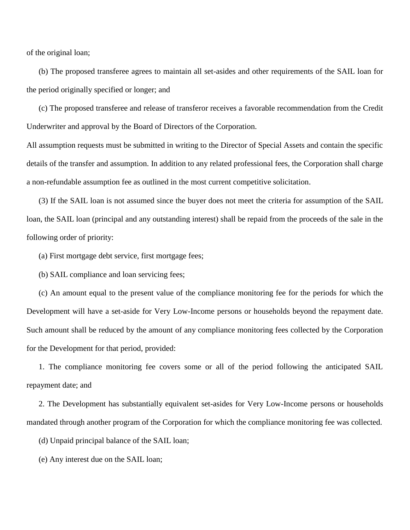of the original loan;

(b) The proposed transferee agrees to maintain all set-asides and other requirements of the SAIL loan for the period originally specified or longer; and

(c) The proposed transferee and release of transferor receives a favorable recommendation from the Credit Underwriter and approval by the Board of Directors of the Corporation.

All assumption requests must be submitted in writing to the Director of Special Assets and contain the specific details of the transfer and assumption. In addition to any related professional fees, the Corporation shall charge a non-refundable assumption fee as outlined in the most current competitive solicitation.

(3) If the SAIL loan is not assumed since the buyer does not meet the criteria for assumption of the SAIL loan, the SAIL loan (principal and any outstanding interest) shall be repaid from the proceeds of the sale in the following order of priority:

(a) First mortgage debt service, first mortgage fees;

(b) SAIL compliance and loan servicing fees;

(c) An amount equal to the present value of the compliance monitoring fee for the periods for which the Development will have a set-aside for Very Low-Income persons or households beyond the repayment date. Such amount shall be reduced by the amount of any compliance monitoring fees collected by the Corporation for the Development for that period, provided:

1. The compliance monitoring fee covers some or all of the period following the anticipated SAIL repayment date; and

2. The Development has substantially equivalent set-asides for Very Low-Income persons or households mandated through another program of the Corporation for which the compliance monitoring fee was collected.

(d) Unpaid principal balance of the SAIL loan;

(e) Any interest due on the SAIL loan;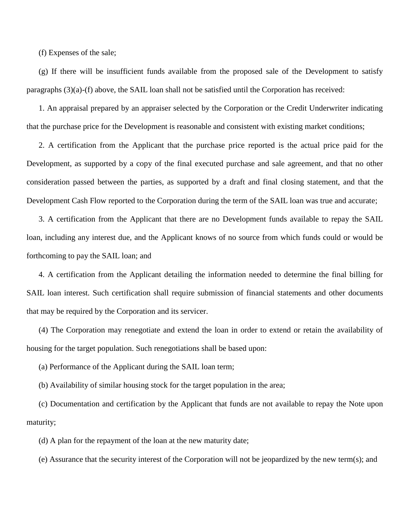(f) Expenses of the sale;

(g) If there will be insufficient funds available from the proposed sale of the Development to satisfy paragraphs  $(3)(a)$ -(f) above, the SAIL loan shall not be satisfied until the Corporation has received:

1. An appraisal prepared by an appraiser selected by the Corporation or the Credit Underwriter indicating that the purchase price for the Development is reasonable and consistent with existing market conditions;

2. A certification from the Applicant that the purchase price reported is the actual price paid for the Development, as supported by a copy of the final executed purchase and sale agreement, and that no other consideration passed between the parties, as supported by a draft and final closing statement, and that the Development Cash Flow reported to the Corporation during the term of the SAIL loan was true and accurate;

3. A certification from the Applicant that there are no Development funds available to repay the SAIL loan, including any interest due, and the Applicant knows of no source from which funds could or would be forthcoming to pay the SAIL loan; and

4. A certification from the Applicant detailing the information needed to determine the final billing for SAIL loan interest. Such certification shall require submission of financial statements and other documents that may be required by the Corporation and its servicer.

(4) The Corporation may renegotiate and extend the loan in order to extend or retain the availability of housing for the target population. Such renegotiations shall be based upon:

(a) Performance of the Applicant during the SAIL loan term;

(b) Availability of similar housing stock for the target population in the area;

(c) Documentation and certification by the Applicant that funds are not available to repay the Note upon maturity;

(d) A plan for the repayment of the loan at the new maturity date;

(e) Assurance that the security interest of the Corporation will not be jeopardized by the new term(s); and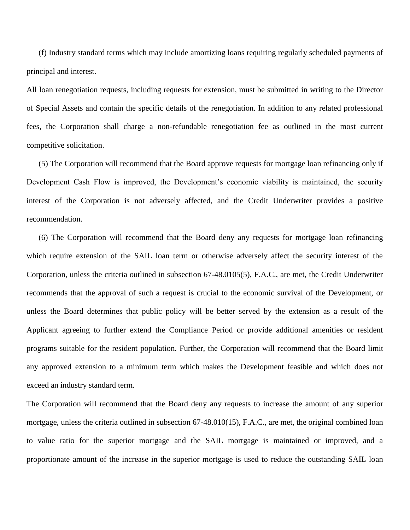(f) Industry standard terms which may include amortizing loans requiring regularly scheduled payments of principal and interest.

All loan renegotiation requests, including requests for extension, must be submitted in writing to the Director of Special Assets and contain the specific details of the renegotiation. In addition to any related professional fees, the Corporation shall charge a non-refundable renegotiation fee as outlined in the most current competitive solicitation.

(5) The Corporation will recommend that the Board approve requests for mortgage loan refinancing only if Development Cash Flow is improved, the Development's economic viability is maintained, the security interest of the Corporation is not adversely affected, and the Credit Underwriter provides a positive recommendation.

(6) The Corporation will recommend that the Board deny any requests for mortgage loan refinancing which require extension of the SAIL loan term or otherwise adversely affect the security interest of the Corporation, unless the criteria outlined in subsection 67-48.0105(5), F.A.C., are met, the Credit Underwriter recommends that the approval of such a request is crucial to the economic survival of the Development, or unless the Board determines that public policy will be better served by the extension as a result of the Applicant agreeing to further extend the Compliance Period or provide additional amenities or resident programs suitable for the resident population. Further, the Corporation will recommend that the Board limit any approved extension to a minimum term which makes the Development feasible and which does not exceed an industry standard term.

The Corporation will recommend that the Board deny any requests to increase the amount of any superior mortgage, unless the criteria outlined in subsection 67-48.010(15), F.A.C., are met, the original combined loan to value ratio for the superior mortgage and the SAIL mortgage is maintained or improved, and a proportionate amount of the increase in the superior mortgage is used to reduce the outstanding SAIL loan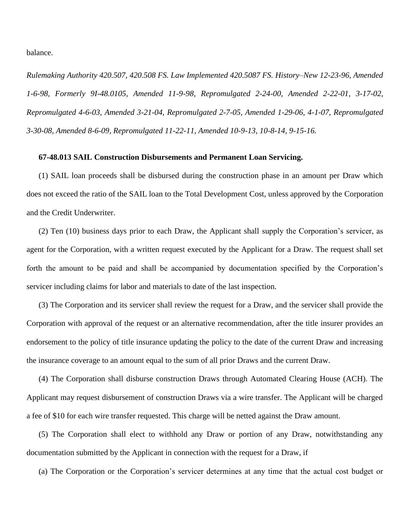balance.

*Rulemaking Authority 420.507, 420.508 FS. Law Implemented 420.5087 FS. History–New 12-23-96, Amended 1-6-98, Formerly 9I-48.0105, Amended 11-9-98, Repromulgated 2-24-00, Amended 2-22-01, 3-17-02, Repromulgated 4-6-03, Amended 3-21-04, Repromulgated 2-7-05, Amended 1-29-06, 4-1-07, Repromulgated 3-30-08, Amended 8-6-09, Repromulgated 11-22-11, Amended 10-9-13, 10-8-14, 9-15-16.*

## **67-48.013 SAIL Construction Disbursements and Permanent Loan Servicing.**

(1) SAIL loan proceeds shall be disbursed during the construction phase in an amount per Draw which does not exceed the ratio of the SAIL loan to the Total Development Cost, unless approved by the Corporation and the Credit Underwriter.

(2) Ten (10) business days prior to each Draw, the Applicant shall supply the Corporation's servicer, as agent for the Corporation, with a written request executed by the Applicant for a Draw. The request shall set forth the amount to be paid and shall be accompanied by documentation specified by the Corporation's servicer including claims for labor and materials to date of the last inspection.

(3) The Corporation and its servicer shall review the request for a Draw, and the servicer shall provide the Corporation with approval of the request or an alternative recommendation, after the title insurer provides an endorsement to the policy of title insurance updating the policy to the date of the current Draw and increasing the insurance coverage to an amount equal to the sum of all prior Draws and the current Draw.

(4) The Corporation shall disburse construction Draws through Automated Clearing House (ACH). The Applicant may request disbursement of construction Draws via a wire transfer. The Applicant will be charged a fee of \$10 for each wire transfer requested. This charge will be netted against the Draw amount.

(5) The Corporation shall elect to withhold any Draw or portion of any Draw, notwithstanding any documentation submitted by the Applicant in connection with the request for a Draw, if

(a) The Corporation or the Corporation's servicer determines at any time that the actual cost budget or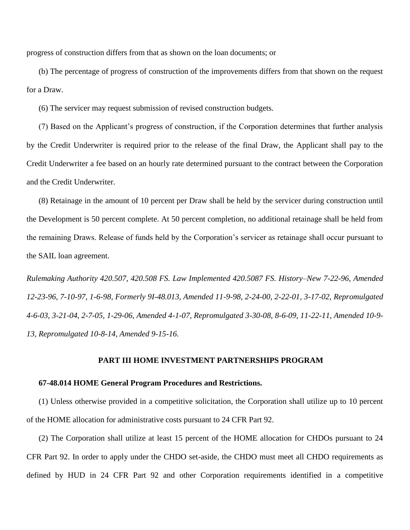progress of construction differs from that as shown on the loan documents; or

(b) The percentage of progress of construction of the improvements differs from that shown on the request for a Draw.

(6) The servicer may request submission of revised construction budgets.

(7) Based on the Applicant's progress of construction, if the Corporation determines that further analysis by the Credit Underwriter is required prior to the release of the final Draw, the Applicant shall pay to the Credit Underwriter a fee based on an hourly rate determined pursuant to the contract between the Corporation and the Credit Underwriter.

(8) Retainage in the amount of 10 percent per Draw shall be held by the servicer during construction until the Development is 50 percent complete. At 50 percent completion, no additional retainage shall be held from the remaining Draws. Release of funds held by the Corporation's servicer as retainage shall occur pursuant to the SAIL loan agreement.

*Rulemaking Authority 420.507, 420.508 FS. Law Implemented 420.5087 FS. History–New 7-22-96, Amended 12-23-96, 7-10-97, 1-6-98, Formerly 9I-48.013, Amended 11-9-98, 2-24-00, 2-22-01, 3-17-02, Repromulgated 4-6-03, 3-21-04, 2-7-05, 1-29-06, Amended 4-1-07, Repromulgated 3-30-08, 8-6-09, 11-22-11, Amended 10-9- 13, Repromulgated 10-8-14, Amended 9-15-16.*

# **PART III HOME INVESTMENT PARTNERSHIPS PROGRAM**

## **67-48.014 HOME General Program Procedures and Restrictions.**

(1) Unless otherwise provided in a competitive solicitation, the Corporation shall utilize up to 10 percent of the HOME allocation for administrative costs pursuant to 24 CFR Part 92.

(2) The Corporation shall utilize at least 15 percent of the HOME allocation for CHDOs pursuant to 24 CFR Part 92. In order to apply under the CHDO set-aside, the CHDO must meet all CHDO requirements as defined by HUD in 24 CFR Part 92 and other Corporation requirements identified in a competitive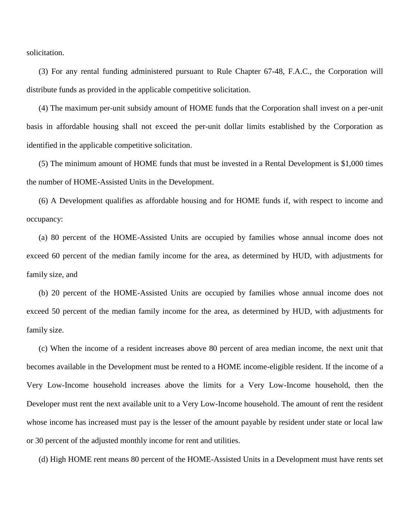solicitation.

(3) For any rental funding administered pursuant to Rule Chapter 67-48, F.A.C., the Corporation will distribute funds as provided in the applicable competitive solicitation.

(4) The maximum per-unit subsidy amount of HOME funds that the Corporation shall invest on a per-unit basis in affordable housing shall not exceed the per-unit dollar limits established by the Corporation as identified in the applicable competitive solicitation.

(5) The minimum amount of HOME funds that must be invested in a Rental Development is \$1,000 times the number of HOME-Assisted Units in the Development.

(6) A Development qualifies as affordable housing and for HOME funds if, with respect to income and occupancy:

(a) 80 percent of the HOME-Assisted Units are occupied by families whose annual income does not exceed 60 percent of the median family income for the area, as determined by HUD, with adjustments for family size, and

(b) 20 percent of the HOME-Assisted Units are occupied by families whose annual income does not exceed 50 percent of the median family income for the area, as determined by HUD, with adjustments for family size.

(c) When the income of a resident increases above 80 percent of area median income, the next unit that becomes available in the Development must be rented to a HOME income-eligible resident. If the income of a Very Low-Income household increases above the limits for a Very Low-Income household, then the Developer must rent the next available unit to a Very Low-Income household. The amount of rent the resident whose income has increased must pay is the lesser of the amount payable by resident under state or local law or 30 percent of the adjusted monthly income for rent and utilities.

(d) High HOME rent means 80 percent of the HOME-Assisted Units in a Development must have rents set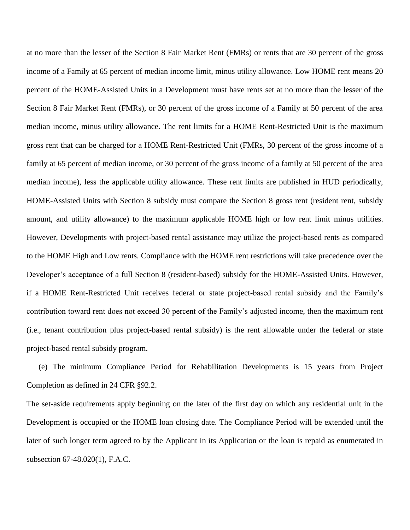at no more than the lesser of the Section 8 Fair Market Rent (FMRs) or rents that are 30 percent of the gross income of a Family at 65 percent of median income limit, minus utility allowance. Low HOME rent means 20 percent of the HOME-Assisted Units in a Development must have rents set at no more than the lesser of the Section 8 Fair Market Rent (FMRs), or 30 percent of the gross income of a Family at 50 percent of the area median income, minus utility allowance. The rent limits for a HOME Rent-Restricted Unit is the maximum gross rent that can be charged for a HOME Rent-Restricted Unit (FMRs, 30 percent of the gross income of a family at 65 percent of median income, or 30 percent of the gross income of a family at 50 percent of the area median income), less the applicable utility allowance. These rent limits are published in HUD periodically, HOME-Assisted Units with Section 8 subsidy must compare the Section 8 gross rent (resident rent, subsidy amount, and utility allowance) to the maximum applicable HOME high or low rent limit minus utilities. However, Developments with project-based rental assistance may utilize the project-based rents as compared to the HOME High and Low rents. Compliance with the HOME rent restrictions will take precedence over the Developer's acceptance of a full Section 8 (resident-based) subsidy for the HOME-Assisted Units. However, if a HOME Rent-Restricted Unit receives federal or state project-based rental subsidy and the Family's contribution toward rent does not exceed 30 percent of the Family's adjusted income, then the maximum rent (i.e., tenant contribution plus project-based rental subsidy) is the rent allowable under the federal or state project-based rental subsidy program.

(e) The minimum Compliance Period for Rehabilitation Developments is 15 years from Project Completion as defined in 24 CFR §92.2.

The set-aside requirements apply beginning on the later of the first day on which any residential unit in the Development is occupied or the HOME loan closing date. The Compliance Period will be extended until the later of such longer term agreed to by the Applicant in its Application or the loan is repaid as enumerated in subsection 67-48.020(1), F.A.C.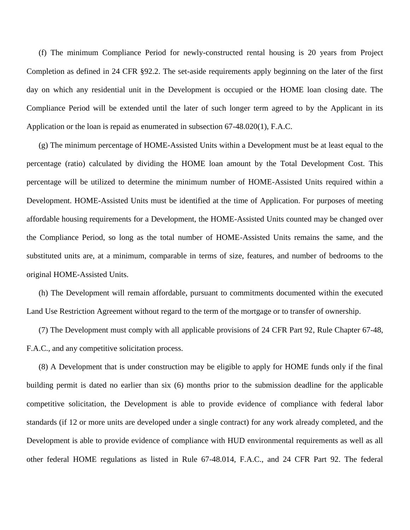(f) The minimum Compliance Period for newly-constructed rental housing is 20 years from Project Completion as defined in 24 CFR §92.2. The set-aside requirements apply beginning on the later of the first day on which any residential unit in the Development is occupied or the HOME loan closing date. The Compliance Period will be extended until the later of such longer term agreed to by the Applicant in its Application or the loan is repaid as enumerated in subsection 67-48.020(1), F.A.C.

(g) The minimum percentage of HOME-Assisted Units within a Development must be at least equal to the percentage (ratio) calculated by dividing the HOME loan amount by the Total Development Cost. This percentage will be utilized to determine the minimum number of HOME-Assisted Units required within a Development. HOME-Assisted Units must be identified at the time of Application. For purposes of meeting affordable housing requirements for a Development, the HOME-Assisted Units counted may be changed over the Compliance Period, so long as the total number of HOME-Assisted Units remains the same, and the substituted units are, at a minimum, comparable in terms of size, features, and number of bedrooms to the original HOME-Assisted Units.

(h) The Development will remain affordable, pursuant to commitments documented within the executed Land Use Restriction Agreement without regard to the term of the mortgage or to transfer of ownership.

(7) The Development must comply with all applicable provisions of 24 CFR Part 92, Rule Chapter 67-48, F.A.C., and any competitive solicitation process.

(8) A Development that is under construction may be eligible to apply for HOME funds only if the final building permit is dated no earlier than six (6) months prior to the submission deadline for the applicable competitive solicitation, the Development is able to provide evidence of compliance with federal labor standards (if 12 or more units are developed under a single contract) for any work already completed, and the Development is able to provide evidence of compliance with HUD environmental requirements as well as all other federal HOME regulations as listed in Rule 67-48.014, F.A.C., and 24 CFR Part 92. The federal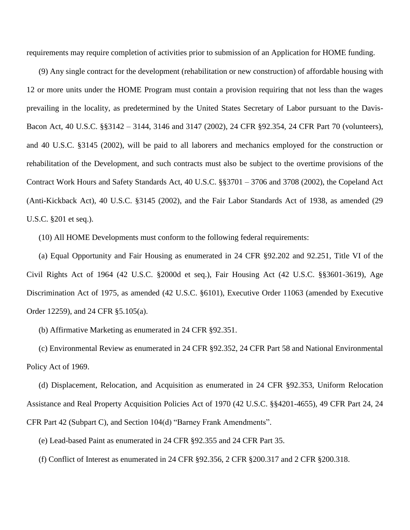requirements may require completion of activities prior to submission of an Application for HOME funding.

(9) Any single contract for the development (rehabilitation or new construction) of affordable housing with 12 or more units under the HOME Program must contain a provision requiring that not less than the wages prevailing in the locality, as predetermined by the United States Secretary of Labor pursuant to the Davis-Bacon Act, 40 U.S.C. §§3142 – 3144, 3146 and 3147 (2002), 24 CFR §92.354, 24 CFR Part 70 (volunteers), and 40 U.S.C. §3145 (2002), will be paid to all laborers and mechanics employed for the construction or rehabilitation of the Development, and such contracts must also be subject to the overtime provisions of the Contract Work Hours and Safety Standards Act, 40 U.S.C. §§3701 – 3706 and 3708 (2002), the Copeland Act (Anti-Kickback Act), 40 U.S.C. §3145 (2002), and the Fair Labor Standards Act of 1938, as amended (29 U.S.C. §201 et seq.).

(10) All HOME Developments must conform to the following federal requirements:

(a) Equal Opportunity and Fair Housing as enumerated in 24 CFR §92.202 and 92.251, Title VI of the Civil Rights Act of 1964 (42 U.S.C. §2000d et seq.), Fair Housing Act (42 U.S.C. §§3601-3619), Age Discrimination Act of 1975, as amended (42 U.S.C. §6101), Executive Order 11063 (amended by Executive Order 12259), and 24 CFR §5.105(a).

(b) Affirmative Marketing as enumerated in 24 CFR §92.351.

(c) Environmental Review as enumerated in 24 CFR §92.352, 24 CFR Part 58 and National Environmental Policy Act of 1969.

(d) Displacement, Relocation, and Acquisition as enumerated in 24 CFR §92.353, Uniform Relocation Assistance and Real Property Acquisition Policies Act of 1970 (42 U.S.C. §§4201-4655), 49 CFR Part 24, 24 CFR Part 42 (Subpart C), and Section 104(d) "Barney Frank Amendments".

(e) Lead-based Paint as enumerated in 24 CFR §92.355 and 24 CFR Part 35.

(f) Conflict of Interest as enumerated in 24 CFR §92.356, 2 CFR §200.317 and 2 CFR §200.318.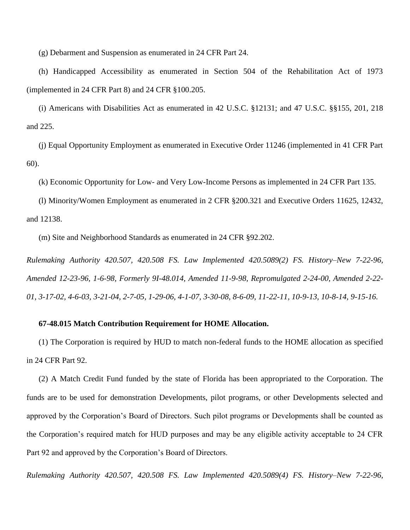(g) Debarment and Suspension as enumerated in 24 CFR Part 24.

(h) Handicapped Accessibility as enumerated in Section 504 of the Rehabilitation Act of 1973 (implemented in 24 CFR Part 8) and 24 CFR §100.205.

(i) Americans with Disabilities Act as enumerated in 42 U.S.C. §12131; and 47 U.S.C. §§155, 201, 218 and 225.

(j) Equal Opportunity Employment as enumerated in Executive Order 11246 (implemented in 41 CFR Part 60).

(k) Economic Opportunity for Low- and Very Low-Income Persons as implemented in 24 CFR Part 135.

(l) Minority/Women Employment as enumerated in 2 CFR §200.321 and Executive Orders 11625, 12432, and 12138.

(m) Site and Neighborhood Standards as enumerated in 24 CFR §92.202.

*Rulemaking Authority 420.507, 420.508 FS. Law Implemented 420.5089(2) FS. History–New 7-22-96, Amended 12-23-96, 1-6-98, Formerly 9I-48.014, Amended 11-9-98, Repromulgated 2-24-00, Amended 2-22- 01, 3-17-02, 4-6-03, 3-21-04, 2-7-05, 1-29-06, 4-1-07, 3-30-08, 8-6-09, 11-22-11, 10-9-13, 10-8-14, 9-15-16.*

# **67-48.015 Match Contribution Requirement for HOME Allocation.**

(1) The Corporation is required by HUD to match non-federal funds to the HOME allocation as specified in 24 CFR Part 92.

(2) A Match Credit Fund funded by the state of Florida has been appropriated to the Corporation. The funds are to be used for demonstration Developments, pilot programs, or other Developments selected and approved by the Corporation's Board of Directors. Such pilot programs or Developments shall be counted as the Corporation's required match for HUD purposes and may be any eligible activity acceptable to 24 CFR Part 92 and approved by the Corporation's Board of Directors.

*Rulemaking Authority 420.507, 420.508 FS. Law Implemented 420.5089(4) FS. History–New 7-22-96,*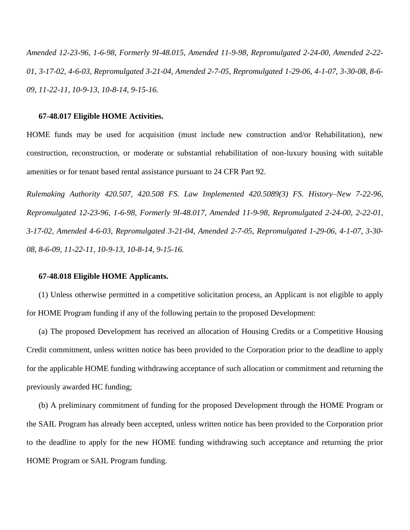*Amended 12-23-96, 1-6-98, Formerly 9I-48.015, Amended 11-9-98, Repromulgated 2-24-00, Amended 2-22- 01, 3-17-02, 4-6-03, Repromulgated 3-21-04, Amended 2-7-05, Repromulgated 1-29-06, 4-1-07, 3-30-08, 8-6- 09, 11-22-11, 10-9-13, 10-8-14, 9-15-16.*

#### **67-48.017 Eligible HOME Activities.**

HOME funds may be used for acquisition (must include new construction and/or Rehabilitation), new construction, reconstruction, or moderate or substantial rehabilitation of non-luxury housing with suitable amenities or for tenant based rental assistance pursuant to 24 CFR Part 92.

*Rulemaking Authority 420.507, 420.508 FS. Law Implemented 420.5089(3) FS. History–New 7-22-96, Repromulgated 12-23-96, 1-6-98, Formerly 9I-48.017, Amended 11-9-98, Repromulgated 2-24-00, 2-22-01, 3-17-02, Amended 4-6-03, Repromulgated 3-21-04, Amended 2-7-05, Repromulgated 1-29-06, 4-1-07, 3-30- 08, 8-6-09, 11-22-11, 10-9-13, 10-8-14, 9-15-16.*

# **67-48.018 Eligible HOME Applicants.**

(1) Unless otherwise permitted in a competitive solicitation process, an Applicant is not eligible to apply for HOME Program funding if any of the following pertain to the proposed Development:

(a) The proposed Development has received an allocation of Housing Credits or a Competitive Housing Credit commitment, unless written notice has been provided to the Corporation prior to the deadline to apply for the applicable HOME funding withdrawing acceptance of such allocation or commitment and returning the previously awarded HC funding;

(b) A preliminary commitment of funding for the proposed Development through the HOME Program or the SAIL Program has already been accepted, unless written notice has been provided to the Corporation prior to the deadline to apply for the new HOME funding withdrawing such acceptance and returning the prior HOME Program or SAIL Program funding.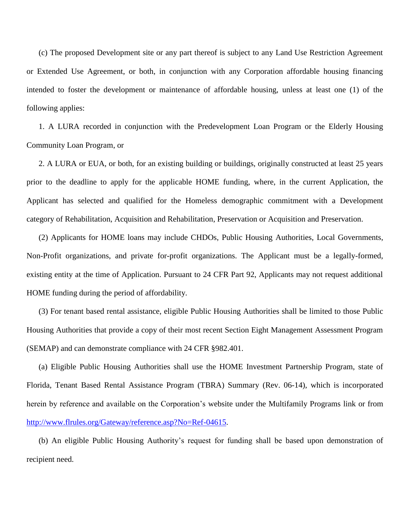(c) The proposed Development site or any part thereof is subject to any Land Use Restriction Agreement or Extended Use Agreement, or both, in conjunction with any Corporation affordable housing financing intended to foster the development or maintenance of affordable housing, unless at least one (1) of the following applies:

1. A LURA recorded in conjunction with the Predevelopment Loan Program or the Elderly Housing Community Loan Program, or

2. A LURA or EUA, or both, for an existing building or buildings, originally constructed at least 25 years prior to the deadline to apply for the applicable HOME funding, where, in the current Application, the Applicant has selected and qualified for the Homeless demographic commitment with a Development category of Rehabilitation, Acquisition and Rehabilitation, Preservation or Acquisition and Preservation.

(2) Applicants for HOME loans may include CHDOs, Public Housing Authorities, Local Governments, Non-Profit organizations, and private for-profit organizations. The Applicant must be a legally-formed, existing entity at the time of Application. Pursuant to 24 CFR Part 92, Applicants may not request additional HOME funding during the period of affordability.

(3) For tenant based rental assistance, eligible Public Housing Authorities shall be limited to those Public Housing Authorities that provide a copy of their most recent Section Eight Management Assessment Program (SEMAP) and can demonstrate compliance with 24 CFR §982.401.

(a) Eligible Public Housing Authorities shall use the HOME Investment Partnership Program, state of Florida, Tenant Based Rental Assistance Program (TBRA) Summary (Rev. 06-14), which is incorporated herein by reference and available on the Corporation's website under the Multifamily Programs link or from [http://www.flrules.org/Gateway/reference.asp?No=Ref-04615.](http://www.flrules.org/Gateway/reference.asp?No=Ref-04615)

(b) An eligible Public Housing Authority's request for funding shall be based upon demonstration of recipient need.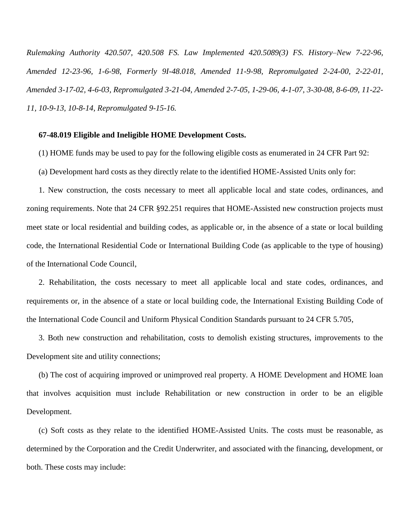*Rulemaking Authority 420.507, 420.508 FS. Law Implemented 420.5089(3) FS. History–New 7-22-96, Amended 12-23-96, 1-6-98, Formerly 9I-48.018, Amended 11-9-98, Repromulgated 2-24-00, 2-22-01, Amended 3-17-02, 4-6-03, Repromulgated 3-21-04, Amended 2-7-05, 1-29-06, 4-1-07, 3-30-08, 8-6-09, 11-22- 11, 10-9-13, 10-8-14, Repromulgated 9-15-16.*

### **67-48.019 Eligible and Ineligible HOME Development Costs.**

(1) HOME funds may be used to pay for the following eligible costs as enumerated in 24 CFR Part 92:

(a) Development hard costs as they directly relate to the identified HOME-Assisted Units only for:

1. New construction, the costs necessary to meet all applicable local and state codes, ordinances, and zoning requirements. Note that 24 CFR §92.251 requires that HOME-Assisted new construction projects must meet state or local residential and building codes, as applicable or, in the absence of a state or local building code, the International Residential Code or International Building Code (as applicable to the type of housing) of the International Code Council,

2. Rehabilitation, the costs necessary to meet all applicable local and state codes, ordinances, and requirements or, in the absence of a state or local building code, the International Existing Building Code of the International Code Council and Uniform Physical Condition Standards pursuant to 24 CFR 5.705,

3. Both new construction and rehabilitation, costs to demolish existing structures, improvements to the Development site and utility connections;

(b) The cost of acquiring improved or unimproved real property. A HOME Development and HOME loan that involves acquisition must include Rehabilitation or new construction in order to be an eligible Development.

(c) Soft costs as they relate to the identified HOME-Assisted Units. The costs must be reasonable, as determined by the Corporation and the Credit Underwriter, and associated with the financing, development, or both. These costs may include: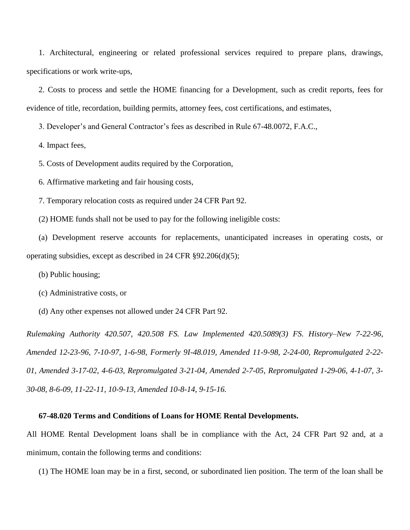1. Architectural, engineering or related professional services required to prepare plans, drawings, specifications or work write-ups,

2. Costs to process and settle the HOME financing for a Development, such as credit reports, fees for evidence of title, recordation, building permits, attorney fees, cost certifications, and estimates,

3. Developer's and General Contractor's fees as described in Rule 67-48.0072, F.A.C.,

4. Impact fees,

5. Costs of Development audits required by the Corporation,

6. Affirmative marketing and fair housing costs,

7. Temporary relocation costs as required under 24 CFR Part 92.

(2) HOME funds shall not be used to pay for the following ineligible costs:

(a) Development reserve accounts for replacements, unanticipated increases in operating costs, or operating subsidies, except as described in 24 CFR §92.206(d)(5);

(b) Public housing;

(c) Administrative costs, or

(d) Any other expenses not allowed under 24 CFR Part 92.

*Rulemaking Authority 420.507, 420.508 FS. Law Implemented 420.5089(3) FS. History–New 7-22-96, Amended 12-23-96, 7-10-97, 1-6-98, Formerly 9I-48.019, Amended 11-9-98, 2-24-00, Repromulgated 2-22- 01, Amended 3-17-02, 4-6-03, Repromulgated 3-21-04, Amended 2-7-05, Repromulgated 1-29-06, 4-1-07, 3- 30-08, 8-6-09, 11-22-11, 10-9-13, Amended 10-8-14, 9-15-16.*

### **67-48.020 Terms and Conditions of Loans for HOME Rental Developments.**

All HOME Rental Development loans shall be in compliance with the Act, 24 CFR Part 92 and, at a minimum, contain the following terms and conditions:

(1) The HOME loan may be in a first, second, or subordinated lien position. The term of the loan shall be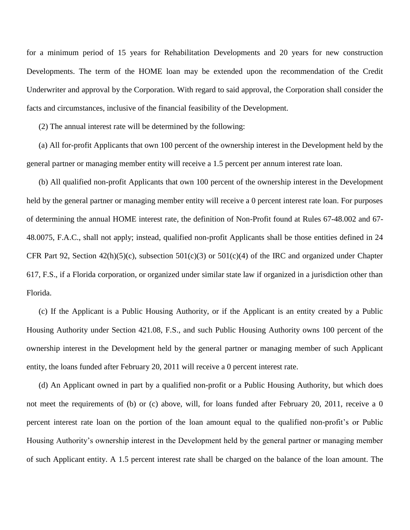for a minimum period of 15 years for Rehabilitation Developments and 20 years for new construction Developments. The term of the HOME loan may be extended upon the recommendation of the Credit Underwriter and approval by the Corporation. With regard to said approval, the Corporation shall consider the facts and circumstances, inclusive of the financial feasibility of the Development.

(2) The annual interest rate will be determined by the following:

(a) All for-profit Applicants that own 100 percent of the ownership interest in the Development held by the general partner or managing member entity will receive a 1.5 percent per annum interest rate loan.

(b) All qualified non-profit Applicants that own 100 percent of the ownership interest in the Development held by the general partner or managing member entity will receive a 0 percent interest rate loan. For purposes of determining the annual HOME interest rate, the definition of Non-Profit found at Rules 67-48.002 and 67- 48.0075, F.A.C., shall not apply; instead, qualified non-profit Applicants shall be those entities defined in 24 CFR Part 92, Section  $42(h)(5)(c)$ , subsection  $501(c)(3)$  or  $501(c)(4)$  of the IRC and organized under Chapter 617, F.S., if a Florida corporation, or organized under similar state law if organized in a jurisdiction other than Florida.

(c) If the Applicant is a Public Housing Authority, or if the Applicant is an entity created by a Public Housing Authority under Section 421.08, F.S., and such Public Housing Authority owns 100 percent of the ownership interest in the Development held by the general partner or managing member of such Applicant entity, the loans funded after February 20, 2011 will receive a 0 percent interest rate.

(d) An Applicant owned in part by a qualified non-profit or a Public Housing Authority, but which does not meet the requirements of (b) or (c) above, will, for loans funded after February 20, 2011, receive a 0 percent interest rate loan on the portion of the loan amount equal to the qualified non-profit's or Public Housing Authority's ownership interest in the Development held by the general partner or managing member of such Applicant entity. A 1.5 percent interest rate shall be charged on the balance of the loan amount. The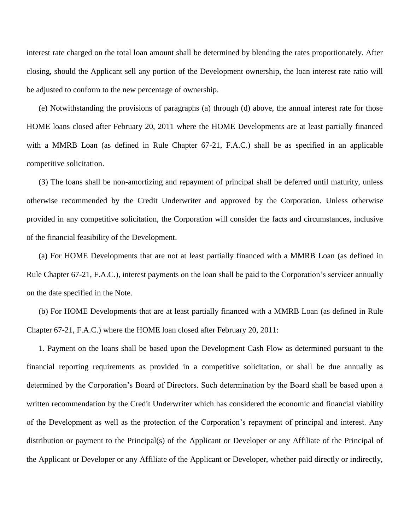interest rate charged on the total loan amount shall be determined by blending the rates proportionately. After closing, should the Applicant sell any portion of the Development ownership, the loan interest rate ratio will be adjusted to conform to the new percentage of ownership.

(e) Notwithstanding the provisions of paragraphs (a) through (d) above, the annual interest rate for those HOME loans closed after February 20, 2011 where the HOME Developments are at least partially financed with a MMRB Loan (as defined in Rule Chapter 67-21, F.A.C.) shall be as specified in an applicable competitive solicitation.

(3) The loans shall be non-amortizing and repayment of principal shall be deferred until maturity, unless otherwise recommended by the Credit Underwriter and approved by the Corporation. Unless otherwise provided in any competitive solicitation, the Corporation will consider the facts and circumstances, inclusive of the financial feasibility of the Development.

(a) For HOME Developments that are not at least partially financed with a MMRB Loan (as defined in Rule Chapter 67-21, F.A.C.), interest payments on the loan shall be paid to the Corporation's servicer annually on the date specified in the Note.

(b) For HOME Developments that are at least partially financed with a MMRB Loan (as defined in Rule Chapter 67-21, F.A.C.) where the HOME loan closed after February 20, 2011:

1. Payment on the loans shall be based upon the Development Cash Flow as determined pursuant to the financial reporting requirements as provided in a competitive solicitation, or shall be due annually as determined by the Corporation's Board of Directors. Such determination by the Board shall be based upon a written recommendation by the Credit Underwriter which has considered the economic and financial viability of the Development as well as the protection of the Corporation's repayment of principal and interest. Any distribution or payment to the Principal(s) of the Applicant or Developer or any Affiliate of the Principal of the Applicant or Developer or any Affiliate of the Applicant or Developer, whether paid directly or indirectly,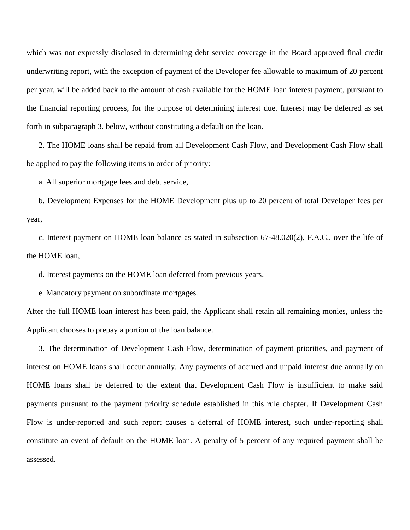which was not expressly disclosed in determining debt service coverage in the Board approved final credit underwriting report, with the exception of payment of the Developer fee allowable to maximum of 20 percent per year, will be added back to the amount of cash available for the HOME loan interest payment, pursuant to the financial reporting process, for the purpose of determining interest due. Interest may be deferred as set forth in subparagraph 3. below, without constituting a default on the loan.

2. The HOME loans shall be repaid from all Development Cash Flow, and Development Cash Flow shall be applied to pay the following items in order of priority:

a. All superior mortgage fees and debt service,

b. Development Expenses for the HOME Development plus up to 20 percent of total Developer fees per year,

c. Interest payment on HOME loan balance as stated in subsection 67-48.020(2), F.A.C., over the life of the HOME loan,

d. Interest payments on the HOME loan deferred from previous years,

e. Mandatory payment on subordinate mortgages.

After the full HOME loan interest has been paid, the Applicant shall retain all remaining monies, unless the Applicant chooses to prepay a portion of the loan balance.

3. The determination of Development Cash Flow, determination of payment priorities, and payment of interest on HOME loans shall occur annually. Any payments of accrued and unpaid interest due annually on HOME loans shall be deferred to the extent that Development Cash Flow is insufficient to make said payments pursuant to the payment priority schedule established in this rule chapter. If Development Cash Flow is under-reported and such report causes a deferral of HOME interest, such under-reporting shall constitute an event of default on the HOME loan. A penalty of 5 percent of any required payment shall be assessed.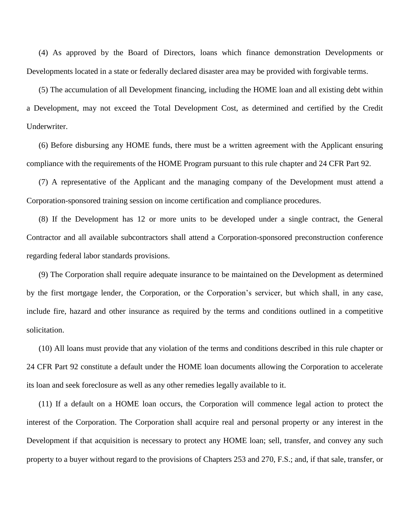(4) As approved by the Board of Directors, loans which finance demonstration Developments or Developments located in a state or federally declared disaster area may be provided with forgivable terms.

(5) The accumulation of all Development financing, including the HOME loan and all existing debt within a Development, may not exceed the Total Development Cost, as determined and certified by the Credit Underwriter.

(6) Before disbursing any HOME funds, there must be a written agreement with the Applicant ensuring compliance with the requirements of the HOME Program pursuant to this rule chapter and 24 CFR Part 92.

(7) A representative of the Applicant and the managing company of the Development must attend a Corporation-sponsored training session on income certification and compliance procedures.

(8) If the Development has 12 or more units to be developed under a single contract, the General Contractor and all available subcontractors shall attend a Corporation-sponsored preconstruction conference regarding federal labor standards provisions.

(9) The Corporation shall require adequate insurance to be maintained on the Development as determined by the first mortgage lender, the Corporation, or the Corporation's servicer, but which shall, in any case, include fire, hazard and other insurance as required by the terms and conditions outlined in a competitive solicitation.

(10) All loans must provide that any violation of the terms and conditions described in this rule chapter or 24 CFR Part 92 constitute a default under the HOME loan documents allowing the Corporation to accelerate its loan and seek foreclosure as well as any other remedies legally available to it.

(11) If a default on a HOME loan occurs, the Corporation will commence legal action to protect the interest of the Corporation. The Corporation shall acquire real and personal property or any interest in the Development if that acquisition is necessary to protect any HOME loan; sell, transfer, and convey any such property to a buyer without regard to the provisions of Chapters 253 and 270, F.S.; and, if that sale, transfer, or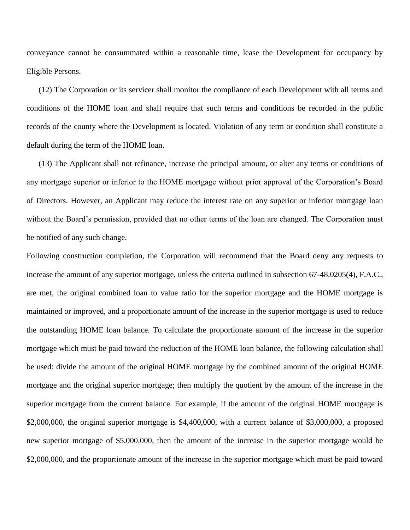conveyance cannot be consummated within a reasonable time, lease the Development for occupancy by Eligible Persons.

(12) The Corporation or its servicer shall monitor the compliance of each Development with all terms and conditions of the HOME loan and shall require that such terms and conditions be recorded in the public records of the county where the Development is located. Violation of any term or condition shall constitute a default during the term of the HOME loan.

(13) The Applicant shall not refinance, increase the principal amount, or alter any terms or conditions of any mortgage superior or inferior to the HOME mortgage without prior approval of the Corporation's Board of Directors. However, an Applicant may reduce the interest rate on any superior or inferior mortgage loan without the Board's permission, provided that no other terms of the loan are changed. The Corporation must be notified of any such change.

Following construction completion, the Corporation will recommend that the Board deny any requests to increase the amount of any superior mortgage, unless the criteria outlined in subsection 67-48.0205(4), F.A.C., are met, the original combined loan to value ratio for the superior mortgage and the HOME mortgage is maintained or improved, and a proportionate amount of the increase in the superior mortgage is used to reduce the outstanding HOME loan balance. To calculate the proportionate amount of the increase in the superior mortgage which must be paid toward the reduction of the HOME loan balance, the following calculation shall be used: divide the amount of the original HOME mortgage by the combined amount of the original HOME mortgage and the original superior mortgage; then multiply the quotient by the amount of the increase in the superior mortgage from the current balance. For example, if the amount of the original HOME mortgage is \$2,000,000, the original superior mortgage is \$4,400,000, with a current balance of \$3,000,000, a proposed new superior mortgage of \$5,000,000, then the amount of the increase in the superior mortgage would be \$2,000,000, and the proportionate amount of the increase in the superior mortgage which must be paid toward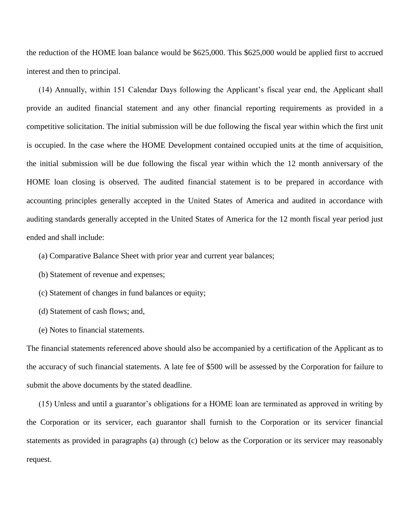the reduction of the HOME loan balance would be \$625,000. This \$625,000 would be applied first to accrued interest and then to principal.

(14) Annually, within 151 Calendar Days following the Applicant's fiscal year end, the Applicant shall provide an audited financial statement and any other financial reporting requirements as provided in a competitive solicitation. The initial submission will be due following the fiscal year within which the first unit is occupied. In the case where the HOME Development contained occupied units at the time of acquisition, the initial submission will be due following the fiscal year within which the 12 month anniversary of the HOME loan closing is observed. The audited financial statement is to be prepared in accordance with accounting principles generally accepted in the United States of America and audited in accordance with auditing standards generally accepted in the United States of America for the 12 month fiscal year period just ended and shall include:

(a) Comparative Balance Sheet with prior year and current year balances;

(b) Statement of revenue and expenses;

(c) Statement of changes in fund balances or equity;

- (d) Statement of cash flows; and,
- (e) Notes to financial statements.

The financial statements referenced above should also be accompanied by a certification of the Applicant as to the accuracy of such financial statements. A late fee of \$500 will be assessed by the Corporation for failure to submit the above documents by the stated deadline.

(15) Unless and until a guarantor's obligations for a HOME loan are terminated as approved in writing by the Corporation or its servicer, each guarantor shall furnish to the Corporation or its servicer financial statements as provided in paragraphs (a) through (c) below as the Corporation or its servicer may reasonably request.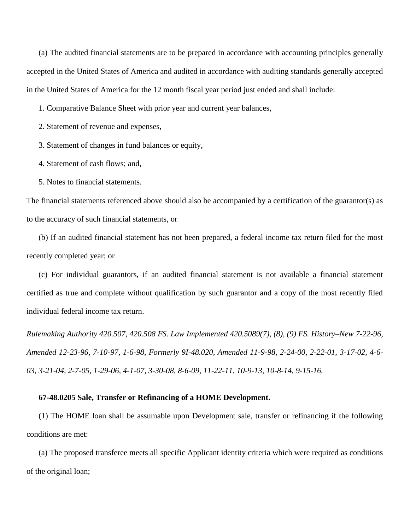(a) The audited financial statements are to be prepared in accordance with accounting principles generally accepted in the United States of America and audited in accordance with auditing standards generally accepted in the United States of America for the 12 month fiscal year period just ended and shall include:

1. Comparative Balance Sheet with prior year and current year balances,

2. Statement of revenue and expenses,

3. Statement of changes in fund balances or equity,

4. Statement of cash flows; and,

5. Notes to financial statements.

The financial statements referenced above should also be accompanied by a certification of the guarantor(s) as to the accuracy of such financial statements, or

(b) If an audited financial statement has not been prepared, a federal income tax return filed for the most recently completed year; or

(c) For individual guarantors, if an audited financial statement is not available a financial statement certified as true and complete without qualification by such guarantor and a copy of the most recently filed individual federal income tax return.

*Rulemaking Authority 420.507, 420.508 FS. Law Implemented 420.5089(7), (8), (9) FS. History–New 7-22-96, Amended 12-23-96, 7-10-97, 1-6-98, Formerly 9I-48.020, Amended 11-9-98, 2-24-00, 2-22-01, 3-17-02, 4-6- 03, 3-21-04, 2-7-05, 1-29-06, 4-1-07, 3-30-08, 8-6-09, 11-22-11, 10-9-13, 10-8-14, 9-15-16.*

### **67-48.0205 Sale, Transfer or Refinancing of a HOME Development.**

(1) The HOME loan shall be assumable upon Development sale, transfer or refinancing if the following conditions are met:

(a) The proposed transferee meets all specific Applicant identity criteria which were required as conditions of the original loan;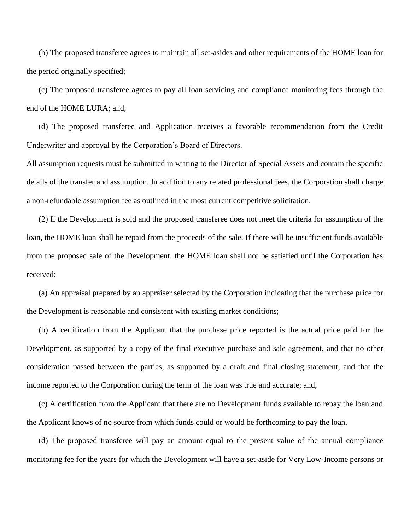(b) The proposed transferee agrees to maintain all set-asides and other requirements of the HOME loan for the period originally specified;

(c) The proposed transferee agrees to pay all loan servicing and compliance monitoring fees through the end of the HOME LURA; and,

(d) The proposed transferee and Application receives a favorable recommendation from the Credit Underwriter and approval by the Corporation's Board of Directors.

All assumption requests must be submitted in writing to the Director of Special Assets and contain the specific details of the transfer and assumption. In addition to any related professional fees, the Corporation shall charge a non-refundable assumption fee as outlined in the most current competitive solicitation.

(2) If the Development is sold and the proposed transferee does not meet the criteria for assumption of the loan, the HOME loan shall be repaid from the proceeds of the sale. If there will be insufficient funds available from the proposed sale of the Development, the HOME loan shall not be satisfied until the Corporation has received:

(a) An appraisal prepared by an appraiser selected by the Corporation indicating that the purchase price for the Development is reasonable and consistent with existing market conditions;

(b) A certification from the Applicant that the purchase price reported is the actual price paid for the Development, as supported by a copy of the final executive purchase and sale agreement, and that no other consideration passed between the parties, as supported by a draft and final closing statement, and that the income reported to the Corporation during the term of the loan was true and accurate; and,

(c) A certification from the Applicant that there are no Development funds available to repay the loan and the Applicant knows of no source from which funds could or would be forthcoming to pay the loan.

(d) The proposed transferee will pay an amount equal to the present value of the annual compliance monitoring fee for the years for which the Development will have a set-aside for Very Low-Income persons or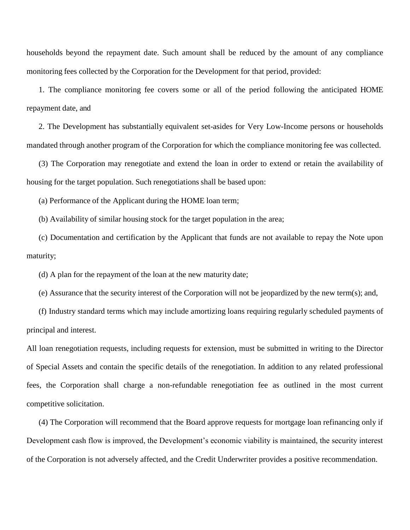households beyond the repayment date. Such amount shall be reduced by the amount of any compliance monitoring fees collected by the Corporation for the Development for that period, provided:

1. The compliance monitoring fee covers some or all of the period following the anticipated HOME repayment date, and

2. The Development has substantially equivalent set-asides for Very Low-Income persons or households mandated through another program of the Corporation for which the compliance monitoring fee was collected.

(3) The Corporation may renegotiate and extend the loan in order to extend or retain the availability of housing for the target population. Such renegotiations shall be based upon:

(a) Performance of the Applicant during the HOME loan term;

(b) Availability of similar housing stock for the target population in the area;

(c) Documentation and certification by the Applicant that funds are not available to repay the Note upon maturity;

(d) A plan for the repayment of the loan at the new maturity date;

(e) Assurance that the security interest of the Corporation will not be jeopardized by the new term(s); and,

(f) Industry standard terms which may include amortizing loans requiring regularly scheduled payments of principal and interest.

All loan renegotiation requests, including requests for extension, must be submitted in writing to the Director of Special Assets and contain the specific details of the renegotiation. In addition to any related professional fees, the Corporation shall charge a non-refundable renegotiation fee as outlined in the most current competitive solicitation.

(4) The Corporation will recommend that the Board approve requests for mortgage loan refinancing only if Development cash flow is improved, the Development's economic viability is maintained, the security interest of the Corporation is not adversely affected, and the Credit Underwriter provides a positive recommendation.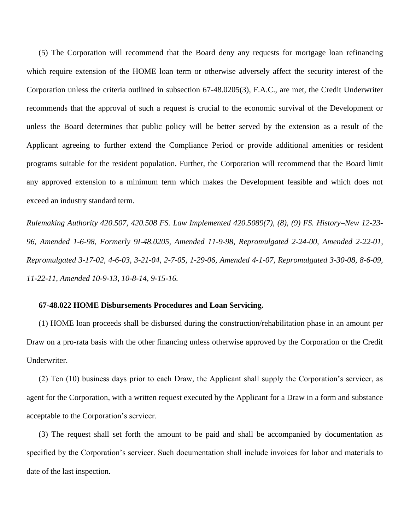(5) The Corporation will recommend that the Board deny any requests for mortgage loan refinancing which require extension of the HOME loan term or otherwise adversely affect the security interest of the Corporation unless the criteria outlined in subsection 67-48.0205(3), F.A.C., are met, the Credit Underwriter recommends that the approval of such a request is crucial to the economic survival of the Development or unless the Board determines that public policy will be better served by the extension as a result of the Applicant agreeing to further extend the Compliance Period or provide additional amenities or resident programs suitable for the resident population. Further, the Corporation will recommend that the Board limit any approved extension to a minimum term which makes the Development feasible and which does not exceed an industry standard term.

*Rulemaking Authority 420.507, 420.508 FS. Law Implemented 420.5089(7), (8), (9) FS. History–New 12-23- 96, Amended 1-6-98, Formerly 9I-48.0205, Amended 11-9-98, Repromulgated 2-24-00, Amended 2-22-01, Repromulgated 3-17-02, 4-6-03, 3-21-04, 2-7-05, 1-29-06, Amended 4-1-07, Repromulgated 3-30-08, 8-6-09, 11-22-11, Amended 10-9-13, 10-8-14, 9-15-16.*

# **67-48.022 HOME Disbursements Procedures and Loan Servicing.**

(1) HOME loan proceeds shall be disbursed during the construction/rehabilitation phase in an amount per Draw on a pro-rata basis with the other financing unless otherwise approved by the Corporation or the Credit Underwriter.

(2) Ten (10) business days prior to each Draw, the Applicant shall supply the Corporation's servicer, as agent for the Corporation, with a written request executed by the Applicant for a Draw in a form and substance acceptable to the Corporation's servicer.

(3) The request shall set forth the amount to be paid and shall be accompanied by documentation as specified by the Corporation's servicer. Such documentation shall include invoices for labor and materials to date of the last inspection.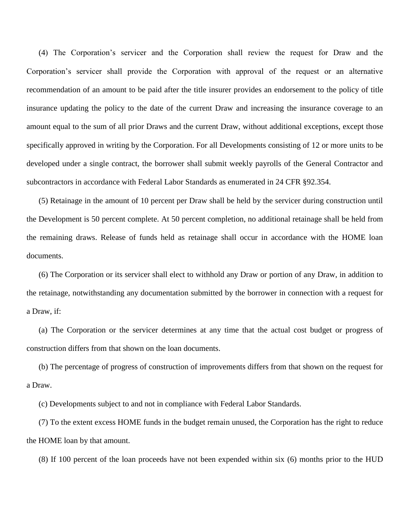(4) The Corporation's servicer and the Corporation shall review the request for Draw and the Corporation's servicer shall provide the Corporation with approval of the request or an alternative recommendation of an amount to be paid after the title insurer provides an endorsement to the policy of title insurance updating the policy to the date of the current Draw and increasing the insurance coverage to an amount equal to the sum of all prior Draws and the current Draw, without additional exceptions, except those specifically approved in writing by the Corporation. For all Developments consisting of 12 or more units to be developed under a single contract, the borrower shall submit weekly payrolls of the General Contractor and subcontractors in accordance with Federal Labor Standards as enumerated in 24 CFR §92.354.

(5) Retainage in the amount of 10 percent per Draw shall be held by the servicer during construction until the Development is 50 percent complete. At 50 percent completion, no additional retainage shall be held from the remaining draws. Release of funds held as retainage shall occur in accordance with the HOME loan documents.

(6) The Corporation or its servicer shall elect to withhold any Draw or portion of any Draw, in addition to the retainage, notwithstanding any documentation submitted by the borrower in connection with a request for a Draw, if:

(a) The Corporation or the servicer determines at any time that the actual cost budget or progress of construction differs from that shown on the loan documents.

(b) The percentage of progress of construction of improvements differs from that shown on the request for a Draw.

(c) Developments subject to and not in compliance with Federal Labor Standards.

(7) To the extent excess HOME funds in the budget remain unused, the Corporation has the right to reduce the HOME loan by that amount.

(8) If 100 percent of the loan proceeds have not been expended within six (6) months prior to the HUD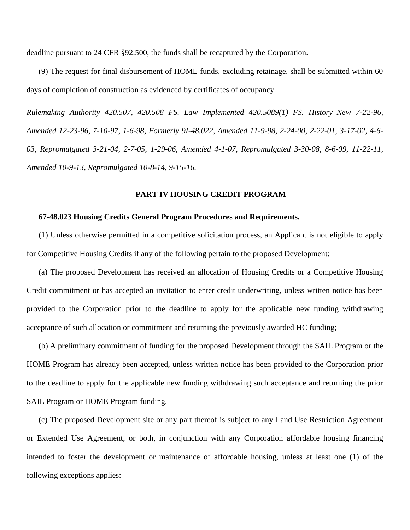deadline pursuant to 24 CFR §92.500, the funds shall be recaptured by the Corporation.

(9) The request for final disbursement of HOME funds, excluding retainage, shall be submitted within 60 days of completion of construction as evidenced by certificates of occupancy.

*Rulemaking Authority 420.507, 420.508 FS. Law Implemented 420.5089(1) FS. History–New 7-22-96, Amended 12-23-96, 7-10-97, 1-6-98, Formerly 9I-48.022, Amended 11-9-98, 2-24-00, 2-22-01, 3-17-02, 4-6- 03, Repromulgated 3-21-04, 2-7-05, 1-29-06, Amended 4-1-07, Repromulgated 3-30-08, 8-6-09, 11-22-11, Amended 10-9-13, Repromulgated 10-8-14, 9-15-16.*

#### **PART IV HOUSING CREDIT PROGRAM**

### **67-48.023 Housing Credits General Program Procedures and Requirements.**

(1) Unless otherwise permitted in a competitive solicitation process, an Applicant is not eligible to apply for Competitive Housing Credits if any of the following pertain to the proposed Development:

(a) The proposed Development has received an allocation of Housing Credits or a Competitive Housing Credit commitment or has accepted an invitation to enter credit underwriting, unless written notice has been provided to the Corporation prior to the deadline to apply for the applicable new funding withdrawing acceptance of such allocation or commitment and returning the previously awarded HC funding;

(b) A preliminary commitment of funding for the proposed Development through the SAIL Program or the HOME Program has already been accepted, unless written notice has been provided to the Corporation prior to the deadline to apply for the applicable new funding withdrawing such acceptance and returning the prior SAIL Program or HOME Program funding.

(c) The proposed Development site or any part thereof is subject to any Land Use Restriction Agreement or Extended Use Agreement, or both, in conjunction with any Corporation affordable housing financing intended to foster the development or maintenance of affordable housing, unless at least one (1) of the following exceptions applies: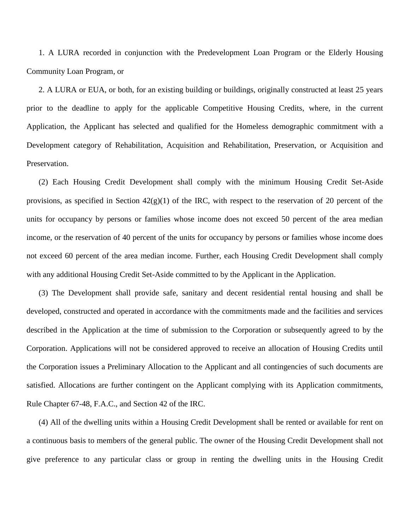1. A LURA recorded in conjunction with the Predevelopment Loan Program or the Elderly Housing Community Loan Program, or

2. A LURA or EUA, or both, for an existing building or buildings, originally constructed at least 25 years prior to the deadline to apply for the applicable Competitive Housing Credits, where, in the current Application, the Applicant has selected and qualified for the Homeless demographic commitment with a Development category of Rehabilitation, Acquisition and Rehabilitation, Preservation, or Acquisition and Preservation.

(2) Each Housing Credit Development shall comply with the minimum Housing Credit Set-Aside provisions, as specified in Section  $42(g)(1)$  of the IRC, with respect to the reservation of 20 percent of the units for occupancy by persons or families whose income does not exceed 50 percent of the area median income, or the reservation of 40 percent of the units for occupancy by persons or families whose income does not exceed 60 percent of the area median income. Further, each Housing Credit Development shall comply with any additional Housing Credit Set-Aside committed to by the Applicant in the Application.

(3) The Development shall provide safe, sanitary and decent residential rental housing and shall be developed, constructed and operated in accordance with the commitments made and the facilities and services described in the Application at the time of submission to the Corporation or subsequently agreed to by the Corporation. Applications will not be considered approved to receive an allocation of Housing Credits until the Corporation issues a Preliminary Allocation to the Applicant and all contingencies of such documents are satisfied. Allocations are further contingent on the Applicant complying with its Application commitments, Rule Chapter 67-48, F.A.C., and Section 42 of the IRC.

(4) All of the dwelling units within a Housing Credit Development shall be rented or available for rent on a continuous basis to members of the general public. The owner of the Housing Credit Development shall not give preference to any particular class or group in renting the dwelling units in the Housing Credit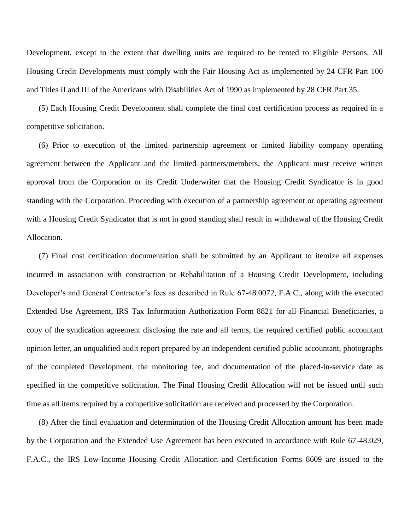Development, except to the extent that dwelling units are required to be rented to Eligible Persons. All Housing Credit Developments must comply with the Fair Housing Act as implemented by 24 CFR Part 100 and Titles II and III of the Americans with Disabilities Act of 1990 as implemented by 28 CFR Part 35.

(5) Each Housing Credit Development shall complete the final cost certification process as required in a competitive solicitation.

(6) Prior to execution of the limited partnership agreement or limited liability company operating agreement between the Applicant and the limited partners/members, the Applicant must receive written approval from the Corporation or its Credit Underwriter that the Housing Credit Syndicator is in good standing with the Corporation. Proceeding with execution of a partnership agreement or operating agreement with a Housing Credit Syndicator that is not in good standing shall result in withdrawal of the Housing Credit Allocation.

(7) Final cost certification documentation shall be submitted by an Applicant to itemize all expenses incurred in association with construction or Rehabilitation of a Housing Credit Development, including Developer's and General Contractor's fees as described in Rule 67-48.0072, F.A.C., along with the executed Extended Use Agreement, IRS Tax Information Authorization Form 8821 for all Financial Beneficiaries, a copy of the syndication agreement disclosing the rate and all terms, the required certified public accountant opinion letter, an unqualified audit report prepared by an independent certified public accountant, photographs of the completed Development, the monitoring fee, and documentation of the placed-in-service date as specified in the competitive solicitation. The Final Housing Credit Allocation will not be issued until such time as all items required by a competitive solicitation are received and processed by the Corporation.

(8) After the final evaluation and determination of the Housing Credit Allocation amount has been made by the Corporation and the Extended Use Agreement has been executed in accordance with Rule 67-48.029, F.A.C., the IRS Low-Income Housing Credit Allocation and Certification Forms 8609 are issued to the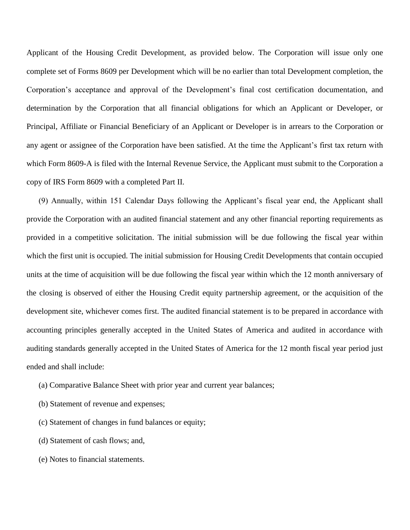Applicant of the Housing Credit Development, as provided below. The Corporation will issue only one complete set of Forms 8609 per Development which will be no earlier than total Development completion, the Corporation's acceptance and approval of the Development's final cost certification documentation, and determination by the Corporation that all financial obligations for which an Applicant or Developer, or Principal, Affiliate or Financial Beneficiary of an Applicant or Developer is in arrears to the Corporation or any agent or assignee of the Corporation have been satisfied. At the time the Applicant's first tax return with which Form 8609-A is filed with the Internal Revenue Service, the Applicant must submit to the Corporation a copy of IRS Form 8609 with a completed Part II.

(9) Annually, within 151 Calendar Days following the Applicant's fiscal year end, the Applicant shall provide the Corporation with an audited financial statement and any other financial reporting requirements as provided in a competitive solicitation. The initial submission will be due following the fiscal year within which the first unit is occupied. The initial submission for Housing Credit Developments that contain occupied units at the time of acquisition will be due following the fiscal year within which the 12 month anniversary of the closing is observed of either the Housing Credit equity partnership agreement, or the acquisition of the development site, whichever comes first. The audited financial statement is to be prepared in accordance with accounting principles generally accepted in the United States of America and audited in accordance with auditing standards generally accepted in the United States of America for the 12 month fiscal year period just ended and shall include:

- (a) Comparative Balance Sheet with prior year and current year balances;
- (b) Statement of revenue and expenses;
- (c) Statement of changes in fund balances or equity;
- (d) Statement of cash flows; and,
- (e) Notes to financial statements.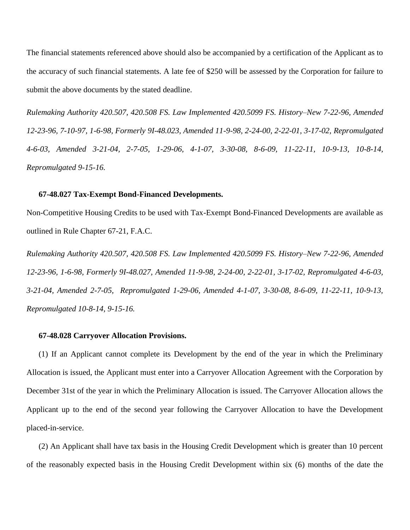The financial statements referenced above should also be accompanied by a certification of the Applicant as to the accuracy of such financial statements. A late fee of \$250 will be assessed by the Corporation for failure to submit the above documents by the stated deadline.

*Rulemaking Authority 420.507, 420.508 FS. Law Implemented 420.5099 FS. History–New 7-22-96, Amended 12-23-96, 7-10-97, 1-6-98, Formerly 9I-48.023, Amended 11-9-98, 2-24-00, 2-22-01, 3-17-02, Repromulgated 4-6-03, Amended 3-21-04, 2-7-05, 1-29-06, 4-1-07, 3-30-08, 8-6-09, 11-22-11, 10-9-13, 10-8-14, Repromulgated 9-15-16.*

#### **67-48.027 Tax-Exempt Bond-Financed Developments.**

Non-Competitive Housing Credits to be used with Tax-Exempt Bond-Financed Developments are available as outlined in Rule Chapter 67-21, F.A.C.

*Rulemaking Authority 420.507, 420.508 FS. Law Implemented 420.5099 FS. History–New 7-22-96, Amended 12-23-96, 1-6-98, Formerly 9I-48.027, Amended 11-9-98, 2-24-00, 2-22-01, 3-17-02, Repromulgated 4-6-03, 3-21-04, Amended 2-7-05, Repromulgated 1-29-06, Amended 4-1-07, 3-30-08, 8-6-09, 11-22-11, 10-9-13, Repromulgated 10-8-14, 9-15-16.*

### **67-48.028 Carryover Allocation Provisions.**

(1) If an Applicant cannot complete its Development by the end of the year in which the Preliminary Allocation is issued, the Applicant must enter into a Carryover Allocation Agreement with the Corporation by December 31st of the year in which the Preliminary Allocation is issued. The Carryover Allocation allows the Applicant up to the end of the second year following the Carryover Allocation to have the Development placed-in-service.

(2) An Applicant shall have tax basis in the Housing Credit Development which is greater than 10 percent of the reasonably expected basis in the Housing Credit Development within six (6) months of the date the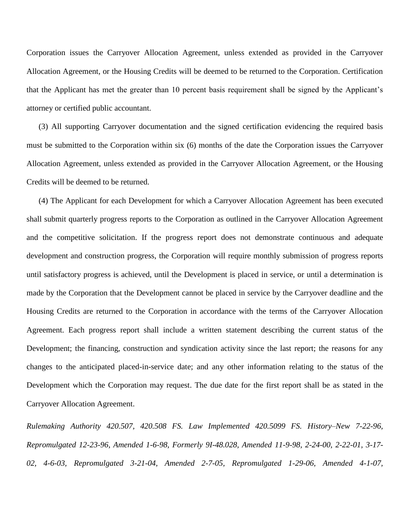Corporation issues the Carryover Allocation Agreement, unless extended as provided in the Carryover Allocation Agreement, or the Housing Credits will be deemed to be returned to the Corporation. Certification that the Applicant has met the greater than 10 percent basis requirement shall be signed by the Applicant's attorney or certified public accountant.

(3) All supporting Carryover documentation and the signed certification evidencing the required basis must be submitted to the Corporation within six (6) months of the date the Corporation issues the Carryover Allocation Agreement, unless extended as provided in the Carryover Allocation Agreement, or the Housing Credits will be deemed to be returned.

(4) The Applicant for each Development for which a Carryover Allocation Agreement has been executed shall submit quarterly progress reports to the Corporation as outlined in the Carryover Allocation Agreement and the competitive solicitation. If the progress report does not demonstrate continuous and adequate development and construction progress, the Corporation will require monthly submission of progress reports until satisfactory progress is achieved, until the Development is placed in service, or until a determination is made by the Corporation that the Development cannot be placed in service by the Carryover deadline and the Housing Credits are returned to the Corporation in accordance with the terms of the Carryover Allocation Agreement. Each progress report shall include a written statement describing the current status of the Development; the financing, construction and syndication activity since the last report; the reasons for any changes to the anticipated placed-in-service date; and any other information relating to the status of the Development which the Corporation may request. The due date for the first report shall be as stated in the Carryover Allocation Agreement.

*Rulemaking Authority 420.507, 420.508 FS. Law Implemented 420.5099 FS. History–New 7-22-96, Repromulgated 12-23-96, Amended 1-6-98, Formerly 9I-48.028, Amended 11-9-98, 2-24-00, 2-22-01, 3-17- 02, 4-6-03, Repromulgated 3-21-04, Amended 2-7-05, Repromulgated 1-29-06, Amended 4-1-07,*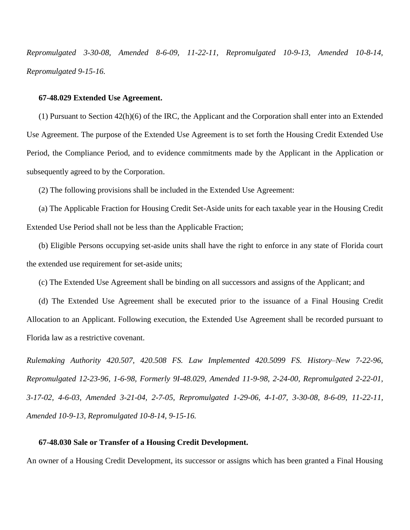*Repromulgated 3-30-08, Amended 8-6-09, 11-22-11, Repromulgated 10-9-13, Amended 10-8-14, Repromulgated 9-15-16.*

### **67-48.029 Extended Use Agreement.**

(1) Pursuant to Section 42(h)(6) of the IRC, the Applicant and the Corporation shall enter into an Extended Use Agreement. The purpose of the Extended Use Agreement is to set forth the Housing Credit Extended Use Period, the Compliance Period, and to evidence commitments made by the Applicant in the Application or subsequently agreed to by the Corporation.

(2) The following provisions shall be included in the Extended Use Agreement:

(a) The Applicable Fraction for Housing Credit Set-Aside units for each taxable year in the Housing Credit Extended Use Period shall not be less than the Applicable Fraction;

(b) Eligible Persons occupying set-aside units shall have the right to enforce in any state of Florida court the extended use requirement for set-aside units;

(c) The Extended Use Agreement shall be binding on all successors and assigns of the Applicant; and

(d) The Extended Use Agreement shall be executed prior to the issuance of a Final Housing Credit Allocation to an Applicant. Following execution, the Extended Use Agreement shall be recorded pursuant to Florida law as a restrictive covenant.

*Rulemaking Authority 420.507, 420.508 FS. Law Implemented 420.5099 FS. History–New 7-22-96, Repromulgated 12-23-96, 1-6-98, Formerly 9I-48.029, Amended 11-9-98, 2-24-00, Repromulgated 2-22-01, 3-17-02, 4-6-03, Amended 3-21-04, 2-7-05, Repromulgated 1-29-06, 4-1-07, 3-30-08, 8-6-09, 11-22-11, Amended 10-9-13, Repromulgated 10-8-14, 9-15-16.*

# **67-48.030 Sale or Transfer of a Housing Credit Development.**

An owner of a Housing Credit Development, its successor or assigns which has been granted a Final Housing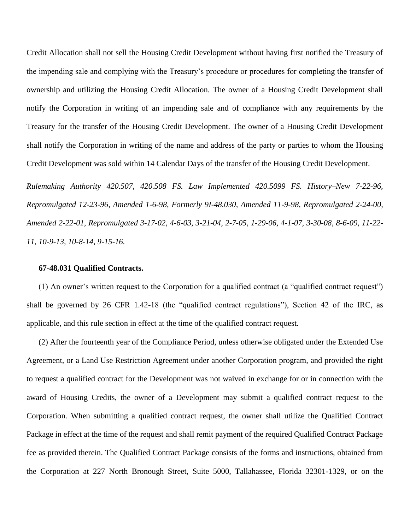Credit Allocation shall not sell the Housing Credit Development without having first notified the Treasury of the impending sale and complying with the Treasury's procedure or procedures for completing the transfer of ownership and utilizing the Housing Credit Allocation. The owner of a Housing Credit Development shall notify the Corporation in writing of an impending sale and of compliance with any requirements by the Treasury for the transfer of the Housing Credit Development. The owner of a Housing Credit Development shall notify the Corporation in writing of the name and address of the party or parties to whom the Housing Credit Development was sold within 14 Calendar Days of the transfer of the Housing Credit Development.

*Rulemaking Authority 420.507, 420.508 FS. Law Implemented 420.5099 FS. History–New 7-22-96, Repromulgated 12-23-96, Amended 1-6-98, Formerly 9I-48.030, Amended 11-9-98, Repromulgated 2-24-00, Amended 2-22-01, Repromulgated 3-17-02, 4-6-03, 3-21-04, 2-7-05, 1-29-06, 4-1-07, 3-30-08, 8-6-09, 11-22- 11, 10-9-13, 10-8-14, 9-15-16.*

### **67-48.031 Qualified Contracts.**

(1) An owner's written request to the Corporation for a qualified contract (a "qualified contract request") shall be governed by 26 CFR 1.42-18 (the "qualified contract regulations"), Section 42 of the IRC, as applicable, and this rule section in effect at the time of the qualified contract request.

(2) After the fourteenth year of the Compliance Period, unless otherwise obligated under the Extended Use Agreement, or a Land Use Restriction Agreement under another Corporation program, and provided the right to request a qualified contract for the Development was not waived in exchange for or in connection with the award of Housing Credits, the owner of a Development may submit a qualified contract request to the Corporation. When submitting a qualified contract request, the owner shall utilize the Qualified Contract Package in effect at the time of the request and shall remit payment of the required Qualified Contract Package fee as provided therein. The Qualified Contract Package consists of the forms and instructions, obtained from the Corporation at 227 North Bronough Street, Suite 5000, Tallahassee, Florida 32301-1329, or on the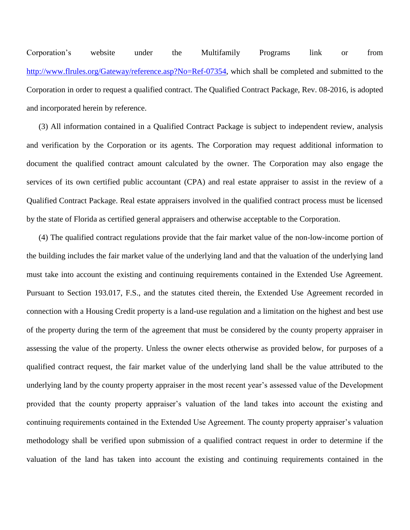Corporation's website under the Multifamily Programs link or from [http://www.flrules.org/Gateway/reference.asp?No=Ref-07354,](http://www.flrules.org/Gateway/reference.asp?No=Ref-07354) which shall be completed and submitted to the Corporation in order to request a qualified contract. The Qualified Contract Package, Rev. 08-2016, is adopted and incorporated herein by reference.

(3) All information contained in a Qualified Contract Package is subject to independent review, analysis and verification by the Corporation or its agents. The Corporation may request additional information to document the qualified contract amount calculated by the owner. The Corporation may also engage the services of its own certified public accountant (CPA) and real estate appraiser to assist in the review of a Qualified Contract Package. Real estate appraisers involved in the qualified contract process must be licensed by the state of Florida as certified general appraisers and otherwise acceptable to the Corporation.

(4) The qualified contract regulations provide that the fair market value of the non-low-income portion of the building includes the fair market value of the underlying land and that the valuation of the underlying land must take into account the existing and continuing requirements contained in the Extended Use Agreement. Pursuant to Section 193.017, F.S., and the statutes cited therein, the Extended Use Agreement recorded in connection with a Housing Credit property is a land-use regulation and a limitation on the highest and best use of the property during the term of the agreement that must be considered by the county property appraiser in assessing the value of the property. Unless the owner elects otherwise as provided below, for purposes of a qualified contract request, the fair market value of the underlying land shall be the value attributed to the underlying land by the county property appraiser in the most recent year's assessed value of the Development provided that the county property appraiser's valuation of the land takes into account the existing and continuing requirements contained in the Extended Use Agreement. The county property appraiser's valuation methodology shall be verified upon submission of a qualified contract request in order to determine if the valuation of the land has taken into account the existing and continuing requirements contained in the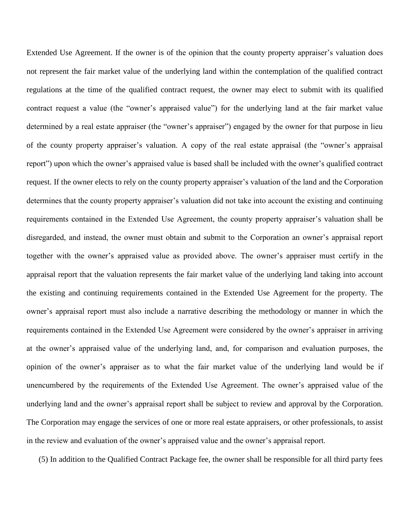Extended Use Agreement. If the owner is of the opinion that the county property appraiser's valuation does not represent the fair market value of the underlying land within the contemplation of the qualified contract regulations at the time of the qualified contract request, the owner may elect to submit with its qualified contract request a value (the "owner's appraised value") for the underlying land at the fair market value determined by a real estate appraiser (the "owner's appraiser") engaged by the owner for that purpose in lieu of the county property appraiser's valuation. A copy of the real estate appraisal (the "owner's appraisal report") upon which the owner's appraised value is based shall be included with the owner's qualified contract request. If the owner elects to rely on the county property appraiser's valuation of the land and the Corporation determines that the county property appraiser's valuation did not take into account the existing and continuing requirements contained in the Extended Use Agreement, the county property appraiser's valuation shall be disregarded, and instead, the owner must obtain and submit to the Corporation an owner's appraisal report together with the owner's appraised value as provided above. The owner's appraiser must certify in the appraisal report that the valuation represents the fair market value of the underlying land taking into account the existing and continuing requirements contained in the Extended Use Agreement for the property. The owner's appraisal report must also include a narrative describing the methodology or manner in which the requirements contained in the Extended Use Agreement were considered by the owner's appraiser in arriving at the owner's appraised value of the underlying land, and, for comparison and evaluation purposes, the opinion of the owner's appraiser as to what the fair market value of the underlying land would be if unencumbered by the requirements of the Extended Use Agreement. The owner's appraised value of the underlying land and the owner's appraisal report shall be subject to review and approval by the Corporation. The Corporation may engage the services of one or more real estate appraisers, or other professionals, to assist in the review and evaluation of the owner's appraised value and the owner's appraisal report.

(5) In addition to the Qualified Contract Package fee, the owner shall be responsible for all third party fees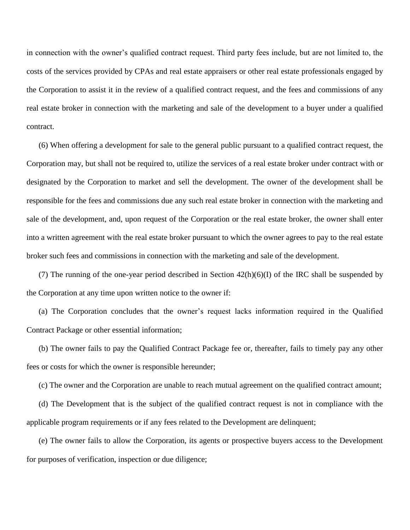in connection with the owner's qualified contract request. Third party fees include, but are not limited to, the costs of the services provided by CPAs and real estate appraisers or other real estate professionals engaged by the Corporation to assist it in the review of a qualified contract request, and the fees and commissions of any real estate broker in connection with the marketing and sale of the development to a buyer under a qualified contract.

(6) When offering a development for sale to the general public pursuant to a qualified contract request, the Corporation may, but shall not be required to, utilize the services of a real estate broker under contract with or designated by the Corporation to market and sell the development. The owner of the development shall be responsible for the fees and commissions due any such real estate broker in connection with the marketing and sale of the development, and, upon request of the Corporation or the real estate broker, the owner shall enter into a written agreement with the real estate broker pursuant to which the owner agrees to pay to the real estate broker such fees and commissions in connection with the marketing and sale of the development.

(7) The running of the one-year period described in Section  $42(h)(6)(I)$  of the IRC shall be suspended by the Corporation at any time upon written notice to the owner if:

(a) The Corporation concludes that the owner's request lacks information required in the Qualified Contract Package or other essential information;

(b) The owner fails to pay the Qualified Contract Package fee or, thereafter, fails to timely pay any other fees or costs for which the owner is responsible hereunder;

(c) The owner and the Corporation are unable to reach mutual agreement on the qualified contract amount;

(d) The Development that is the subject of the qualified contract request is not in compliance with the applicable program requirements or if any fees related to the Development are delinquent;

(e) The owner fails to allow the Corporation, its agents or prospective buyers access to the Development for purposes of verification, inspection or due diligence;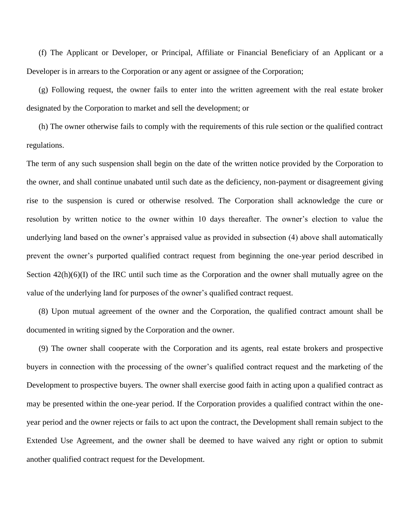(f) The Applicant or Developer, or Principal, Affiliate or Financial Beneficiary of an Applicant or a Developer is in arrears to the Corporation or any agent or assignee of the Corporation;

(g) Following request, the owner fails to enter into the written agreement with the real estate broker designated by the Corporation to market and sell the development; or

(h) The owner otherwise fails to comply with the requirements of this rule section or the qualified contract regulations.

The term of any such suspension shall begin on the date of the written notice provided by the Corporation to the owner, and shall continue unabated until such date as the deficiency, non-payment or disagreement giving rise to the suspension is cured or otherwise resolved. The Corporation shall acknowledge the cure or resolution by written notice to the owner within 10 days thereafter. The owner's election to value the underlying land based on the owner's appraised value as provided in subsection (4) above shall automatically prevent the owner's purported qualified contract request from beginning the one-year period described in Section  $42(h)(6)(I)$  of the IRC until such time as the Corporation and the owner shall mutually agree on the value of the underlying land for purposes of the owner's qualified contract request.

(8) Upon mutual agreement of the owner and the Corporation, the qualified contract amount shall be documented in writing signed by the Corporation and the owner.

(9) The owner shall cooperate with the Corporation and its agents, real estate brokers and prospective buyers in connection with the processing of the owner's qualified contract request and the marketing of the Development to prospective buyers. The owner shall exercise good faith in acting upon a qualified contract as may be presented within the one-year period. If the Corporation provides a qualified contract within the oneyear period and the owner rejects or fails to act upon the contract, the Development shall remain subject to the Extended Use Agreement, and the owner shall be deemed to have waived any right or option to submit another qualified contract request for the Development.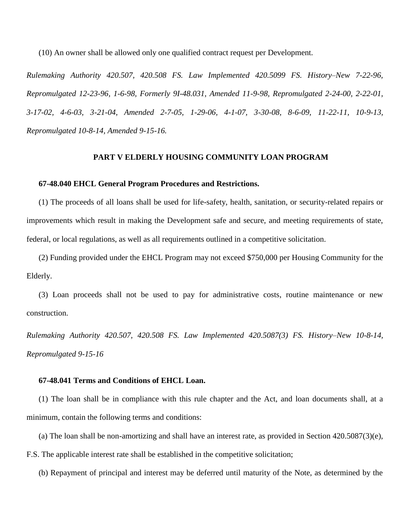(10) An owner shall be allowed only one qualified contract request per Development.

*Rulemaking Authority 420.507, 420.508 FS. Law Implemented 420.5099 FS. History–New 7-22-96, Repromulgated 12-23-96, 1-6-98, Formerly 9I-48.031, Amended 11-9-98, Repromulgated 2-24-00, 2-22-01, 3-17-02, 4-6-03, 3-21-04, Amended 2-7-05, 1-29-06, 4-1-07, 3-30-08, 8-6-09, 11-22-11, 10-9-13, Repromulgated 10-8-14, Amended 9-15-16.*

# **PART V ELDERLY HOUSING COMMUNITY LOAN PROGRAM**

### **67-48.040 EHCL General Program Procedures and Restrictions.**

(1) The proceeds of all loans shall be used for life-safety, health, sanitation, or security-related repairs or improvements which result in making the Development safe and secure, and meeting requirements of state, federal, or local regulations, as well as all requirements outlined in a competitive solicitation.

(2) Funding provided under the EHCL Program may not exceed \$750,000 per Housing Community for the Elderly.

(3) Loan proceeds shall not be used to pay for administrative costs, routine maintenance or new construction.

*Rulemaking Authority 420.507, 420.508 FS. Law Implemented 420.5087(3) FS. History–New 10-8-14, Repromulgated 9-15-16*

# **67-48.041 Terms and Conditions of EHCL Loan.**

(1) The loan shall be in compliance with this rule chapter and the Act, and loan documents shall, at a minimum, contain the following terms and conditions:

(a) The loan shall be non-amortizing and shall have an interest rate, as provided in Section 420.5087(3)(e),

F.S. The applicable interest rate shall be established in the competitive solicitation;

(b) Repayment of principal and interest may be deferred until maturity of the Note, as determined by the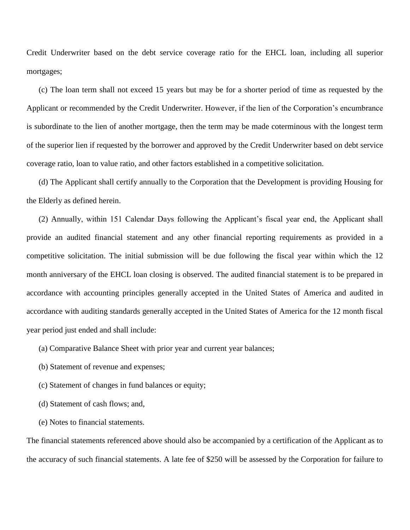Credit Underwriter based on the debt service coverage ratio for the EHCL loan, including all superior mortgages;

(c) The loan term shall not exceed 15 years but may be for a shorter period of time as requested by the Applicant or recommended by the Credit Underwriter. However, if the lien of the Corporation's encumbrance is subordinate to the lien of another mortgage, then the term may be made coterminous with the longest term of the superior lien if requested by the borrower and approved by the Credit Underwriter based on debt service coverage ratio, loan to value ratio, and other factors established in a competitive solicitation.

(d) The Applicant shall certify annually to the Corporation that the Development is providing Housing for the Elderly as defined herein.

(2) Annually, within 151 Calendar Days following the Applicant's fiscal year end, the Applicant shall provide an audited financial statement and any other financial reporting requirements as provided in a competitive solicitation. The initial submission will be due following the fiscal year within which the 12 month anniversary of the EHCL loan closing is observed. The audited financial statement is to be prepared in accordance with accounting principles generally accepted in the United States of America and audited in accordance with auditing standards generally accepted in the United States of America for the 12 month fiscal year period just ended and shall include:

(a) Comparative Balance Sheet with prior year and current year balances;

- (b) Statement of revenue and expenses;
- (c) Statement of changes in fund balances or equity;
- (d) Statement of cash flows; and,
- (e) Notes to financial statements.

The financial statements referenced above should also be accompanied by a certification of the Applicant as to the accuracy of such financial statements. A late fee of \$250 will be assessed by the Corporation for failure to